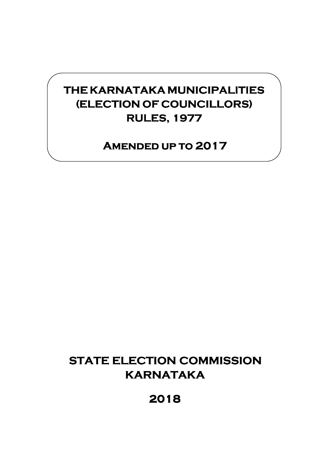# **THEKARNATAKA KARNATAKAKARNATAKAMUNICIPALITIES MUNICIPALITIES (ELECTION OF COUNCILLORS) RULES, 1977 RULES, 1977**

## **AMENDED UP TO 2017**

# **STATE ELECTION COMMISSION KARNATAKA**

**2018**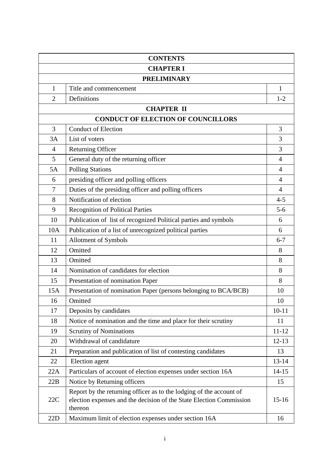| <b>CONTENTS</b>  |                                                                                                                                                       |                |
|------------------|-------------------------------------------------------------------------------------------------------------------------------------------------------|----------------|
| <b>CHAPTER I</b> |                                                                                                                                                       |                |
|                  | <b>PRELIMINARY</b>                                                                                                                                    |                |
| $\mathbf{1}$     | Title and commencement                                                                                                                                | $\mathbf{1}$   |
| $\overline{2}$   | Definitions                                                                                                                                           | $1 - 2$        |
|                  | <b>CHAPTER II</b>                                                                                                                                     |                |
|                  | <b>CONDUCT OF ELECTION OF COUNCILLORS</b>                                                                                                             |                |
| 3                | <b>Conduct of Election</b>                                                                                                                            | 3              |
| 3A               | List of voters                                                                                                                                        | 3              |
| $\overline{4}$   | <b>Returning Officer</b>                                                                                                                              | 3              |
| 5                | General duty of the returning officer                                                                                                                 | $\overline{4}$ |
| 5A               | <b>Polling Stations</b>                                                                                                                               | 4              |
| 6                | presiding officer and polling officers                                                                                                                | $\overline{4}$ |
| 7                | Duties of the presiding officer and polling officers                                                                                                  | $\overline{4}$ |
| 8                | Notification of election                                                                                                                              | $4 - 5$        |
| 9                | <b>Recognition of Political Parties</b>                                                                                                               | $5 - 6$        |
| 10               | Publication of list of recognized Political parties and symbols                                                                                       | 6              |
| 10A              | Publication of a list of unrecognized political parties                                                                                               | 6              |
| 11               | Allotment of Symbols                                                                                                                                  | $6 - 7$        |
| 12               | Omitted                                                                                                                                               | 8              |
| 13               | Omitted                                                                                                                                               | 8              |
| 14               | Nomination of candidates for election                                                                                                                 | 8              |
| 15               | Presentation of nomination Paper                                                                                                                      | 8              |
| 15A              | Presentation of nomination Paper (persons belonging to BCA/BCB)                                                                                       | 10             |
| 16               | Omitted                                                                                                                                               | 10             |
| 17               | Deposits by candidates                                                                                                                                | $10 - 11$      |
| 18               | Notice of nomination and the time and place for their scrutiny                                                                                        | 11             |
| 19               | <b>Scrutiny of Nominations</b>                                                                                                                        | $11 - 12$      |
| 20               | Withdrawal of candidature                                                                                                                             | $12 - 13$      |
| 21               | Preparation and publication of list of contesting candidates                                                                                          | 13             |
| 22               | Election agent                                                                                                                                        | $13 - 14$      |
| 22A              | Particulars of account of election expenses under section 16A                                                                                         | $14 - 15$      |
| 22B              | Notice by Returning officers                                                                                                                          | 15             |
| 22C              | Report by the returning officer as to the lodging of the account of<br>election expenses and the decision of the State Election Commission<br>thereon | $15 - 16$      |
| 22D              | Maximum limit of election expenses under section 16A                                                                                                  | 16             |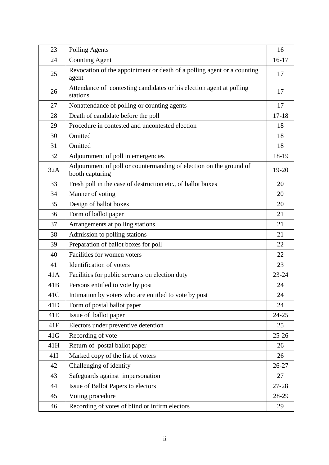| 23  | Polling Agents                                                                        | 16        |
|-----|---------------------------------------------------------------------------------------|-----------|
| 24  | <b>Counting Agent</b>                                                                 | $16-17$   |
| 25  | Revocation of the appointment or death of a polling agent or a counting<br>agent      | 17        |
| 26  | Attendance of contesting candidates or his election agent at polling<br>stations      | 17        |
| 27  | Nonattendance of polling or counting agents                                           | 17        |
| 28  | Death of candidate before the poll                                                    | $17 - 18$ |
| 29  | Procedure in contested and uncontested election                                       | 18        |
| 30  | Omitted                                                                               | 18        |
| 31  | Omitted                                                                               | 18        |
| 32  | Adjournment of poll in emergencies                                                    | 18-19     |
| 32A | Adjournment of poll or countermanding of election on the ground of<br>booth capturing | $19-20$   |
| 33  | Fresh poll in the case of destruction etc., of ballot boxes                           | 20        |
| 34  | Manner of voting                                                                      | 20        |
| 35  | Design of ballot boxes                                                                | 20        |
| 36  | Form of ballot paper                                                                  | 21        |
| 37  | Arrangements at polling stations                                                      | 21        |
| 38  | Admission to polling stations                                                         | 21        |
| 39  | Preparation of ballot boxes for poll                                                  | 22        |
| 40  | Facilities for women voters                                                           | 22        |
| 41  | Identification of voters                                                              | 23        |
| 41A | Facilities for public servants on election duty                                       | 23-24     |
| 41B | Persons entitled to vote by post                                                      | 24        |
| 41C | Intimation by voters who are entitled to vote by post                                 | 24        |
| 41D | Form of postal ballot paper                                                           | 24        |
| 41E | Issue of ballot paper                                                                 | $24 - 25$ |
| 41F | Electors under preventive detention                                                   | 25        |
| 41G | Recording of vote                                                                     | $25 - 26$ |
| 41H | Return of postal ballot paper                                                         | 26        |
| 41I | Marked copy of the list of voters                                                     | 26        |
| 42  | Challenging of identity                                                               | 26-27     |
| 43  | Safeguards against impersonation                                                      | 27        |
| 44  | Issue of Ballot Papers to electors                                                    | 27-28     |
| 45  | Voting procedure                                                                      | 28-29     |
| 46  | Recording of votes of blind or infirm electors                                        | 29        |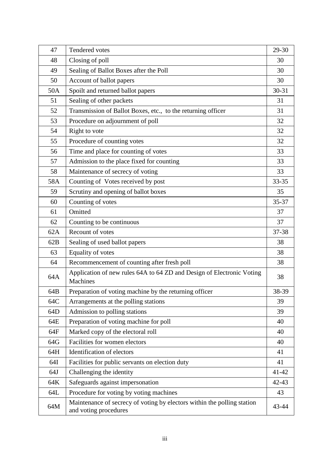| 47  | Tendered votes                                                                                   | 29-30     |
|-----|--------------------------------------------------------------------------------------------------|-----------|
| 48  | Closing of poll                                                                                  | 30        |
| 49  | Sealing of Ballot Boxes after the Poll                                                           | 30        |
| 50  | Account of ballot papers                                                                         | 30        |
| 50A | Spoilt and returned ballot papers                                                                | $30 - 31$ |
| 51  | Sealing of other packets                                                                         | 31        |
| 52  | Transmission of Ballot Boxes, etc., to the returning officer                                     | 31        |
| 53  | Procedure on adjournment of poll                                                                 | 32        |
| 54  | Right to vote                                                                                    | 32        |
| 55  | Procedure of counting votes                                                                      | 32        |
| 56  | Time and place for counting of votes                                                             | 33        |
| 57  | Admission to the place fixed for counting                                                        | 33        |
| 58  | Maintenance of secrecy of voting                                                                 | 33        |
| 58A | Counting of Votes received by post                                                               | $33 - 35$ |
| 59  | Scrutiny and opening of ballot boxes                                                             | 35        |
| 60  | Counting of votes                                                                                | 35-37     |
| 61  | Omitted                                                                                          | 37        |
| 62  | Counting to be continuous                                                                        | 37        |
| 62A | Recount of votes                                                                                 | 37-38     |
| 62B | Sealing of used ballot papers                                                                    | 38        |
| 63  | Equality of votes                                                                                | 38        |
| 64  | Recommencement of counting after fresh poll                                                      | 38        |
| 64A | Application of new rules 64A to 64 ZD and Design of Electronic Voting<br>Machines                | 38        |
| 64B | Preparation of voting machine by the returning officer                                           | 38-39     |
| 64C | Arrangements at the polling stations                                                             | 39        |
| 64D | Admission to polling stations                                                                    | 39        |
| 64E | Preparation of voting machine for poll                                                           | 40        |
| 64F | Marked copy of the electoral roll                                                                | 40        |
| 64G | Facilities for women electors                                                                    | 40        |
| 64H | Identification of electors                                                                       | 41        |
| 64I | Facilities for public servants on election duty                                                  | 41        |
| 64J | Challenging the identity                                                                         | $41 - 42$ |
| 64K | Safeguards against impersonation                                                                 | $42 - 43$ |
| 64L | Procedure for voting by voting machines                                                          | 43        |
| 64M | Maintenance of secrecy of voting by electors within the polling station<br>and voting procedures | 43-44     |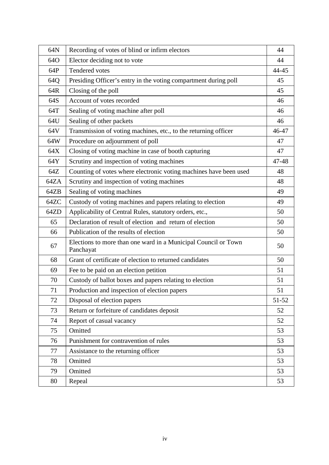| 64N  | Recording of votes of blind or infirm electors                              | 44    |
|------|-----------------------------------------------------------------------------|-------|
| 64O  | Elector deciding not to vote                                                | 44    |
| 64P  | Tendered votes                                                              | 44-45 |
| 64Q  | Presiding Officer's entry in the voting compartment during poll             | 45    |
| 64R  | Closing of the poll                                                         | 45    |
| 64S  | Account of votes recorded                                                   | 46    |
| 64T  | Sealing of voting machine after poll                                        | 46    |
| 64U  | Sealing of other packets                                                    | 46    |
| 64V  | Transmission of voting machines, etc., to the returning officer             | 46-47 |
| 64W  | Procedure on adjournment of poll                                            | 47    |
| 64X  | Closing of voting machine in case of booth capturing                        | 47    |
| 64Y  | Scrutiny and inspection of voting machines                                  | 47-48 |
| 64Z  | Counting of votes where electronic voting machines have been used           | 48    |
| 64ZA | Scrutiny and inspection of voting machines                                  | 48    |
| 64ZB | Sealing of voting machines                                                  | 49    |
| 64ZC | Custody of voting machines and papers relating to election                  | 49    |
| 64ZD | Applicability of Central Rules, statutory orders, etc.,                     | 50    |
| 65   | Declaration of result of election and return of election                    | 50    |
| 66   | Publication of the results of election                                      | 50    |
| 67   | Elections to more than one ward in a Municipal Council or Town<br>Panchayat | 50    |
| 68   | Grant of certificate of election to returned candidates                     | 50    |
| 69   | Fee to be paid on an election petition                                      | 51    |
| 70   | Custody of ballot boxes and papers relating to election                     | 51    |
| 71   | Production and inspection of election papers                                | 51    |
| 72   | Disposal of election papers                                                 | 51-52 |
| 73   | Return or forfeiture of candidates deposit                                  | 52    |
| 74   | Report of casual vacancy                                                    | 52    |
| 75   | Omitted                                                                     | 53    |
| 76   | Punishment for contravention of rules                                       | 53    |
| 77   | Assistance to the returning officer                                         | 53    |
| 78   | Omitted                                                                     | 53    |
| 79   | Omitted                                                                     | 53    |
| 80   | Repeal                                                                      | 53    |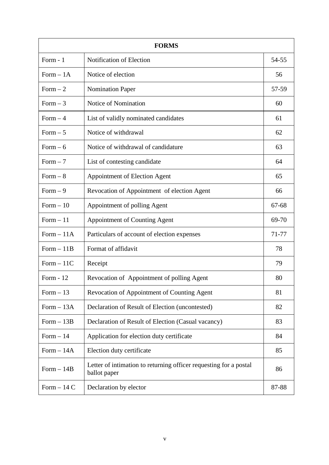| <b>FORMS</b> |                                                                                   |           |  |
|--------------|-----------------------------------------------------------------------------------|-----------|--|
| Form $-1$    | Notification of Election                                                          | 54-55     |  |
| Form $-1A$   | Notice of election                                                                | 56        |  |
| Form $-2$    | <b>Nomination Paper</b>                                                           | 57-59     |  |
| Form $-3$    | Notice of Nomination                                                              | 60        |  |
| Form $-4$    | List of validly nominated candidates                                              | 61        |  |
| Form $-5$    | Notice of withdrawal                                                              | 62        |  |
| Form $-6$    | Notice of withdrawal of candidature                                               | 63        |  |
| Form $-7$    | List of contesting candidate                                                      | 64        |  |
| Form $-8$    | <b>Appointment of Election Agent</b>                                              | 65        |  |
| Form $-9$    | Revocation of Appointment of election Agent                                       | 66        |  |
| Form $-10$   | Appointment of polling Agent                                                      | $67 - 68$ |  |
| Form $-11$   | <b>Appointment of Counting Agent</b>                                              | 69-70     |  |
| Form $-11A$  | Particulars of account of election expenses                                       | 71-77     |  |
| $Form - 11B$ | Format of affidavit                                                               | 78        |  |
| $Form-11C$   | Receipt                                                                           | 79        |  |
| Form $-12$   | Revocation of Appointment of polling Agent                                        | 80        |  |
| Form $-13$   | Revocation of Appointment of Counting Agent                                       | 81        |  |
| Form $-13A$  | Declaration of Result of Election (uncontested)                                   | 82        |  |
| $Form - 13B$ | Declaration of Result of Election (Casual vacancy)                                | 83        |  |
| Form $-14$   | Application for election duty certificate                                         | 84        |  |
| $Form - 14A$ | Election duty certificate                                                         | 85        |  |
| Form $-14B$  | Letter of intimation to returning officer requesting for a postal<br>ballot paper | 86        |  |
| Form $-14$ C | Declaration by elector                                                            | 87-88     |  |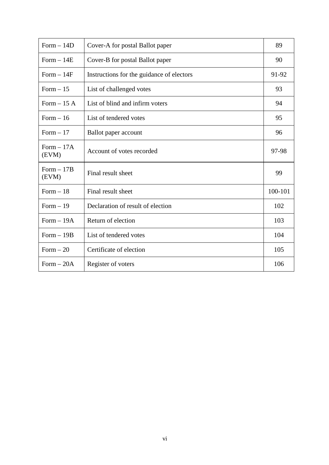| Form $-14D$           | Cover-A for postal Ballot paper           | 89      |
|-----------------------|-------------------------------------------|---------|
| $Form - 14E$          | Cover-B for postal Ballot paper           | 90      |
| $Form-14F$            | Instructions for the guidance of electors | 91-92   |
| Form $-15$            | List of challenged votes                  | 93      |
| Form $-15A$           | List of blind and infirm voters           | 94      |
| Form $-16$            | List of tendered votes                    | 95      |
| Form $-17$            | Ballot paper account                      | 96      |
| $Form - 17A$<br>(EVM) | Account of votes recorded                 | 97-98   |
| $Form - 17B$<br>(EVM) | Final result sheet                        | 99      |
| Form $-18$            | Final result sheet                        | 100-101 |
| Form $-19$            | Declaration of result of election         | 102     |
| $Form-19A$            | Return of election                        | 103     |
| $Form - 19B$          | List of tendered votes                    | 104     |
| Form $-20$            | Certificate of election                   | 105     |
| $Form - 20A$          | Register of voters                        | 106     |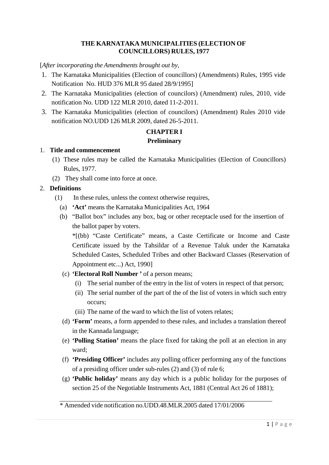#### **THE KARNATAKA MUNICIPALITIES (ELECTION OF COUNCILLORS) RULES, 1977**

[*After incorporating the Amendments brought out by,*

- 1. The Karnataka Municipalities (Election of councillors) (Amendments) Rules, 1995 vide Notification No. HUD 376 MLR 95 dated 28/9/1995]
- 2. The Karnataka Municipalities (election of councilors) (Amendment) rules, 2010, vide notification No. UDD 122 MLR 2010, dated 11-2-2011.
- 3. The Karnataka Municipalities (election of councilors) (Amendment) Rules 2010 vide notification NO.UDD 126 MLR 2009, dated 26-5-2011.

## **CHAPTER I**

## **Preliminary**

## 1. **Title and commencement**

- (1) These rules may be called the Karnataka Municipalities (Election of Councillors) Rules, 1977.
- (2) They shall come into force at once.

## 2. **Definitions**

- (1) In these rules, unless the context otherwise requires,
	- (a) **'Act'** means the Karnataka Municipalities Act, 1964
	- (b) "Ballot box" includes any box, bag or other receptacle used for the insertion of the ballot paper by voters.

\*[(bb) "Caste Certificate" means, a Caste Certificate or Income and Caste Certificate issued by the Tahsildar of a Revenue Taluk under the Karnataka Scheduled Castes, Scheduled Tribes and other Backward Classes (Reservation of Appointment etc...) Act, 1990]

- (c) **'Electoral Roll Number '** of a person means;
	- (i) The serial number of the entry in the list of voters in respect of that person;
	- (ii) The serial number of the part of the of the list of voters in which such entry occurs;
	- (iii) The name of the ward to which the list of voters relates;
- (d) **'Form'** means, a form appended to these rules, and includes a translation thereof in the Kannada language;
- (e) **'Polling Station'** means the place fixed for taking the poll at an election in any ward;
- (f) **'Presiding Officer'** includes any polling officer performing any of the functions of a presiding officer under sub-rules (2) and (3) of rule 6;
- (g) **'Public holiday'** means any day which is a public holiday for the purposes of section 25 of the Negotiable Instruments Act, 1881 (Central Act 26 of 1881);

\* Amended vide notification no.UDD.48.MLR.2005 dated 17/01/2006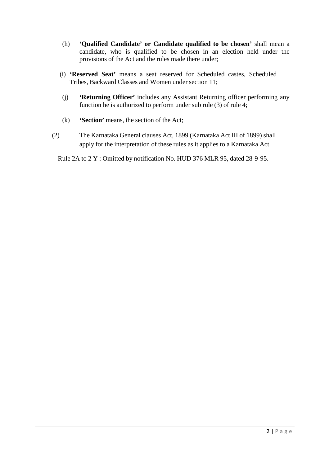- (h) **'Qualified Candidate' or Candidate qualified to be chosen'** shall mean a candidate, who is qualified to be chosen in an election held under the provisions of the Act and the rules made there under;
- (i) **'Reserved Seat'** means a seat reserved for Scheduled castes, Scheduled Tribes, Backward Classes and Women under section 11;
- (j) **'Returning Officer'** includes any Assistant Returning officer performing any function he is authorized to perform under sub rule (3) of rule 4;
- (k) **'Section'** means, the section of the Act;
- (2) The Karnataka General clauses Act, 1899 (Karnataka Act III of 1899) shall apply for the interpretation of these rules as it applies to a Karnataka Act.
	- Rule 2A to 2 Y : Omitted by notification No. HUD 376 MLR 95, dated 28-9-95.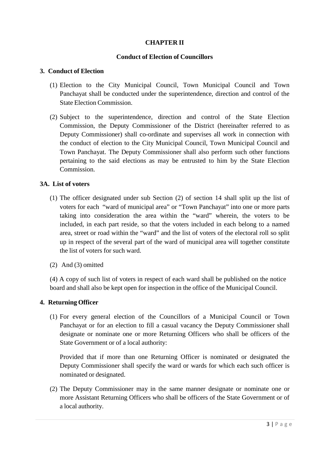## **CHAPTER II**

## **Conduct of Election of Councillors**

#### **3. Conduct of Election**

- (1) Election to the City Municipal Council, Town Municipal Council and Town Panchayat shall be conducted under the superintendence, direction and control of the State Election Commission.
- (2) Subject to the superintendence, direction and control of the State Election Commission, the Deputy Commissioner of the District (hereinafter referred to as Deputy Commissioner) shall co-ordinate and supervises all work in connection with the conduct of election to the City Municipal Council, Town Municipal Council and Town Panchayat. The Deputy Commissioner shall also perform such other functions pertaining to the said elections as may be entrusted to him by the State Election Commission.

#### **3A. List of voters**

- (1) The officer designated under sub Section (2) of section 14 shall split up the list of voters for each "ward of municipal area" or "Town Panchayat" into one or more parts taking into consideration the area within the "ward" wherein, the voters to be included, in each part reside, so that the voters included in each belong to a named area, street or road within the "ward" and the list of voters of the electoral roll so split up in respect of the several part of the ward of municipal area will together constitute the list of voters for such ward.
- (2) And (3) omitted

(4) A copy of such list of voters in respect of each ward shall be published on the notice board and shall also be kept open for inspection in the office of the Municipal Council.

#### **4. Returning Officer**

(1) For every general election of the Councillors of a Municipal Council or Town Panchayat or for an election to fill a casual vacancy the Deputy Commissioner shall designate or nominate one or more Returning Officers who shall be officers of the State Government or of a local authority:

Provided that if more than one Returning Officer is nominated or designated the Deputy Commissioner shall specify the ward or wards for which each such officer is nominated or designated.

(2) The Deputy Commissioner may in the same manner designate or nominate one or more Assistant Returning Officers who shall be officers of the State Government or of a local authority.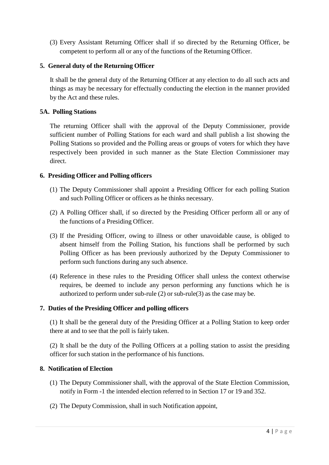(3) Every Assistant Returning Officer shall if so directed by the Returning Officer, be competent to perform all or any of the functions of the Returning Officer.

## **5. General duty of the Returning Officer**

It shall be the general duty of the Returning Officer at any election to do all such acts and things as may be necessary for effectually conducting the election in the manner provided by the Act and these rules.

## **5A. Polling Stations**

The returning Officer shall with the approval of the Deputy Commissioner, provide sufficient number of Polling Stations for each ward and shall publish a list showing the Polling Stations so provided and the Polling areas or groups of voters for which they have respectively been provided in such manner as the State Election Commissioner may direct.

## **6. Presiding Officer and Polling officers**

- (1) The Deputy Commissioner shall appoint a Presiding Officer for each polling Station and such Polling Officer or officers as he thinks necessary.
- (2) A Polling Officer shall, if so directed by the Presiding Officer perform all or any of the functions of a Presiding Officer.
- (3) If the Presiding Officer, owing to illness or other unavoidable cause, is obliged to absent himself from the Polling Station, his functions shall be performed by such Polling Officer as has been previously authorized by the Deputy Commissioner to perform such functions during any such absence.
- (4) Reference in these rules to the Presiding Officer shall unless the context otherwise requires, be deemed to include any person performing any functions which he is authorized to perform under sub-rule (2) or sub-rule(3) as the case may be.

## **7. Duties of the Presiding Officer and polling officers**

(1) It shall be the general duty of the Presiding Officer at a Polling Station to keep order there at and to see that the poll is fairly taken.

(2) It shall be the duty of the Polling Officers at a polling station to assist the presiding officer for such station in the performance of his functions.

## **8. Notification of Election**

- (1) The Deputy Commissioner shall, with the approval of the State Election Commission, notify in Form -1 the intended election referred to in Section 17 or 19 and 352.
- (2) The Deputy Commission, shall in such Notification appoint,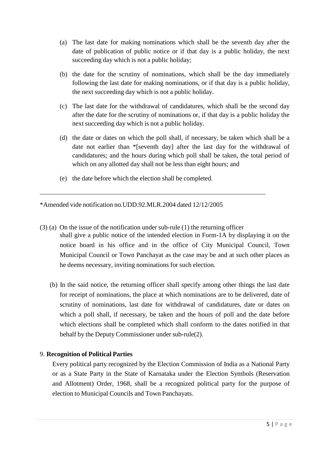- (a) The last date for making nominations which shall be the seventh day after the date of publication of public notice or if that day is a public holiday, the next succeeding day which is not a public holiday;
- (b) the date for the scrutiny of nominations, which shall be the day immediately following the last date for making nominations, or if that day is a public holiday, the next succeeding day which is not a public holiday.
- (c) The last date for the withdrawal of candidatures, which shall be the second day after the date for the scrutiny of nominations or, if that day is a public holiday the next succeeding day which is not a public holiday.
- (d) the date or dates on which the poll shall, if necessary, be taken which shall be a date not earlier than \*[seventh day] after the last day for the withdrawal of candidatures; and the hours during which poll shall be taken, the total period of which on any allotted day shall not be less than eight hours; and
- (e) the date before which the election shall be completed.

\*Amended vide notification no.UDD.92.MLR.2004 dated 12/12/2005

- (3) (a) On the issue of the notification under sub-rule (1) the returning officer shall give a public notice of the intended election in Form-1A by displaying it on the notice board in his office and in the office of City Municipal Council, Town Municipal Council or Town Panchayat as the case may be and at such other places as he deems necessary, inviting nominations for such election.
	- (b) In the said notice, the returning officer shall specify among other things the last date for receipt of nominations, the place at which nominations are to be delivered, date of scrutiny of nominations, last date for withdrawal of candidatures, date or dates on which a poll shall, if necessary, be taken and the hours of poll and the date before which elections shall be completed which shall conform to the dates notified in that behalf by the Deputy Commissioner under sub-rule(2).

## 9. **Recognition of Political Parties**

Every political party recognized by the Election Commission of India as a National Party or as a State Party in the State of Karnataka under the Election Symbols (Reservation and Allotment) Order, 1968, shall be a recognized political party for the purpose of election to Municipal Councils and Town Panchayats.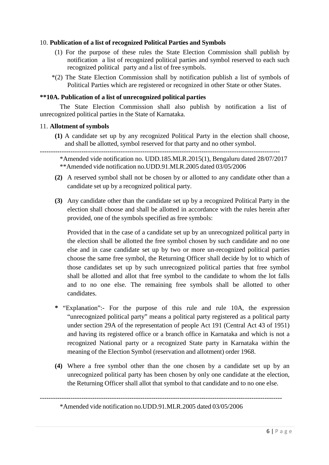#### 10. **Publication of a list of recognized Political Parties and Symbols**

- (1) For the purpose of these rules the State Election Commission shall publish by notification a list of recognized political parties and symbol reserved to each such recognized political party and a list of free symbols.
- \*(2) The State Election Commission shall by notification publish a list of symbols of Political Parties which are registered or recognized in other State or other States.

#### **\*\*10A. Publication of a list of unrecognized political parties**

The State Election Commission shall also publish by notification a list of unrecognized political parties in the State of Karnataka.

#### 11. **Allotment of symbols**

**(1)** A candidate set up by any recognized Political Party in the election shall choose, and shall be allotted, symbol reserved for that party and no other symbol.

-------------------------------------------------------------------------------------------------------------- \*Amended vide notification no. UDD.185.MLR.2015(1), Bengaluru dated 28/07/2017 \*\*Amended vide notification no.UDD.91.MLR.2005 dated 03/05/2006

- **(2)** A reserved symbol shall not be chosen by or allotted to any candidate other than a candidate set up by a recognized political party.
- **(3)** Any candidate other than the candidate set up by a recognized Political Party in the election shall choose and shall be allotted in accordance with the rules herein after provided, one of the symbols specified as free symbols:

Provided that in the case of a candidate set up by an unrecognized political party in the election shall be allotted the free symbol chosen by such candidate and no one else and in case candidate set up by two or more un-recognized political parties choose the same free symbol, the Returning Officer shall decide by lot to which of those candidates set up by such unrecognized political parties that free symbol shall be allotted and allot that free symbol to the candidate to whom the lot falls and to no one else. The remaining free symbols shall be allotted to other candidates.

- **\*** "Explanation":- For the purpose of this rule and rule 10A, the expression "unrecognized political party" means a political party registered as a political party under section 29A of the representation of people Act 191 (Central Act 43 of 1951) and having its registered office or a branch office in Karnataka and which is not a recognized National party or a recognized State party in Karnataka within the meaning of the Election Symbol (reservation and allotment) order 1968.
- **(4)** Where a free symbol other than the one chosen by a candidate set up by an unrecognized political party has been chosen by only one candidate at the election, the Returning Officer shall allot that symbol to that candidate and to no one else.

---------------------------------------------------------------------------------------------------------------

<sup>\*</sup>Amended vide notification no.UDD.91.MLR.2005 dated 03/05/2006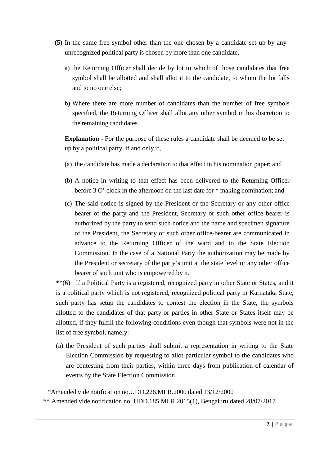- **(5)** In the same free symbol other than the one chosen by a candidate set up by any unrecognized political party is chosen by more than one candidate,
	- a) the Returning Officer shall decide by lot to which of those candidates that free symbol shall be allotted and shall allot it to the candidate, to whom the lot falls and to no one else;
	- b) Where there are more number of candidates than the number of free symbols specified, the Returning Officer shall allot any other symbol in his discretion to the remaining candidates.

**Explanation -** For the purpose of these rules a candidate shall be deemed to be set up by a political party, if and only if,

- (a) the candidate has made a declaration to that effect in his nomination paper; and
- (b) A notice in writing to that effect has been delivered to the Returning Officer before 3 O' clock in the afternoon on the last date for \* making nomination; and
- (c) The said notice is signed by the President or the Secretary or any other office bearer of the party and the President, Secretary or such other office bearer is authorized by the party to send such notice and the name and specimen signature of the President, the Secretary or such other office-bearer are communicated in advance to the Returning Officer of the ward and to the State Election Commission. In the case of a National Party the authorization may be made by the President or secretary of the party's unit at the state level or any other office bearer of such unit who is empowered by it.

\*\*(6) If a Political Party is a registered, recognized party in other State or States, and it is a political party which is not registered, recognized political party in Karnataka State, such party has setup the candidates to contest the election in the State, the symbols allotted to the candidates of that party or parties in other State or States itself may be allotted, if they fulfill the following conditions even though that symbols were not in the list of free symbol, namely:-

(a) the President of such parties shall submit a representation in writing to the State Election Commission by requesting to allot particular symbol to the candidates who are contesting from their parties, within three days from publication of calendar of events by the State Election Commission.

\*Amended vide notification no.UDD.226.MLR.2000 dated 13/12/2000

\*\* Amended vide notification no. UDD.185.MLR.2015(1), Bengaluru dated 28/07/2017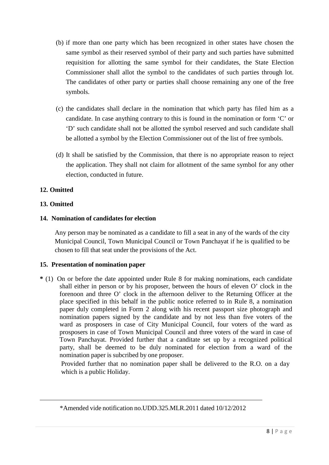- (b) if more than one party which has been recognized in other states have chosen the same symbol as their reserved symbol of their party and such parties have submitted requisition for allotting the same symbol for their candidates, the State Election Commissioner shall allot the symbol to the candidates of such parties through lot. The candidates of other party or parties shall choose remaining any one of the free symbols.
- (c) the candidates shall declare in the nomination that which party has filed him as a candidate. In case anything contrary to this is found in the nomination or form 'C' or 'D' such candidate shall not be allotted the symbol reserved and such candidate shall be allotted a symbol by the Election Commissioner out of the list of free symbols.
- (d) It shall be satisfied by the Commission, that there is no appropriate reason to reject the application. They shall not claim for allotment of the same symbol for any other election, conducted in future.

## **12. Omitted**

## **13. Omitted**

## **14. Nomination of candidates for election**

Any person may be nominated as a candidate to fill a seat in any of the wards of the city Municipal Council, Town Municipal Council or Town Panchayat if he is qualified to be chosen to fill that seat under the provisions of the Act.

## **15. Presentation of nomination paper**

**\*** (1) On or before the date appointed under Rule 8 for making nominations, each candidate shall either in person or by his proposer, between the hours of eleven O' clock in the forenoon and three O' clock in the afternoon deliver to the Returning Officer at the place specified in this behalf in the public notice referred to in Rule 8, a nomination paper duly completed in Form 2 along with his recent passport size photograph and nomination papers signed by the candidate and by not less than five voters of the ward as prosposers in case of City Municipal Council, four voters of the ward as prosposers in case of Town Municipal Council and three voters of the ward in case of Town Panchayat. Provided further that a canditate set up by a recognized political party, shall be deemed to be duly nominated for election from a ward of the nomination paper is subcribed by one proposer.

Provided further that no nomination paper shall be delivered to the R.O. on a day which is a public Holiday.

<sup>\*</sup>Amended vide notification no.UDD.325.MLR.2011 dated 10/12/2012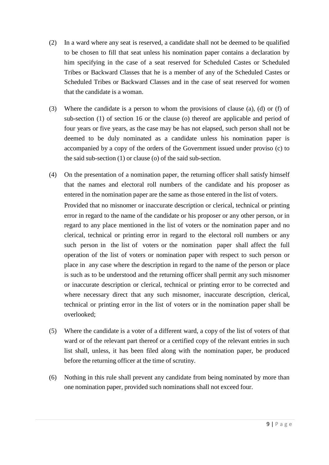- (2) In a ward where any seat is reserved, a candidate shall not be deemed to be qualified to be chosen to fill that seat unless his nomination paper contains a declaration by him specifying in the case of a seat reserved for Scheduled Castes or Scheduled Tribes or Backward Classes that he is a member of any of the Scheduled Castes or Scheduled Tribes or Backward Classes and in the case of seat reserved for women that the candidate is a woman.
- (3) Where the candidate is a person to whom the provisions of clause (a), (d) or (f) of sub-section (1) of section 16 or the clause (o) thereof are applicable and period of four years or five years, as the case may be has not elapsed, such person shall not be deemed to be duly nominated as a candidate unless his nomination paper is accompanied by a copy of the orders of the Government issued under proviso (c) to the said sub-section (1) or clause (o) of the said sub-section.
- (4) On the presentation of a nomination paper, the returning officer shall satisfy himself that the names and electoral roll numbers of the candidate and his proposer as entered in the nomination paper are the same as those entered in the list of voters. Provided that no misnomer or inaccurate description or clerical, technical or printing error in regard to the name of the candidate or his proposer or any other person, or in regard to any place mentioned in the list of voters or the nomination paper and no clerical, technical or printing error in regard to the electoral roll numbers or any such person in the list of voters or the nomination paper shall affect the full operation of the list of voters or nomination paper with respect to such person or place in any case where the description in regard to the name of the person or place is such as to be understood and the returning officer shall permit any such misnomer or inaccurate description or clerical, technical or printing error to be corrected and where necessary direct that any such misnomer, inaccurate description, clerical, technical or printing error in the list of voters or in the nomination paper shall be overlooked;
- (5) Where the candidate is a voter of a different ward, a copy of the list of voters of that ward or of the relevant part thereof or a certified copy of the relevant entries in such list shall, unless, it has been filed along with the nomination paper, be produced before the returning officer at the time of scrutiny.
- (6) Nothing in this rule shall prevent any candidate from being nominated by more than one nomination paper, provided such nominations shall not exceed four.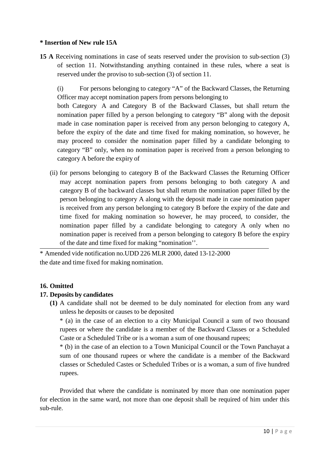## **\* Insertion of New rule 15A**

**15 A** Receiving nominations in case of seats reserved under the provision to sub-section (3) of section 11. Notwithstanding anything contained in these rules, where a seat is reserved under the proviso to sub-section (3) of section 11.

(i) For persons belonging to category "A" of the Backward Classes, the Returning Officer may accept nomination papers from persons belonging to

both Category A and Category B of the Backward Classes, but shall return the nomination paper filled by a person belonging to category "B" along with the deposit made in case nomination paper is received from any person belonging to category A, before the expiry of the date and time fixed for making nomination, so however, he may proceed to consider the nomination paper filled by a candidate belonging to category "B" only, when no nomination paper is received from a person belonging to category A before the expiry of

(ii) for persons belonging to category B of the Backward Classes the Returning Officer may accept nomination papers from persons belonging to both category A and category B of the backward classes but shall return the nomination paper filled by the person belonging to category A along with the deposit made in case nomination paper is received from any person belonging to category B before the expiry of the date and time fixed for making nomination so however, he may proceed, to consider, the nomination paper filled by a candidate belonging to category A only when no nomination paper is received from a person belonging to category B before the expiry of the date and time fixed for making "nomination''.

\* Amended vide notification no.UDD 226 MLR 2000, dated 13-12-2000 the date and time fixed for making nomination.

## **16. Omitted**

#### **17. Deposits by candidates**

**(1)** A candidate shall not be deemed to be duly nominated for election from any ward unless he deposits or causes to be deposited

\* (a) in the case of an election to a city Municipal Council a sum of two thousand rupees or where the candidate is a member of the Backward Classes or a Scheduled Caste or a Scheduled Tribe or is a woman a sum of one thousand rupees;

\* (b) in the case of an election to a Town Municipal Council or the Town Panchayat a sum of one thousand rupees or where the candidate is a member of the Backward classes or Scheduled Castes or Scheduled Tribes or is a woman, a sum of five hundred rupees.

Provided that where the candidate is nominated by more than one nomination paper for election in the same ward, not more than one deposit shall be required of him under this sub-rule.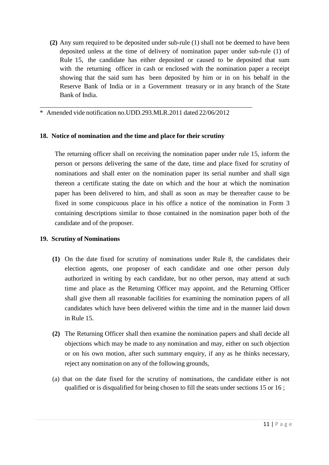**(2)** Any sum required to be deposited under sub-rule (1) shall not be deemed to have been deposited unless at the time of delivery of nomination paper under sub-rule (1) of Rule 15, the candidate has either deposited or caused to be deposited that sum with the returning officer in cash or enclosed with the nomination paper a receipt showing that the said sum has been deposited by him or in on his behalf in the Reserve Bank of India or in a Government treasury or in any branch of the State Bank of India.

\* Amended vide notification no.UDD.293.MLR.2011 dated 22/06/2012

#### **18. Notice of nomination and the time and place for their scrutiny**

The returning officer shall on receiving the nomination paper under rule 15, inform the person or persons delivering the same of the date, time and place fixed for scrutiny of nominations and shall enter on the nomination paper its serial number and shall sign thereon a certificate stating the date on which and the hour at which the nomination paper has been delivered to him, and shall as soon as may be thereafter cause to be fixed in some conspicuous place in his office a notice of the nomination in Form 3 containing descriptions similar to those contained in the nomination paper both of the candidate and of the proposer.

## **19. Scrutiny of Nominations**

- **(1)** On the date fixed for scrutiny of nominations under Rule 8, the candidates their election agents, one proposer of each candidate and one other person duly authorized in writing by each candidate, but no other person, may attend at such time and place as the Returning Officer may appoint, and the Returning Officer shall give them all reasonable facilities for examining the nomination papers of all candidates which have been delivered within the time and in the manner laid down in Rule 15.
- **(2)** The Returning Officer shall then examine the nomination papers and shall decide all objections which may be made to any nomination and may, either on such objection or on his own motion, after such summary enquiry, if any as he thinks necessary, reject any nomination on any of the following grounds,
- (a) that on the date fixed for the scrutiny of nominations, the candidate either is not qualified or is disqualified for being chosen to fill the seats under sections 15 or 16 ;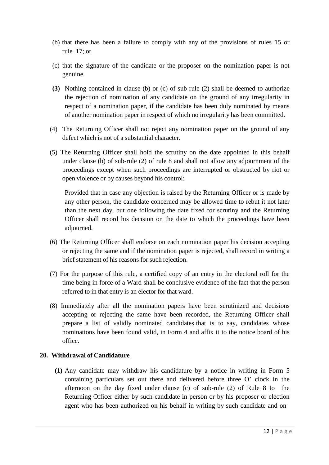- (b) that there has been a failure to comply with any of the provisions of rules 15 or rule 17; or
- (c) that the signature of the candidate or the proposer on the nomination paper is not genuine.
- **(3)** Nothing contained in clause (b) or (c) of sub-rule (2) shall be deemed to authorize the rejection of nomination of any candidate on the ground of any irregularity in respect of a nomination paper, if the candidate has been duly nominated by means of another nomination paper in respect of which no irregularity has been committed.
- (4) The Returning Officer shall not reject any nomination paper on the ground of any defect which is not of a substantial character.
- (5) The Returning Officer shall hold the scrutiny on the date appointed in this behalf under clause (b) of sub-rule (2) of rule 8 and shall not allow any adjournment of the proceedings except when such proceedings are interrupted or obstructed by riot or open violence or by causes beyond his control:

Provided that in case any objection is raised by the Returning Officer or is made by any other person, the candidate concerned may be allowed time to rebut it not later than the next day, but one following the date fixed for scrutiny and the Returning Officer shall record his decision on the date to which the proceedings have been adjourned.

- (6) The Returning Officer shall endorse on each nomination paper his decision accepting or rejecting the same and if the nomination paper is rejected, shall record in writing a brief statement of his reasons for such rejection.
- (7) For the purpose of this rule, a certified copy of an entry in the electoral roll for the time being in force of a Ward shall be conclusive evidence of the fact that the person referred to in that entry is an elector for that ward.
- (8) Immediately after all the nomination papers have been scrutinized and decisions accepting or rejecting the same have been recorded, the Returning Officer shall prepare a list of validly nominated candidates that is to say, candidates whose nominations have been found valid, in Form 4 and affix it to the notice board of his office.

## **20. Withdrawal of Candidature**

**(1)** Any candidate may withdraw his candidature by a notice in writing in Form 5 containing particulars set out there and delivered before three O' clock in the afternoon on the day fixed under clause (c) of sub-rule (2) of Rule 8 to the Returning Officer either by such candidate in person or by his proposer or election agent who has been authorized on his behalf in writing by such candidate and on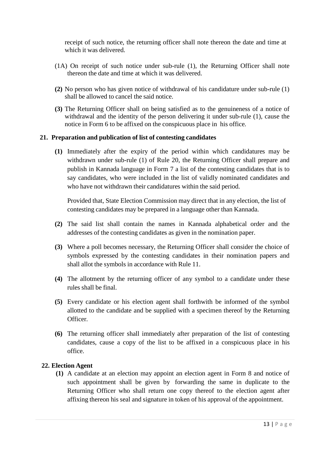receipt of such notice, the returning officer shall note thereon the date and time at which it was delivered.

- (1A) On receipt of such notice under sub-rule (1), the Returning Officer shall note thereon the date and time at which it was delivered.
- **(2)** No person who has given notice of withdrawal of his candidature under sub-rule (1) shall be allowed to cancel the said notice.
- **(3)** The Returning Officer shall on being satisfied as to the genuineness of a notice of withdrawal and the identity of the person delivering it under sub-rule (1), cause the notice in Form 6 to be affixed on the conspicuous place in his office.

#### **21. Preparation and publication of list of contesting candidates**

**(1)** Immediately after the expiry of the period within which candidatures may be withdrawn under sub-rule (1) of Rule 20, the Returning Officer shall prepare and publish in Kannada language in Form 7 a list of the contesting candidates that is to say candidates, who were included in the list of validly nominated candidates and who have not withdrawn their candidatures within the said period.

Provided that, State Election Commission may direct that in any election, the list of contesting candidates may be prepared in a language other than Kannada.

- **(2)** The said list shall contain the names in Kannada alphabetical order and the addresses of the contesting candidates as given in the nomination paper.
- **(3)** Where a poll becomes necessary, the Returning Officer shall consider the choice of symbols expressed by the contesting candidates in their nomination papers and shall allot the symbols in accordance with Rule 11.
- **(4)** The allotment by the returning officer of any symbol to a candidate under these rules shall be final.
- **(5)** Every candidate or his election agent shall forthwith be informed of the symbol allotted to the candidate and be supplied with a specimen thereof by the Returning Officer.
- **(6)** The returning officer shall immediately after preparation of the list of contesting candidates, cause a copy of the list to be affixed in a conspicuous place in his office.

#### **22. Election Agent**

**(1)** A candidate at an election may appoint an election agent in Form 8 and notice of such appointment shall be given by forwarding the same in duplicate to the Returning Officer who shall return one copy thereof to the election agent after affixing thereon his seal and signature in token of his approval of the appointment.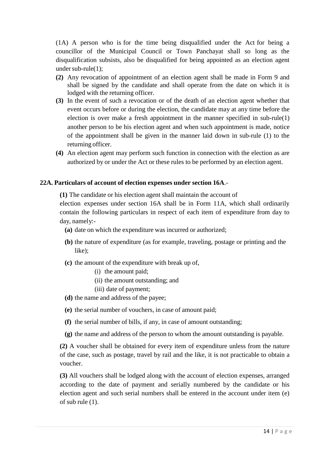(1A) A person who is for the time being disqualified under the Act for being a councillor of the Municipal Council or Town Panchayat shall so long as the disqualification subsists, also be disqualified for being appointed as an election agent under sub-rule(1);

- **(2)** Any revocation of appointment of an election agent shall be made in Form 9 and shall be signed by the candidate and shall operate from the date on which it is lodged with the returning officer.
- **(3)** In the event of such a revocation or of the death of an election agent whether that event occurs before or during the election, the candidate may at any time before the election is over make a fresh appointment in the manner specified in sub-rule(1) another person to be his election agent and when such appointment is made, notice of the appointment shall be given in the manner laid down in sub-rule (1) to the returning officer.
- **(4)** An election agent may perform such function in connection with the election as are authorized by or under the Act or these rules to be performed by an election agent.

#### **22A. Particulars of account of election expenses under section 16A**.-

**(1)** The candidate or his election agent shall maintain the account of election expenses under section 16A shall be in Form 11A, which shall ordinarily contain the following particulars in respect of each item of expenditure from day to day, namely:-

- **(a)** date on which the expenditure was incurred or authorized;
- **(b)** the nature of expenditure (as for example, traveling, postage or printing and the like);
- **(c)** the amount of the expenditure with break up of,
	- (i) the amount paid;
	- (ii) the amount outstanding; and
	- (iii) date of payment;
- **(d)** the name and address of the payee;
- **(e)** the serial number of vouchers, in case of amount paid;
- **(f)** the serial number of bills, if any, in case of amount outstanding;
- **(g)** the name and address of the person to whom the amount outstanding is payable.

**(2)** A voucher shall be obtained for every item of expenditure unless from the nature of the case, such as postage, travel by rail and the like, it is not practicable to obtain a voucher.

**(3)** All vouchers shall be lodged along with the account of election expenses, arranged according to the date of payment and serially numbered by the candidate or his election agent and such serial numbers shall be entered in the account under item (e) of sub rule (1).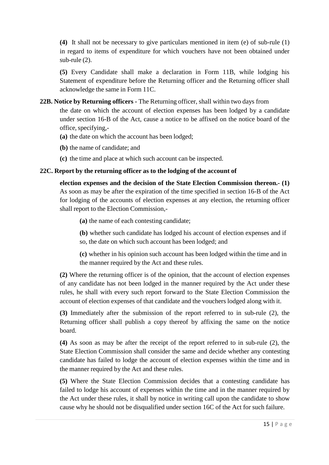**(4)** It shall not be necessary to give particulars mentioned in item (e) of sub-rule (1) in regard to items of expenditure for which vouchers have not been obtained under sub-rule (2).

**(5)** Every Candidate shall make a declaration in Form 11B, while lodging his Statement of expenditure before the Returning officer and the Returning officer shall acknowledge the same in Form 11C.

**22B. Notice by Returning officers -** The Returning officer, shall within two days from

the date on which the account of election expenses has been lodged by a candidate under section 16-B of the Act, cause a notice to be affixed on the notice board of the office, specifying,-

- **(a)** the date on which the account has been lodged;
- **(b)** the name of candidate; and
- **(c)** the time and place at which such account can be inspected.

## **22C. Report by the returning officer as to the lodging of the account of**

**election expenses and the decision of the State Election Commission thereon.- (1)** As soon as may be after the expiration of the time specified in section 16-B of the Act for lodging of the accounts of election expenses at any election, the returning officer shall report to the Election Commission,-

**(a)** the name of each contesting candidate;

**(b)** whether such candidate has lodged his account of election expenses and if so, the date on which such account has been lodged; and

**(c)** whether in his opinion such account has been lodged within the time and in the manner required by the Act and these rules.

**(2)** Where the returning officer is of the opinion, that the account of election expenses of any candidate has not been lodged in the manner required by the Act under these rules, he shall with every such report forward to the State Election Commission the account of election expenses of that candidate and the vouchers lodged along with it.

**(3)** Immediately after the submission of the report referred to in sub-rule (2), the Returning officer shall publish a copy thereof by affixing the same on the notice board.

**(4)** As soon as may be after the receipt of the report referred to in sub-rule (2), the State Election Commission shall consider the same and decide whether any contesting candidate has failed to lodge the account of election expenses within the time and in the manner required by the Act and these rules.

**(5)** Where the State Election Commission decides that a contesting candidate has failed to lodge his account of expenses within the time and in the manner required by the Act under these rules, it shall by notice in writing call upon the candidate to show cause why he should not be disqualified under section 16C of the Act for such failure.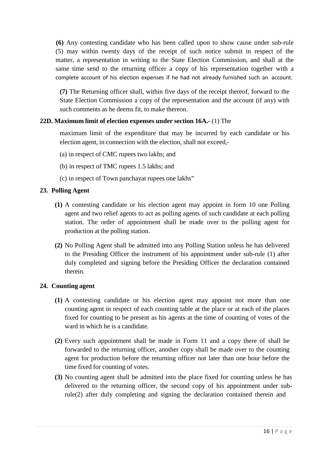**(6)** Any contesting candidate who has been called upon to show cause under sub-rule (5) may within twenty days of the receipt of such notice submit in respect of the matter, a representation in writing to the State Election Commission, and shall at the same time send to the returning officer a copy of his representation together with a complete account of his election expenses if he had not already furnished such an account.

**(7)** The Returning officer shall, within five days of the receipt thereof, forward to the State Election Commission a copy of the representation and the account (if any) with such comments as he deems fit, to make thereon.

## **22D. Maximum limit of election expenses under section 16A.-** (1) The

maximum limit of the expenditure that may be incurred by each candidate or his election agent, in connection with the election, shall not exceed,-

- (a) in respect of CMC rupees two lakhs; and
- (b) in respect of TMC rupees 1.5 lakhs; and
- (c) in respect of Town panchayat rupees one lakhs"

## **23. Polling Agent**

- **(1)** A contesting candidate or his election agent may appoint in form 10 one Polling agent and two relief agents to act as polling agents of such candidate at each polling station. The order of appointment shall be made over to the polling agent for production at the polling station.
- **(2)** No Polling Agent shall be admitted into any Polling Station unless he has delivered to the Presiding Officer the instrument of his appointment under sub-rule (1) after duly completed and signing before the Presiding Officer the declaration contained therein.

## **24. Counting agent**

- **(1)** A contesting candidate or his election agent may appoint not more than one counting agent in respect of each counting table at the place or at each of the places fixed for counting to be present as his agents at the time of counting of votes of the ward in which he is a candidate.
- **(2)** Every such appointment shall be made in Form 11 and a copy there of shall be forwarded to the returning officer, another copy shall be made over to the counting agent for production before the returning officer not later than one hour before the time fixed for counting of votes.
- **(3)** No counting agent shall be admitted into the place fixed for counting unless he has delivered to the returning officer, the second copy of his appointment under subrule(2) after duly completing and signing the declaration contained therein and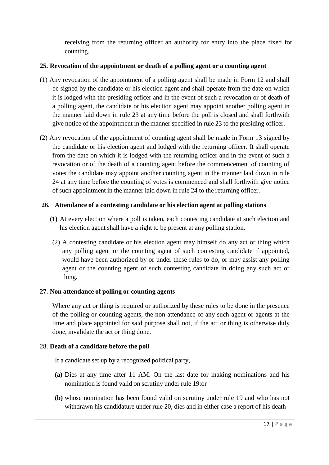receiving from the returning officer an authority for entry into the place fixed for counting.

## **25. Revocation of the appointment or death of a polling agent or a counting agent**

- (1) Any revocation of the appointment of a polling agent shall be made in Form 12 and shall be signed by the candidate or his election agent and shall operate from the date on which it is lodged with the presiding officer and in the event of such a revocation or of death of a polling agent, the candidate or his election agent may appoint another polling agent in the manner laid down in rule 23 at any time before the poll is closed and shall forthwith give notice of the appointment in the manner specified in rule 23 to the presiding officer.
- (2) Any revocation of the appointment of counting agent shall be made in Form 13 signed by the candidate or his election agent and lodged with the returning officer. It shall operate from the date on which it is lodged with the returning officer and in the event of such a revocation or of the death of a counting agent before the commencement of counting of votes the candidate may appoint another counting agent in the manner laid down in rule 24 at any time before the counting of votes is commenced and shall forthwith give notice of such appointment in the manner laid down in rule 24 to the returning officer.

## **26. Attendance of a contesting candidate or his election agent at polling stations**

- **(1)** At every election where a poll is taken, each contesting candidate at such election and his election agent shall have a right to be present at any polling station.
- (2) A contesting candidate or his election agent may himself do any act or thing which any polling agent or the counting agent of such contesting candidate if appointed, would have been authorized by or under these rules to do, or may assist any polling agent or the counting agent of such contesting candidate in doing any such act or thing.

## **27. Non attendance of polling or counting agents**

Where any act or thing is required or authorized by these rules to be done in the presence of the polling or counting agents, the non-attendance of any such agent or agents at the time and place appointed for said purpose shall not, if the act or thing is otherwise duly done, invalidate the act or thing done.

## 28. **Death of a candidate before the poll**

If a candidate set up by a recognized political party,

- **(a)** Dies at any time after 11 AM. On the last date for making nominations and his nomination is found valid on scrutiny under rule 19;or
- **(b)** whose nomination has been found valid on scrutiny under rule 19 and who has not withdrawn his candidature under rule 20, dies and in either case a report of his death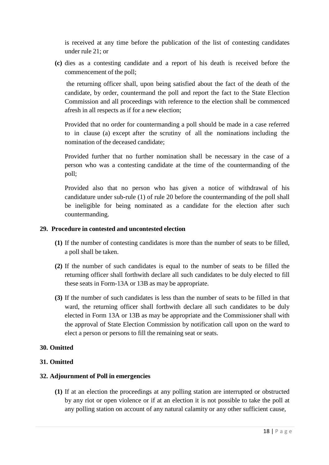is received at any time before the publication of the list of contesting candidates under rule 21; or

**(c)** dies as a contesting candidate and a report of his death is received before the commencement of the poll;

the returning officer shall, upon being satisfied about the fact of the death of the candidate, by order, countermand the poll and report the fact to the State Election Commission and all proceedings with reference to the election shall be commenced afresh in all respects as if for a new election;

Provided that no order for countermanding a poll should be made in a case referred to in clause (a) except after the scrutiny of all the nominations including the nomination of the deceased candidate;

Provided further that no further nomination shall be necessary in the case of a person who was a contesting candidate at the time of the countermanding of the poll;

Provided also that no person who has given a notice of withdrawal of his candidature under sub-rule (1) of rule 20 before the countermanding of the poll shall be ineligible for being nominated as a candidate for the election after such countermanding.

## **29. Procedure in contested and uncontested election**

- **(1)** If the number of contesting candidates is more than the number of seats to be filled, a poll shall be taken.
- **(2)** If the number of such candidates is equal to the number of seats to be filled the returning officer shall forthwith declare all such candidates to be duly elected to fill these seats in Form-13A or 13B as may be appropriate.
- **(3)** If the number of such candidates is less than the number of seats to be filled in that ward, the returning officer shall forthwith declare all such candidates to be duly elected in Form 13A or 13B as may be appropriate and the Commissioner shall with the approval of State Election Commission by notification call upon on the ward to elect a person or persons to fill the remaining seat or seats.

## **30. Omitted**

## **31. Omitted**

## **32. Adjournment of Poll in emergencies**

**(1)** If at an election the proceedings at any polling station are interrupted or obstructed by any riot or open violence or if at an election it is not possible to take the poll at any polling station on account of any natural calamity or any other sufficient cause,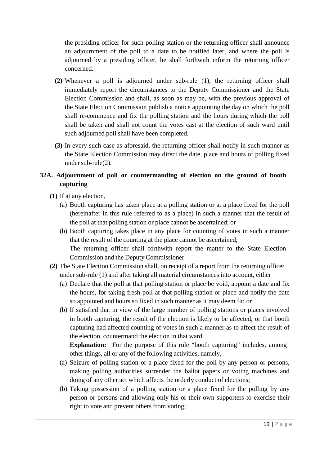the presiding officer for such polling station or the returning officer shall announce an adjournment of the poll to a date to be notified later, and where the poll is adjourned by a presiding officer, he shall forthwith inform the returning officer concerned.

- **(2)** Whenever a poll is adjourned under sub-rule (1), the returning officer shall immediately report the circumstances to the Deputy Commissioner and the State Election Commission and shall, as soon as may be, with the previous approval of the State Election Commission publish a notice appointing the day on which the poll shall re-commence and fix the polling station and the hours during which the poll shall be taken and shall not count the votes cast at the election of such ward until such adjourned poll shall have been completed.
- **(3)** In every such case as aforesaid, the returning officer shall notify in such manner as the State Election Commission may direct the date, place and hours of polling fixed under sub-rule(2).

## **32A. Adjournment of poll or countermanding of election on the ground of booth capturing**

## **(1)** If at any election,

- (a) Booth capturing has taken place at a polling station or at a place fixed for the poll (hereinafter in this rule referred to as a place) in such a manner that the result of the poll at that polling station or place cannot be ascertained; or
- (b) Booth capturing takes place in any place for counting of votes in such a manner that the result of the counting at the place cannot be ascertained; The returning officer shall forthwith report the matter to the State Election Commission and the Deputy Commissioner.
- **(2)** The State Election Commission shall, on receipt of a report from the returning officer under sub-rule (1) and after taking all material circumstances into account, either
	- (a) Declare that the poll at that polling station or place be void, appoint a date and fix the hours, for taking fresh poll at that polling station or place and notify the date so appointed and hours so fixed in such manner as it may deem fit; or
	- (b) If satisfied that in view of the large number of polling stations or places involved in booth capturing, the result of the election is likely to be affected, or that booth capturing had affected counting of votes in such a manner as to affect the result of the election, countermand the election in that ward.

**Explanation:** For the purpose of this rule "booth capturing" includes, among other things, all or any of the following activities, namely,

- (a) Seizure of polling station or a place fixed for the poll by any person or persons, making polling authorities surrender the ballot papers or voting machines and doing of any other act which affects the orderly conduct of elections;
- (b) Taking possession of a polling station or a place fixed for the polling by any person or persons and allowing only his or their own supporters to exercise their right to vote and prevent others from voting;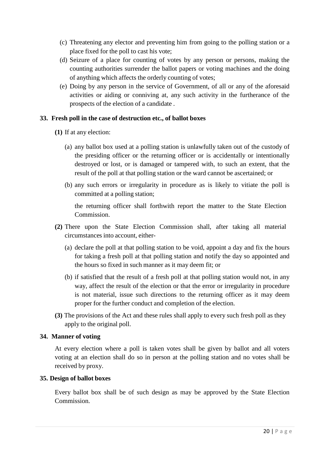- (c) Threatening any elector and preventing him from going to the polling station or a place fixed for the poll to cast his vote;
- (d) Seizure of a place for counting of votes by any person or persons, making the counting authorities surrender the ballot papers or voting machines and the doing of anything which affects the orderly counting of votes;
- (e) Doing by any person in the service of Government, of all or any of the aforesaid activities or aiding or conniving at, any such activity in the furtherance of the prospects of the election of a candidate .

#### **33. Fresh poll in the case of destruction etc., of ballot boxes**

- **(1)** If at any election:
	- (a) any ballot box used at a polling station is unlawfully taken out of the custody of the presiding officer or the returning officer or is accidentally or intentionally destroyed or lost, or is damaged or tampered with, to such an extent, that the result of the poll at that polling station or the ward cannot be ascertained; or
	- (b) any such errors or irregularity in procedure as is likely to vitiate the poll is committed at a polling station;

the returning officer shall forthwith report the matter to the State Election Commission.

- **(2)** There upon the State Election Commission shall, after taking all material circumstances into account, either-
	- (a) declare the poll at that polling station to be void, appoint a day and fix the hours for taking a fresh poll at that polling station and notify the day so appointed and the hours so fixed in such manner as it may deem fit; or
	- (b) if satisfied that the result of a fresh poll at that polling station would not, in any way, affect the result of the election or that the error or irregularity in procedure is not material, issue such directions to the returning officer as it may deem proper for the further conduct and completion of the election.
- **(3)** The provisions of the Act and these rules shall apply to every such fresh poll as they apply to the original poll.

#### **34. Manner of voting**

At every election where a poll is taken votes shall be given by ballot and all voters voting at an election shall do so in person at the polling station and no votes shall be received by proxy.

#### **35. Design of ballot boxes**

Every ballot box shall be of such design as may be approved by the State Election Commission.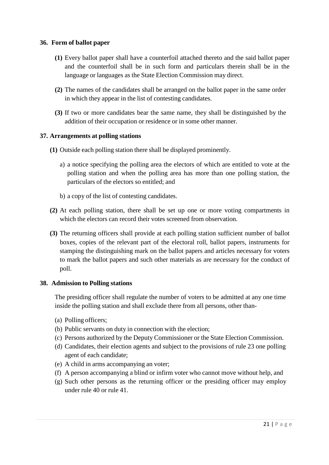#### **36. Form of ballot paper**

- **(1)** Every ballot paper shall have a counterfoil attached thereto and the said ballot paper and the counterfoil shall be in such form and particulars therein shall be in the language or languages as the State Election Commission may direct.
- **(2)** The names of the candidates shall be arranged on the ballot paper in the same order in which they appear in the list of contesting candidates.
- **(3)** If two or more candidates bear the same name, they shall be distinguished by the addition of their occupation or residence or in some other manner.

#### **37. Arrangements at polling stations**

- **(1)** Outside each polling station there shall be displayed prominently.
	- a) a notice specifying the polling area the electors of which are entitled to vote at the polling station and when the polling area has more than one polling station, the particulars of the electors so entitled; and
	- b) a copy of the list of contesting candidates.
- **(2)** At each polling station, there shall be set up one or more voting compartments in which the electors can record their votes screened from observation.
- **(3)** The returning officers shall provide at each polling station sufficient number of ballot boxes, copies of the relevant part of the electoral roll, ballot papers, instruments for stamping the distinguishing mark on the ballot papers and articles necessary for voters to mark the ballot papers and such other materials as are necessary for the conduct of poll.

#### **38. Admission to Polling stations**

The presiding officer shall regulate the number of voters to be admitted at any one time inside the polling station and shall exclude there from all persons, other than-

- (a) Polling officers;
- (b) Public servants on duty in connection with the election;
- (c) Persons authorized by the Deputy Commissioner or the State Election Commission.
- (d) Candidates, their election agents and subject to the provisions of rule 23 one polling agent of each candidate;
- (e) A child in arms accompanying an voter;
- (f) A person accompanying a blind or infirm voter who cannot move without help, and
- (g) Such other persons as the returning officer or the presiding officer may employ under rule 40 or rule 41.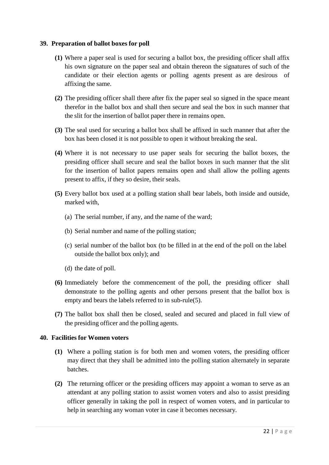#### **39. Preparation of ballot boxes for poll**

- **(1)** Where a paper seal is used for securing a ballot box, the presiding officer shall affix his own signature on the paper seal and obtain thereon the signatures of such of the candidate or their election agents or polling agents present as are desirous of affixing the same.
- **(2)** The presiding officer shall there after fix the paper seal so signed in the space meant therefor in the ballot box and shall then secure and seal the box in such manner that the slit for the insertion of ballot paper there in remains open.
- **(3)** The seal used for securing a ballot box shall be affixed in such manner that after the box has been closed it is not possible to open it without breaking the seal.
- **(4)** Where it is not necessary to use paper seals for securing the ballot boxes, the presiding officer shall secure and seal the ballot boxes in such manner that the slit for the insertion of ballot papers remains open and shall allow the polling agents present to affix, if they so desire, their seals.
- **(5)** Every ballot box used at a polling station shall bear labels, both inside and outside, marked with,
	- (a) The serial number, if any, and the name of the ward;
	- (b) Serial number and name of the polling station;
	- (c) serial number of the ballot box (to be filled in at the end of the poll on the label outside the ballot box only); and
	- (d) the date of poll.
- **(6)** Immediately before the commencement of the poll, the presiding officer shall demonstrate to the polling agents and other persons present that the ballot box is empty and bears the labels referred to in sub-rule(5).
- **(7)** The ballot box shall then be closed, sealed and secured and placed in full view of the presiding officer and the polling agents.

## **40. Facilities for Women voters**

- **(1)** Where a polling station is for both men and women voters, the presiding officer may direct that they shall be admitted into the polling station alternately in separate batches.
- **(2)** The returning officer or the presiding officers may appoint a woman to serve as an attendant at any polling station to assist women voters and also to assist presiding officer generally in taking the poll in respect of women voters, and in particular to help in searching any woman voter in case it becomes necessary.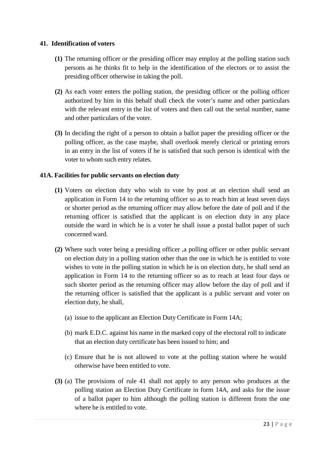#### **41. Identification of voters**

- **(1)** The returning officer or the presiding officer may employ at the polling station such persons as he thinks fit to help in the identification of the electors or to assist the presiding officer otherwise in taking the poll.
- **(2)** As each voter enters the polling station, the presiding officer or the polling officer authorized by him in this behalf shall check the voter's name and other particulars with the relevant entry in the list of voters and then call out the serial number, name and other particulars of the voter.
- **(3)** In deciding the right of a person to obtain a ballot paper the presiding officer or the polling officer, as the case maybe, shall overlook merely clerical or printing errors in an entry in the list of voters if he is satisfied that such person is identical with the voter to whom such entry relates.

## **41A. Facilities for public servants on election duty**

- **(1)** Voters on election duty who wish to vote by post at an election shall send an application in Form 14 to the returning officer so as to reach him at least seven days or shorter period as the returning officer may allow before the date of poll and if the returning officer is satisfied that the applicant is on election duty in any place outside the ward in which he is a voter he shall issue a postal ballot paper of such concerned ward.
- **(2)** Where such voter being a presiding officer ,a polling officer or other public servant on election duty in a polling station other than the one in which he is entitled to vote wishes to vote in the polling station in which he is on election duty, he shall send an application in Form 14 to the returning officer so as to reach at least four days or such shorter period as the returning officer may allow before the day of poll and if the returning officer is satisfied that the applicant is a public servant and voter on election duty, he shall,
	- (a) issue to the applicant an Election Duty Certificate in Form 14A;
	- (b) mark E.D.C. against his name in the marked copy of the electoral roll to indicate that an election duty certificate has been issued to him; and
	- (c) Ensure that he is not allowed to vote at the polling station where he would otherwise have been entitled to vote.
- **(3)** (a) The provisions of rule 41 shall not apply to any person who produces at the polling station an Election Duty Certificate in form 14A, and asks for the issue of a ballot paper to him although the polling station is different from the one where he is entitled to vote.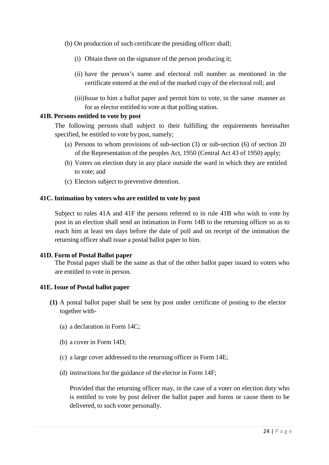- (b) On production of such certificate the presiding officer shall;
	- (i) Obtain there on the signature of the person producing it;
	- (ii) have the person's name and electoral roll number as mentioned in the certificate entered at the end of the marked copy of the electoral roll; and
	- (iii)Issue to him a ballot paper and permit him to vote, in the same manner as for as elector entitled to vote at that polling station.

#### **41B. Persons entitled to vote by post**

The following persons shall subject to their fulfilling the requirements hereinafter specified, be entitled to vote by post, namely;

- (a) Persons to whom provisions of sub-section (3) or sub-section (6) of section 20 of the Representation of the peoples Act, 1950 (Central Act 43 of 1950) apply;
- (b) Voters on election duty in any place outside the ward in which they are entitled to vote; and
- (c) Electors subject to preventive detention.

#### **41C. Intimation by voters who are entitled to vote by post**

Subject to rules 41A and 41F the persons referred to in rule 41B who wish to vote by post in an election shall send an intimation in Form 14B to the returning officer so as to reach him at least ten days before the date of poll and on receipt of the intimation the returning officer shall issue a postal ballot paper to him.

#### **41D. Form of Postal Ballot paper**

The Postal paper shall be the same as that of the other ballot paper issued to voters who are entitled to vote in person.

#### **41E. Issue of Postal ballot paper**

- **(1)** A postal ballot paper shall be sent by post under certificate of posting to the elector together with-
	- (a) a declaration in Form 14C;
	- (b) a cover in Form 14D;
	- (c) a large cover addressed to the returning officer in Form 14E;
	- (d) instructions for the guidance of the elector in Form 14F;

Provided that the returning officer may, in the case of a voter on election duty who is entitled to vote by post deliver the ballot paper and forms or cause them to be delivered, to such voter personally.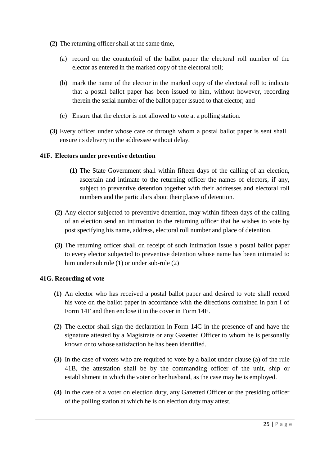- **(2)** The returning officer shall at the same time,
	- (a) record on the counterfoil of the ballot paper the electoral roll number of the elector as entered in the marked copy of the electoral roll;
	- (b) mark the name of the elector in the marked copy of the electoral roll to indicate that a postal ballot paper has been issued to him, without however, recording therein the serial number of the ballot paper issued to that elector; and
	- (c) Ensure that the elector is not allowed to vote at a polling station.
- **(3)** Every officer under whose care or through whom a postal ballot paper is sent shall ensure its delivery to the addressee without delay.

## **41F. Electors under preventive detention**

- **(1)** The State Government shall within fifteen days of the calling of an election, ascertain and intimate to the returning officer the names of electors, if any, subject to preventive detention together with their addresses and electoral roll numbers and the particulars about their places of detention.
- **(2)** Any elector subjected to preventive detention, may within fifteen days of the calling of an election send an intimation to the returning officer that he wishes to vote by post specifying his name, address, electoral roll number and place of detention.
- **(3)** The returning officer shall on receipt of such intimation issue a postal ballot paper to every elector subjected to preventive detention whose name has been intimated to him under sub rule (1) or under sub-rule (2)

## **41G. Recording of vote**

- **(1)** An elector who has received a postal ballot paper and desired to vote shall record his vote on the ballot paper in accordance with the directions contained in part I of Form 14F and then enclose it in the cover in Form 14E.
- **(2)** The elector shall sign the declaration in Form 14C in the presence of and have the signature attested by a Magistrate or any Gazetted Officer to whom he is personally known or to whose satisfaction he has been identified.
- **(3)** In the case of voters who are required to vote by a ballot under clause (a) of the rule 41B, the attestation shall be by the commanding officer of the unit, ship or establishment in which the voter or her husband, as the case may be is employed.
- **(4)** In the case of a voter on election duty, any Gazetted Officer or the presiding officer of the polling station at which he is on election duty may attest.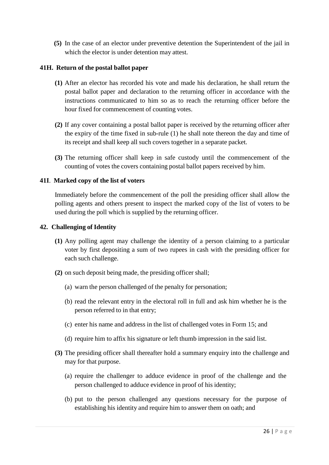**(5)** In the case of an elector under preventive detention the Superintendent of the jail in which the elector is under detention may attest.

## **41H. Return of the postal ballot paper**

- **(1)** After an elector has recorded his vote and made his declaration, he shall return the postal ballot paper and declaration to the returning officer in accordance with the instructions communicated to him so as to reach the returning officer before the hour fixed for commencement of counting votes.
- **(2)** If any cover containing a postal ballot paper is received by the returning officer after the expiry of the time fixed in sub-rule (1) he shall note thereon the day and time of its receipt and shall keep all such covers together in a separate packet.
- **(3)** The returning officer shall keep in safe custody until the commencement of the counting of votes the covers containing postal ballot papers received by him.

#### **41I**. **Marked copy of the list of voters**

Immediately before the commencement of the poll the presiding officer shall allow the polling agents and others present to inspect the marked copy of the list of voters to be used during the poll which is supplied by the returning officer.

#### **42. Challenging of Identity**

- **(1)** Any polling agent may challenge the identity of a person claiming to a particular voter by first depositing a sum of two rupees in cash with the presiding officer for each such challenge.
- **(2)** on such deposit being made, the presiding officer shall;
	- (a) warn the person challenged of the penalty for personation;
	- (b) read the relevant entry in the electoral roll in full and ask him whether he is the person referred to in that entry;
	- (c) enter his name and address in the list of challenged votes in Form 15; and
	- (d) require him to affix his signature or left thumb impression in the said list.
- **(3)** The presiding officer shall thereafter hold a summary enquiry into the challenge and may for that purpose.
	- (a) require the challenger to adduce evidence in proof of the challenge and the person challenged to adduce evidence in proof of his identity;
	- (b) put to the person challenged any questions necessary for the purpose of establishing his identity and require him to answer them on oath; and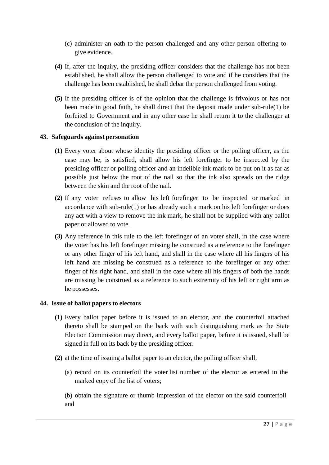- (c) administer an oath to the person challenged and any other person offering to give evidence.
- **(4)** If, after the inquiry, the presiding officer considers that the challenge has not been established, he shall allow the person challenged to vote and if he considers that the challenge has been established, he shall debar the person challenged from voting.
- **(5)** If the presiding officer is of the opinion that the challenge is frivolous or has not been made in good faith, he shall direct that the deposit made under sub-rule(1) be forfeited to Government and in any other case he shall return it to the challenger at the conclusion of the inquiry.

## **43. Safeguards against personation**

- **(1)** Every voter about whose identity the presiding officer or the polling officer, as the case may be, is satisfied, shall allow his left forefinger to be inspected by the presiding officer or polling officer and an indelible ink mark to be put on it as far as possible just below the root of the nail so that the ink also spreads on the ridge between the skin and the root of the nail.
- **(2)** If any voter refuses to allow his left forefinger to be inspected or marked in accordance with sub-rule(1) or has already such a mark on his left forefinger or does any act with a view to remove the ink mark, he shall not be supplied with any ballot paper or allowed to vote.
- **(3)** Any reference in this rule to the left forefinger of an voter shall, in the case where the voter has his left forefinger missing be construed as a reference to the forefinger or any other finger of his left hand, and shall in the case where all his fingers of his left hand are missing be construed as a reference to the forefinger or any other finger of his right hand, and shall in the case where all his fingers of both the hands are missing be construed as a reference to such extremity of his left or right arm as he possesses.

## **44. Issue of ballot papers to electors**

- **(1)** Every ballot paper before it is issued to an elector, and the counterfoil attached thereto shall be stamped on the back with such distinguishing mark as the State Election Commission may direct, and every ballot paper, before it is issued, shall be signed in full on its back by the presiding officer.
- **(2)** at the time of issuing a ballot paper to an elector, the polling officer shall,
	- (a) record on its counterfoil the voter list number of the elector as entered in the marked copy of the list of voters;

(b) obtain the signature or thumb impression of the elector on the said counterfoil and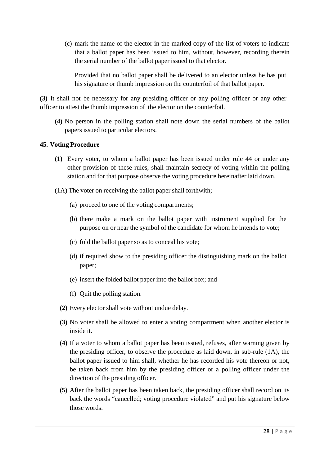(c) mark the name of the elector in the marked copy of the list of voters to indicate that a ballot paper has been issued to him, without, however, recording therein the serial number of the ballot paper issued to that elector.

Provided that no ballot paper shall be delivered to an elector unless he has put his signature or thumb impression on the counterfoil of that ballot paper.

**(3)** It shall not be necessary for any presiding officer or any polling officer or any other officer to attest the thumb impression of the elector on the counterfoil.

**(4)** No person in the polling station shall note down the serial numbers of the ballot papers issued to particular electors.

## **45. Voting Procedure**

- **(1)** Every voter, to whom a ballot paper has been issued under rule 44 or under any other provision of these rules, shall maintain secrecy of voting within the polling station and for that purpose observe the voting procedure hereinafter laid down.
- (1A) The voter on receiving the ballot paper shall forthwith;
	- (a) proceed to one of the voting compartments;
	- (b) there make a mark on the ballot paper with instrument supplied for the purpose on or near the symbol of the candidate for whom he intends to vote;
	- (c) fold the ballot paper so as to conceal his vote;
	- (d) if required show to the presiding officer the distinguishing mark on the ballot paper;
	- (e) insert the folded ballot paper into the ballot box; and
	- (f) Quit the polling station.
	- **(2)** Every elector shall vote without undue delay.
	- **(3)** No voter shall be allowed to enter a voting compartment when another elector is inside it.
	- **(4)** If a voter to whom a ballot paper has been issued, refuses, after warning given by the presiding officer, to observe the procedure as laid down, in sub-rule (1A), the ballot paper issued to him shall, whether he has recorded his vote thereon or not, be taken back from him by the presiding officer or a polling officer under the direction of the presiding officer.
	- **(5)** After the ballot paper has been taken back, the presiding officer shall record on its back the words "cancelled; voting procedure violated" and put his signature below those words.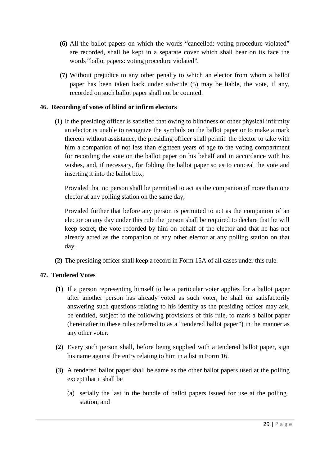- **(6)** All the ballot papers on which the words "cancelled: voting procedure violated" are recorded, shall be kept in a separate cover which shall bear on its face the words "ballot papers: voting procedure violated".
- **(7)** Without prejudice to any other penalty to which an elector from whom a ballot paper has been taken back under sub-rule (5) may be liable, the vote, if any, recorded on such ballot paper shall not be counted.

# **46. Recording of votes of blind or infirm electors**

**(1)** If the presiding officer is satisfied that owing to blindness or other physical infirmity an elector is unable to recognize the symbols on the ballot paper or to make a mark thereon without assistance, the presiding officer shall permit the elector to take with him a companion of not less than eighteen years of age to the voting compartment for recording the vote on the ballot paper on his behalf and in accordance with his wishes, and, if necessary, for folding the ballot paper so as to conceal the vote and inserting it into the ballot box;

Provided that no person shall be permitted to act as the companion of more than one elector at any polling station on the same day;

Provided further that before any person is permitted to act as the companion of an elector on any day under this rule the person shall be required to declare that he will keep secret, the vote recorded by him on behalf of the elector and that he has not already acted as the companion of any other elector at any polling station on that day.

**(2)** The presiding officer shall keep a record in Form 15A of all cases under this rule.

# **47. Tendered Votes**

- **(1)** If a person representing himself to be a particular voter applies for a ballot paper after another person has already voted as such voter, he shall on satisfactorily answering such questions relating to his identity as the presiding officer may ask, be entitled, subject to the following provisions of this rule, to mark a ballot paper (hereinafter in these rules referred to as a "tendered ballot paper") in the manner as any other voter.
- **(2)** Every such person shall, before being supplied with a tendered ballot paper, sign his name against the entry relating to him in a list in Form 16.
- **(3)** A tendered ballot paper shall be same as the other ballot papers used at the polling except that it shall be
	- (a) serially the last in the bundle of ballot papers issued for use at the polling station; and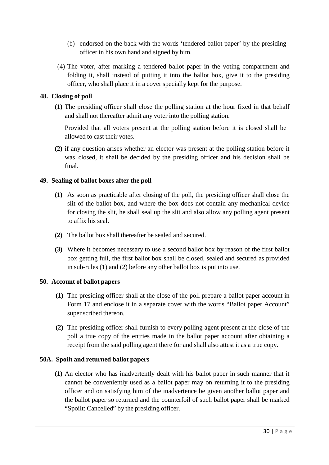- (b) endorsed on the back with the words 'tendered ballot paper' by the presiding officer in his own hand and signed by him.
- (4) The voter, after marking a tendered ballot paper in the voting compartment and folding it, shall instead of putting it into the ballot box, give it to the presiding officer, who shall place it in a cover specially kept for the purpose.

# **48. Closing of poll**

**(1)** The presiding officer shall close the polling station at the hour fixed in that behalf and shall not thereafter admit any voter into the polling station.

Provided that all voters present at the polling station before it is closed shall be allowed to cast their votes.

**(2)** if any question arises whether an elector was present at the polling station before it was closed, it shall be decided by the presiding officer and his decision shall be final.

## **49. Sealing of ballot boxes after the poll**

- **(1)** As soon as practicable after closing of the poll, the presiding officer shall close the slit of the ballot box, and where the box does not contain any mechanical device for closing the slit, he shall seal up the slit and also allow any polling agent present to affix his seal.
- **(2)** The ballot box shall thereafter be sealed and secured.
- **(3)** Where it becomes necessary to use a second ballot box by reason of the first ballot box getting full, the first ballot box shall be closed, sealed and secured as provided in sub-rules (1) and (2) before any other ballot box is put into use.

## **50. Account of ballot papers**

- **(1)** The presiding officer shall at the close of the poll prepare a ballot paper account in Form 17 and enclose it in a separate cover with the words "Ballot paper Account" super scribed thereon.
- **(2)** The presiding officer shall furnish to every polling agent present at the close of the poll a true copy of the entries made in the ballot paper account after obtaining a receipt from the said polling agent there for and shall also attest it as a true copy.

## **50A. Spoilt and returned ballot papers**

**(1)** An elector who has inadvertently dealt with his ballot paper in such manner that it cannot be conveniently used as a ballot paper may on returning it to the presiding officer and on satisfying him of the inadvertence be given another ballot paper and the ballot paper so returned and the counterfoil of such ballot paper shall be marked "Spoilt: Cancelled" by the presiding officer.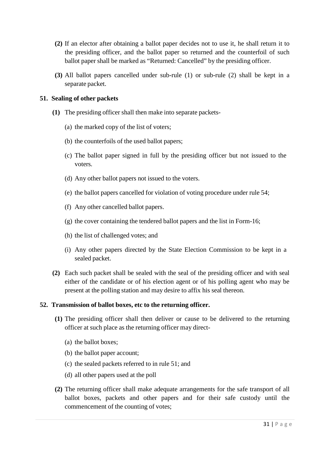- **(2)** If an elector after obtaining a ballot paper decides not to use it, he shall return it to the presiding officer, and the ballot paper so returned and the counterfoil of such ballot paper shall be marked as "Returned: Cancelled" by the presiding officer.
- **(3)** All ballot papers cancelled under sub-rule (1) or sub-rule (2) shall be kept in a separate packet.

#### **51. Sealing of other packets**

- **(1)** The presiding officer shall then make into separate packets-
	- (a) the marked copy of the list of voters;
	- (b) the counterfoils of the used ballot papers;
	- (c) The ballot paper signed in full by the presiding officer but not issued to the voters.
	- (d) Any other ballot papers not issued to the voters.
	- (e) the ballot papers cancelled for violation of voting procedure under rule 54;
	- (f) Any other cancelled ballot papers.
	- (g) the cover containing the tendered ballot papers and the list in Form-16;
	- (h) the list of challenged votes; and
	- (i) Any other papers directed by the State Election Commission to be kept in a sealed packet.
- **(2)** Each such packet shall be sealed with the seal of the presiding officer and with seal either of the candidate or of his election agent or of his polling agent who may be present at the polling station and may desire to affix his seal thereon.

#### **52. Transmission of ballot boxes, etc to the returning officer.**

- **(1)** The presiding officer shall then deliver or cause to be delivered to the returning officer at such place as the returning officer may direct-
	- (a) the ballot boxes;
	- (b) the ballot paper account;
	- (c) the sealed packets referred to in rule 51; and
	- (d) all other papers used at the poll
- **(2)** The returning officer shall make adequate arrangements for the safe transport of all ballot boxes, packets and other papers and for their safe custody until the commencement of the counting of votes;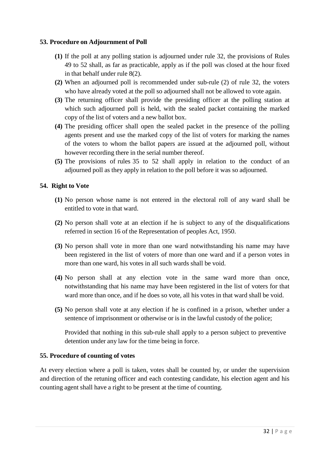#### **53. Procedure on Adjournment of Poll**

- **(1)** If the poll at any polling station is adjourned under rule 32, the provisions of Rules 49 to 52 shall, as far as practicable, apply as if the poll was closed at the hour fixed in that behalf under rule 8(2).
- **(2)** When an adjourned poll is recommended under sub-rule (2) of rule 32, the voters who have already voted at the poll so adjourned shall not be allowed to vote again.
- **(3)** The returning officer shall provide the presiding officer at the polling station at which such adjourned poll is held, with the sealed packet containing the marked copy of the list of voters and a new ballot box.
- **(4)** The presiding officer shall open the sealed packet in the presence of the polling agents present and use the marked copy of the list of voters for marking the names of the voters to whom the ballot papers are issued at the adjourned poll, without however recording there in the serial number thereof.
- **(5)** The provisions of rules 35 to 52 shall apply in relation to the conduct of an adjourned poll as they apply in relation to the poll before it was so adjourned.

#### **54. Right to Vote**

- **(1)** No person whose name is not entered in the electoral roll of any ward shall be entitled to vote in that ward.
- **(2)** No person shall vote at an election if he is subject to any of the disqualifications referred in section 16 of the Representation of peoples Act, 1950.
- **(3)** No person shall vote in more than one ward notwithstanding his name may have been registered in the list of voters of more than one ward and if a person votes in more than one ward, his votes in all such wards shall be void.
- **(4)** No person shall at any election vote in the same ward more than once, notwithstanding that his name may have been registered in the list of voters for that ward more than once, and if he does so vote, all his votes in that ward shall be void.
- **(5)** No person shall vote at any election if he is confined in a prison, whether under a sentence of imprisonment or otherwise or is in the lawful custody of the police;

Provided that nothing in this sub-rule shall apply to a person subject to preventive detention under any law for the time being in force.

#### **55. Procedure of counting of votes**

At every election where a poll is taken, votes shall be counted by, or under the supervision and direction of the retuning officer and each contesting candidate, his election agent and his counting agent shall have a right to be present at the time of counting.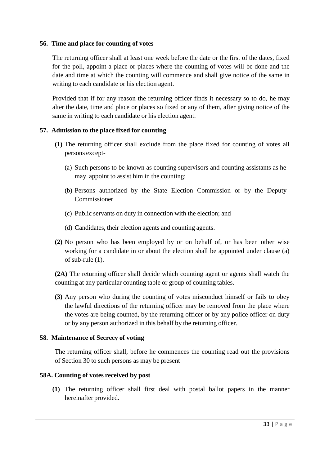#### **56. Time and place for counting of votes**

The returning officer shall at least one week before the date or the first of the dates, fixed for the poll, appoint a place or places where the counting of votes will be done and the date and time at which the counting will commence and shall give notice of the same in writing to each candidate or his election agent.

Provided that if for any reason the returning officer finds it necessary so to do, he may alter the date, time and place or places so fixed or any of them, after giving notice of the same in writing to each candidate or his election agent.

#### **57. Admission to the place fixed for counting**

- **(1)** The returning officer shall exclude from the place fixed for counting of votes all persons except-
	- (a) Such persons to be known as counting supervisors and counting assistants as he may appoint to assist him in the counting;
	- (b) Persons authorized by the State Election Commission or by the Deputy Commissioner
	- (c) Public servants on duty in connection with the election; and
	- (d) Candidates, their election agents and counting agents.
- **(2)** No person who has been employed by or on behalf of, or has been other wise working for a candidate in or about the election shall be appointed under clause (a) of sub-rule (1).

**(2A)** The returning officer shall decide which counting agent or agents shall watch the counting at any particular counting table or group of counting tables.

**(3)** Any person who during the counting of votes misconduct himself or fails to obey the lawful directions of the returning officer may be removed from the place where the votes are being counted, by the returning officer or by any police officer on duty or by any person authorized in this behalf by the returning officer.

#### **58. Maintenance of Secrecy of voting**

The returning officer shall, before he commences the counting read out the provisions of Section 30 to such persons as may be present

## **58A. Counting of votes received by post**

**(1)** The returning officer shall first deal with postal ballot papers in the manner hereinafter provided.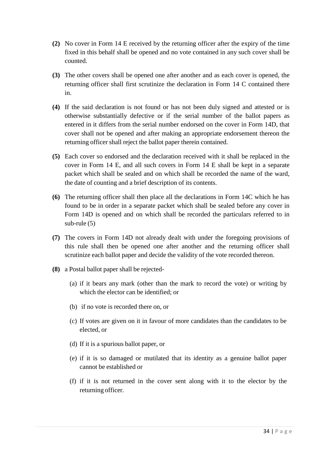- **(2)** No cover in Form 14 E received by the returning officer after the expiry of the time fixed in this behalf shall be opened and no vote contained in any such cover shall be counted.
- **(3)** The other covers shall be opened one after another and as each cover is opened, the returning officer shall first scrutinize the declaration in Form 14 C contained there in.
- **(4)** If the said declaration is not found or has not been duly signed and attested or is otherwise substantially defective or if the serial number of the ballot papers as entered in it differs from the serial number endorsed on the cover in Form 14D, that cover shall not be opened and after making an appropriate endorsement thereon the returning officer shall reject the ballot paper therein contained.
- **(5)** Each cover so endorsed and the declaration received with it shall be replaced in the cover in Form 14 E, and all such covers in Form 14 E shall be kept in a separate packet which shall be sealed and on which shall be recorded the name of the ward, the date of counting and a brief description of its contents.
- **(6)** The returning officer shall then place all the declarations in Form 14C which he has found to be in order in a separate packet which shall be sealed before any cover in Form 14D is opened and on which shall be recorded the particulars referred to in sub-rule (5)
- **(7)** The covers in Form 14D not already dealt with under the foregoing provisions of this rule shall then be opened one after another and the returning officer shall scrutinize each ballot paper and decide the validity of the vote recorded thereon.
- **(8)** a Postal ballot paper shall be rejected-
	- (a) if it bears any mark (other than the mark to record the vote) or writing by which the elector can be identified; or
	- (b) if no vote is recorded there on, or
	- (c) If votes are given on it in favour of more candidates than the candidates to be elected, or
	- (d) If it is a spurious ballot paper, or
	- (e) if it is so damaged or mutilated that its identity as a genuine ballot paper cannot be established or
	- (f) if it is not returned in the cover sent along with it to the elector by the returning officer.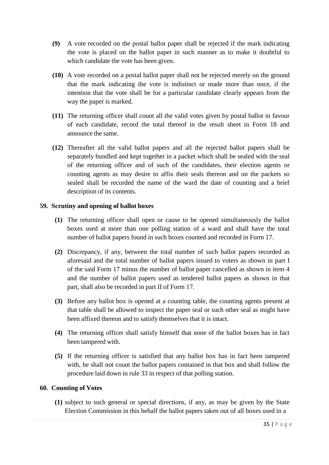- **(9)** A vote recorded on the postal ballot paper shall be rejected if the mark indicating the vote is placed on the ballot paper in such manner as to make it doubtful to which candidate the vote has been given.
- **(10)** A vote recorded on a postal ballot paper shall not be rejected merely on the ground that the mark indicating the vote is indistinct or made more than once, if the intention that the vote shall be for a particular candidate clearly appears from the way the paper is marked.
- **(11)** The returning officer shall count all the valid votes given by postal ballot in favour of each candidate, record the total thereof in the result sheet in Form 18 and announce the same.
- **(12)** Thereafter all the valid ballot papers and all the rejected ballot papers shall be separately bundled and kept together in a packet which shall be sealed with the seal of the returning officer and of such of the candidates, their election agents or counting agents as may desire to affix their seals thereon and on the packets so sealed shall be recorded the name of the ward the date of counting and a brief description of its contents.

## **59. Scrutiny and opening of ballot boxes**

- **(1)** The returning officer shall open or cause to be opened simultaneously the ballot boxes used at more than one polling station of a ward and shall have the total number of ballot papers found in such boxes counted and recorded in Form 17.
- **(2)** Discrepancy, if any, between the total number of such ballot papers recorded as aforesaid and the total number of ballot papers issued to voters as shown in part I of the said Form 17 minus the number of ballot paper cancelled as shown in item 4 and the number of ballot papers used as tendered ballot papers as shown in that part, shall also be recorded in part II of Form 17.
- **(3)** Before any ballot box is opened at a counting table, the counting agents present at that table shall be allowed to inspect the paper seal or such other seal as might have been affixed thereon and to satisfy themselves that it is intact.
- **(4)** The returning officer shall satisfy himself that none of the ballot boxes has in fact been tampered with.
- **(5)** If the returning officer is satisfied that any ballot box has in fact been tampered with, he shall not count the ballot papers contained in that box and shall follow the procedure laid down in rule 33 in respect of that polling station.

## **60. Counting of Votes**

**(1)** subject to such general or special directions, if any, as may be given by the State Election Commission in this behalf the ballot papers taken out of all boxes used in a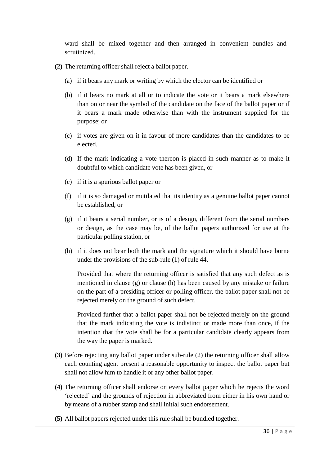ward shall be mixed together and then arranged in convenient bundles and scrutinized.

- **(2)** The returning officer shall reject a ballot paper.
	- (a) if it bears any mark or writing by which the elector can be identified or
	- (b) if it bears no mark at all or to indicate the vote or it bears a mark elsewhere than on or near the symbol of the candidate on the face of the ballot paper or if it bears a mark made otherwise than with the instrument supplied for the purpose; or
	- (c) if votes are given on it in favour of more candidates than the candidates to be elected.
	- (d) If the mark indicating a vote thereon is placed in such manner as to make it doubtful to which candidate vote has been given, or
	- (e) if it is a spurious ballot paper or
	- (f) if it is so damaged or mutilated that its identity as a genuine ballot paper cannot be established, or
	- (g) if it bears a serial number, or is of a design, different from the serial numbers or design, as the case may be, of the ballot papers authorized for use at the particular polling station, or
	- (h) if it does not bear both the mark and the signature which it should have borne under the provisions of the sub-rule (1) of rule 44,

Provided that where the returning officer is satisfied that any such defect as is mentioned in clause (g) or clause (h) has been caused by any mistake or failure on the part of a presiding officer or polling officer, the ballot paper shall not be rejected merely on the ground of such defect.

Provided further that a ballot paper shall not be rejected merely on the ground that the mark indicating the vote is indistinct or made more than once, if the intention that the vote shall be for a particular candidate clearly appears from the way the paper is marked.

- **(3)** Before rejecting any ballot paper under sub-rule (2) the returning officer shall allow each counting agent present a reasonable opportunity to inspect the ballot paper but shall not allow him to handle it or any other ballot paper.
- **(4)** The returning officer shall endorse on every ballot paper which he rejects the word 'rejected' and the grounds of rejection in abbreviated from either in his own hand or by means of a rubber stamp and shall initial such endorsement.
- **(5)** All ballot papers rejected under this rule shall be bundled together.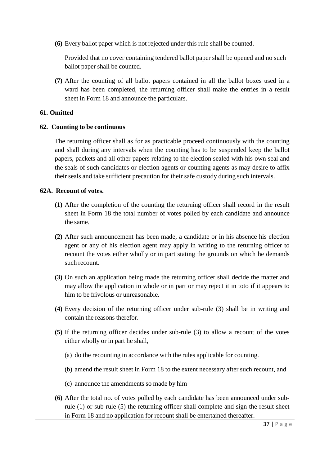**(6)** Every ballot paper which is not rejected under this rule shall be counted.

Provided that no cover containing tendered ballot paper shall be opened and no such ballot paper shall be counted.

**(7)** After the counting of all ballot papers contained in all the ballot boxes used in a ward has been completed, the returning officer shall make the entries in a result sheet in Form 18 and announce the particulars.

#### **61. Omitted**

#### **62. Counting to be continuous**

The returning officer shall as for as practicable proceed continuously with the counting and shall during any intervals when the counting has to be suspended keep the ballot papers, packets and all other papers relating to the election sealed with his own seal and the seals of such candidates or election agents or counting agents as may desire to affix their seals and take sufficient precaution for their safe custody during such intervals.

#### **62A. Recount of votes.**

- **(1)** After the completion of the counting the returning officer shall record in the result sheet in Form 18 the total number of votes polled by each candidate and announce the same.
- **(2)** After such announcement has been made, a candidate or in his absence his election agent or any of his election agent may apply in writing to the returning officer to recount the votes either wholly or in part stating the grounds on which he demands such recount.
- **(3)** On such an application being made the returning officer shall decide the matter and may allow the application in whole or in part or may reject it in toto if it appears to him to be frivolous or unreasonable.
- **(4)** Every decision of the returning officer under sub-rule (3) shall be in writing and contain the reasons therefor.
- **(5)** If the returning officer decides under sub-rule (3) to allow a recount of the votes either wholly or in part he shall,
	- (a) do the recounting in accordance with the rules applicable for counting.
	- (b) amend the result sheet in Form 18 to the extent necessary after such recount, and
	- (c) announce the amendments so made by him
- **(6)** After the total no. of votes polled by each candidate has been announced under subrule (1) or sub-rule (5) the returning officer shall complete and sign the result sheet in Form 18 and no application for recount shall be entertained thereafter.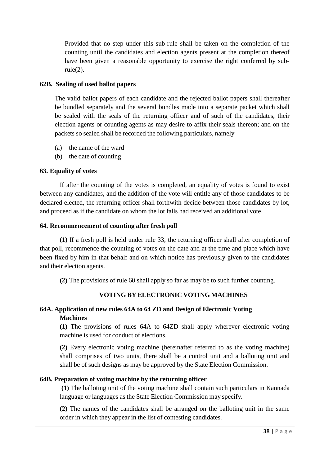Provided that no step under this sub-rule shall be taken on the completion of the counting until the candidates and election agents present at the completion thereof have been given a reasonable opportunity to exercise the right conferred by subrule(2).

## **62B. Sealing of used ballot papers**

The valid ballot papers of each candidate and the rejected ballot papers shall thereafter be bundled separately and the several bundles made into a separate packet which shall be sealed with the seals of the returning officer and of such of the candidates, their election agents or counting agents as may desire to affix their seals thereon; and on the packets so sealed shall be recorded the following particulars, namely

- (a) the name of the ward
- (b) the date of counting

## **63. Equality of votes**

If after the counting of the votes is completed, an equality of votes is found to exist between any candidates, and the addition of the vote will entitle any of those candidates to be declared elected, the returning officer shall forthwith decide between those candidates by lot, and proceed as if the candidate on whom the lot falls had received an additional vote.

## **64. Recommencement of counting after fresh poll**

**(1)** If a fresh poll is held under rule 33, the returning officer shall after completion of that poll, recommence the counting of votes on the date and at the time and place which have been fixed by him in that behalf and on which notice has previously given to the candidates and their election agents.

**(2)** The provisions of rule 60 shall apply so far as may be to such further counting.

# **VOTING BY ELECTRONIC VOTING MACHINES**

# **64A. Application of new rules 64A to 64 ZD and Design of Electronic Voting Machines**

**(1)** The provisions of rules 64A to 64ZD shall apply wherever electronic voting machine is used for conduct of elections.

**(2)** Every electronic voting machine (hereinafter referred to as the voting machine) shall comprises of two units, there shall be a control unit and a balloting unit and shall be of such designs as may be approved by the State Election Commission.

# **64B. Preparation of voting machine by the returning officer**

**(1)** The balloting unit of the voting machine shall contain such particulars in Kannada language or languages as the State Election Commission may specify.

**(2)** The names of the candidates shall be arranged on the balloting unit in the same order in which they appear in the list of contesting candidates.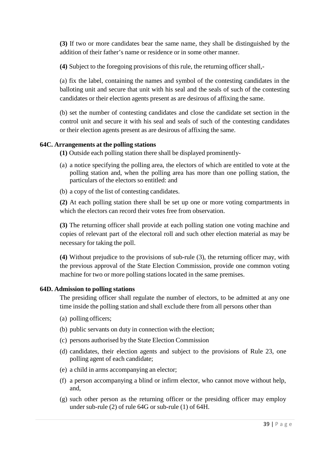**(3)** If two or more candidates bear the same name, they shall be distinguished by the addition of their father's name or residence or in some other manner.

**(4)** Subject to the foregoing provisions of this rule, the returning officer shall,-

(a) fix the label, containing the names and symbol of the contesting candidates in the balloting unit and secure that unit with his seal and the seals of such of the contesting candidates or their election agents present as are desirous of affixing the same.

(b) set the number of contesting candidates and close the candidate set section in the control unit and secure it with his seal and seals of such of the contesting candidates or their election agents present as are desirous of affixing the same.

## **64C. Arrangements at the polling stations**

**(1)** Outside each polling station there shall be displayed prominently-

- (a) a notice specifying the polling area, the electors of which are entitled to vote at the polling station and, when the polling area has more than one polling station, the particulars of the electors so entitled: and
- (b) a copy of the list of contesting candidates.

**(2)** At each polling station there shall be set up one or more voting compartments in which the electors can record their votes free from observation.

**(3)** The returning officer shall provide at each polling station one voting machine and copies of relevant part of the electoral roll and such other election material as may be necessary for taking the poll.

**(4)** Without prejudice to the provisions of sub-rule (3), the returning officer may, with the previous approval of the State Election Commission, provide one common voting machine for two or more polling stations located in the same premises.

## **64D. Admission to polling stations**

The presiding officer shall regulate the number of electors, to be admitted at any one time inside the polling station and shall exclude there from all persons other than

- (a) polling officers;
- (b) public servants on duty in connection with the election;
- (c) persons authorised by the State Election Commission
- (d) candidates, their election agents and subject to the provisions of Rule 23, one polling agent of each candidate;
- (e) a child in arms accompanying an elector;
- (f) a person accompanying a blind or infirm elector, who cannot move without help, and,
- (g) such other person as the returning officer or the presiding officer may employ under sub-rule (2) of rule 64G or sub-rule (1) of 64H.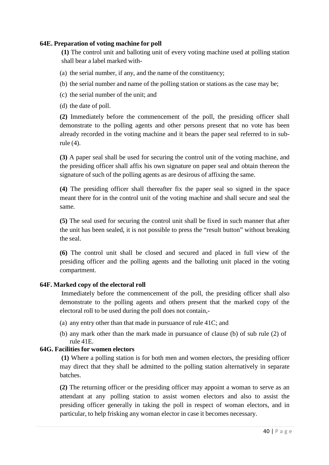#### **64E. Preparation of voting machine for poll**

**(1)** The control unit and balloting unit of every voting machine used at polling station shall bear a label marked with-

- (a) the serial number, if any, and the name of the constituency;
- (b) the serial number and name of the polling station or stations as the case may be;
- (c) the serial number of the unit; and
- (d) the date of poll.

**(2)** Immediately before the commencement of the poll, the presiding officer shall demonstrate to the polling agents and other persons present that no vote has been already recorded in the voting machine and it bears the paper seal referred to in subrule (4).

**(3)** A paper seal shall be used for securing the control unit of the voting machine, and the presiding officer shall affix his own signature on paper seal and obtain thereon the signature of such of the polling agents as are desirous of affixing the same.

**(4)** The presiding officer shall thereafter fix the paper seal so signed in the space meant there for in the control unit of the voting machine and shall secure and seal the same.

**(5)** The seal used for securing the control unit shall be fixed in such manner that after the unit has been sealed, it is not possible to press the "result button" without breaking the seal.

**(6)** The control unit shall be closed and secured and placed in full view of the presiding officer and the polling agents and the balloting unit placed in the voting compartment.

## **64F. Marked copy of the electoral roll**

Immediately before the commencement of the poll, the presiding officer shall also demonstrate to the polling agents and others present that the marked copy of the electoral roll to be used during the poll does not contain,-

- (a) any entry other than that made in pursuance of rule 41C; and
- (b) any mark other than the mark made in pursuance of clause (b) of sub rule (2) of rule 41E.

#### **64G. Facilities for women electors**

**(1)** Where a polling station is for both men and women electors, the presiding officer may direct that they shall be admitted to the polling station alternatively in separate batches.

**(2)** The returning officer or the presiding officer may appoint a woman to serve as an attendant at any polling station to assist women electors and also to assist the presiding officer generally in taking the poll in respect of woman electors, and in particular, to help frisking any woman elector in case it becomes necessary.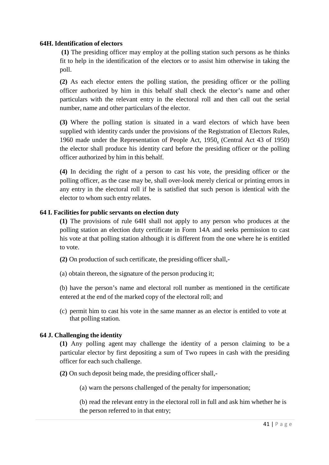#### **64H. Identification of electors**

**(1)** The presiding officer may employ at the polling station such persons as he thinks fit to help in the identification of the electors or to assist him otherwise in taking the poll.

**(2)** As each elector enters the polling station, the presiding officer or the polling officer authorized by him in this behalf shall check the elector's name and other particulars with the relevant entry in the electoral roll and then call out the serial number, name and other particulars of the elector.

**(3)** Where the polling station is situated in a ward electors of which have been supplied with identity cards under the provisions of the Registration of Electors Rules, 1960 made under the Representation of People Act, 1950, (Central Act 43 of 1950) the elector shall produce his identity card before the presiding officer or the polling officer authorized by him in this behalf.

**(4)** In deciding the right of a person to cast his vote, the presiding officer or the polling officer, as the case may be, shall over-look merely clerical or printing errors in any entry in the electoral roll if he is satisfied that such person is identical with the elector to whom such entry relates.

#### **64 I. Facilities for public servants on election duty**

**(1)** The provisions of rule 64H shall not apply to any person who produces at the polling station an election duty certificate in Form 14A and seeks permission to cast his vote at that polling station although it is different from the one where he is entitled to vote.

- **(2)** On production of such certificate, the presiding officer shall,-
- (a) obtain thereon, the signature of the person producing it;

(b) have the person's name and electoral roll number as mentioned in the certificate entered at the end of the marked copy of the electoral roll; and

(c) permit him to cast his vote in the same manner as an elector is entitled to vote at that polling station.

#### **64 J. Challenging the identity**

**(1)** Any polling agent may challenge the identity of a person claiming to be a particular elector by first depositing a sum of Two rupees in cash with the presiding officer for each such challenge.

**(2)** On such deposit being made, the presiding officer shall,-

(a) warn the persons challenged of the penalty for impersonation;

(b) read the relevant entry in the electoral roll in full and ask him whether he is the person referred to in that entry;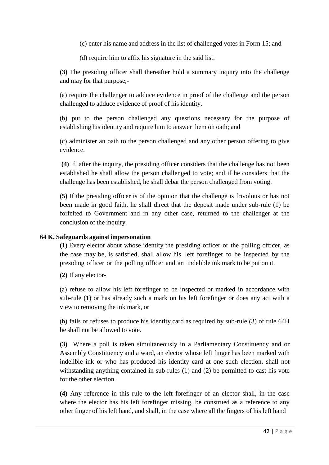(c) enter his name and address in the list of challenged votes in Form 15; and

(d) require him to affix his signature in the said list.

**(3)** The presiding officer shall thereafter hold a summary inquiry into the challenge and may for that purpose,-

(a) require the challenger to adduce evidence in proof of the challenge and the person challenged to adduce evidence of proof of his identity.

(b) put to the person challenged any questions necessary for the purpose of establishing his identity and require him to answer them on oath; and

(c) administer an oath to the person challenged and any other person offering to give evidence.

**(4)** If, after the inquiry, the presiding officer considers that the challenge has not been established he shall allow the person challenged to vote; and if he considers that the challenge has been established, he shall debar the person challenged from voting.

**(5)** If the presiding officer is of the opinion that the challenge is frivolous or has not been made in good faith, he shall direct that the deposit made under sub-rule (1) be forfeited to Government and in any other case, returned to the challenger at the conclusion of the inquiry.

## **64 K. Safeguards against impersonation**

**(1)** Every elector about whose identity the presiding officer or the polling officer, as the case may be, is satisfied, shall allow his left forefinger to be inspected by the presiding officer or the polling officer and an indelible ink mark to be put on it.

**(2)** If any elector-

(a) refuse to allow his left forefinger to be inspected or marked in accordance with sub-rule (1) or has already such a mark on his left forefinger or does any act with a view to removing the ink mark, or

(b) fails or refuses to produce his identity card as required by sub-rule (3) of rule 64H he shall not be allowed to vote.

**(3)** Where a poll is taken simultaneously in a Parliamentary Constituency and or Assembly Constituency and a ward, an elector whose left finger has been marked with indelible ink or who has produced his identity card at one such election, shall not withstanding anything contained in sub-rules (1) and (2) be permitted to cast his vote for the other election.

**(4)** Any reference in this rule to the left forefinger of an elector shall, in the case where the elector has his left forefinger missing, be construed as a reference to any other finger of his left hand, and shall, in the case where all the fingers of his left hand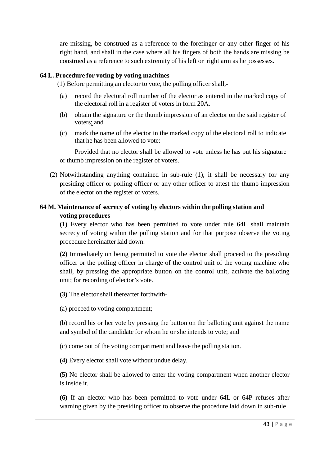are missing, be construed as a reference to the forefinger or any other finger of his right hand, and shall in the case where all his fingers of both the hands are missing be construed as a reference to such extremity of his left or right arm as he possesses.

#### **64 L. Procedure for voting by voting machines**

(1) Before permitting an elector to vote, the polling officer shall,-

- (a) record the electoral roll number of the elector as entered in the marked copy of the electoral roll in a register of voters in form 20A.
- (b) obtain the signature or the thumb impression of an elector on the said register of voters; and
- (c) mark the name of the elector in the marked copy of the electoral roll to indicate that he has been allowed to vote:

Provided that no elector shall be allowed to vote unless he has put his signature or thumb impression on the register of voters.

(2) Notwithstanding anything contained in sub-rule (1), it shall be necessary for any presiding officer or polling officer or any other officer to attest the thumb impression of the elector on the register of voters.

## **64 M. Maintenance of secrecy of voting by electors within the polling station and voting procedures**

**(1)** Every elector who has been permitted to vote under rule 64L shall maintain secrecy of voting within the polling station and for that purpose observe the voting procedure hereinafter laid down.

**(2)** Immediately on being permitted to vote the elector shall proceed to the presiding officer or the polling officer in charge of the control unit of the voting machine who shall, by pressing the appropriate button on the control unit, activate the balloting unit; for recording of elector's vote.

**(3)** The elector shall thereafter forthwith-

(a) proceed to voting compartment;

(b) record his or her vote by pressing the button on the balloting unit against the name and symbol of the candidate for whom he or she intends to vote; and

(c) come out of the voting compartment and leave the polling station.

**(4)** Every elector shall vote without undue delay.

**(5)** No elector shall be allowed to enter the voting compartment when another elector is inside it.

**(6)** If an elector who has been permitted to vote under 64L or 64P refuses after warning given by the presiding officer to observe the procedure laid down in sub-rule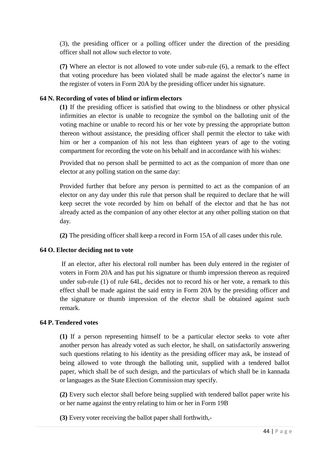(3), the presiding officer or a polling officer under the direction of the presiding officer shall not allow such elector to vote.

**(7)** Where an elector is not allowed to vote under sub-rule (6), a remark to the effect that voting procedure has been violated shall be made against the elector's name in the register of voters in Form 20A by the presiding officer under his signature.

## **64 N. Recording of votes of blind or infirm electors**

**(1)** If the presiding officer is satisfied that owing to the blindness or other physical infirmities an elector is unable to recognize the symbol on the balloting unit of the voting machine or unable to record his or her vote by pressing the appropriate button thereon without assistance, the presiding officer shall permit the elector to take with him or her a companion of his not less than eighteen years of age to the voting compartment for recording the vote on his behalf and in accordance with his wishes:

Provided that no person shall be permitted to act as the companion of more than one elector at any polling station on the same day:

Provided further that before any person is permitted to act as the companion of an elector on any day under this rule that person shall be required to declare that he will keep secret the vote recorded by him on behalf of the elector and that he has not already acted as the companion of any other elector at any other polling station on that day.

**(2)** The presiding officer shall keep a record in Form 15A of all cases under this rule.

## **64 O. Elector deciding not to vote**

If an elector, after his electoral roll number has been duly entered in the register of voters in Form 20A and has put his signature or thumb impression thereon as required under sub-rule (1) of rule 64L, decides not to record his or her vote, a remark to this effect shall be made against the said entry in Form 20A by the presiding officer and the signature or thumb impression of the elector shall be obtained against such remark.

## **64 P. Tendered votes**

**(1)** If a person representing himself to be a particular elector seeks to vote after another person has already voted as such elector, he shall, on satisfactorily answering such questions relating to his identity as the presiding officer may ask, be instead of being allowed to vote through the balloting unit, supplied with a tendered ballot paper, which shall be of such design, and the particulars of which shall be in kannada or languages as the State Election Commission may specify.

**(2)** Every such elector shall before being supplied with tendered ballot paper write his or her name against the entry relating to him or her in Form 19B

**(3)** Every voter receiving the ballot paper shall forthwith,-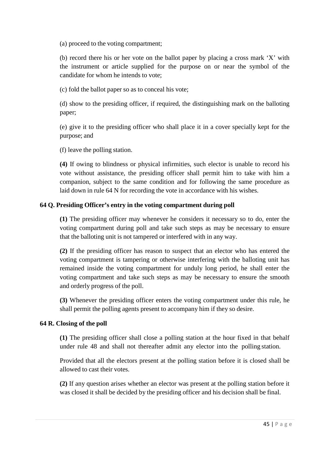(a) proceed to the voting compartment;

(b) record there his or her vote on the ballot paper by placing a cross mark 'X' with the instrument or article supplied for the purpose on or near the symbol of the candidate for whom he intends to vote;

(c) fold the ballot paper so as to conceal his vote;

(d) show to the presiding officer, if required, the distinguishing mark on the balloting paper;

(e) give it to the presiding officer who shall place it in a cover specially kept for the purpose; and

(f) leave the polling station.

**(4)** If owing to blindness or physical infirmities, such elector is unable to record his vote without assistance, the presiding officer shall permit him to take with him a companion, subject to the same condition and for following the same procedure as laid down in rule 64 N for recording the vote in accordance with his wishes.

## **64 Q. Presiding Officer's entry in the voting compartment during poll**

**(1)** The presiding officer may whenever he considers it necessary so to do, enter the voting compartment during poll and take such steps as may be necessary to ensure that the balloting unit is not tampered or interfered with in any way.

**(2)** If the presiding officer has reason to suspect that an elector who has entered the voting compartment is tampering or otherwise interfering with the balloting unit has remained inside the voting compartment for unduly long period, he shall enter the voting compartment and take such steps as may be necessary to ensure the smooth and orderly progress of the poll.

**(3)** Whenever the presiding officer enters the voting compartment under this rule, he shall permit the polling agents present to accompany him if they so desire.

#### **64 R. Closing of the poll**

**(1)** The presiding officer shall close a polling station at the hour fixed in that behalf under rule 48 and shall not thereafter admit any elector into the polling station.

Provided that all the electors present at the polling station before it is closed shall be allowed to cast their votes.

**(2)** If any question arises whether an elector was present at the polling station before it was closed it shall be decided by the presiding officer and his decision shall be final.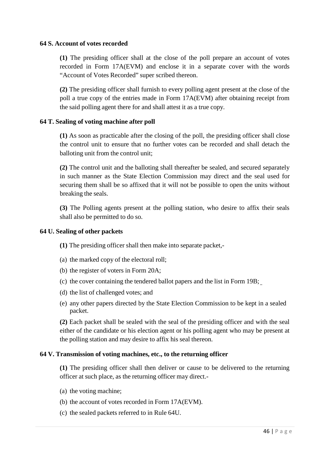#### **64 S. Account of votes recorded**

**(1)** The presiding officer shall at the close of the poll prepare an account of votes recorded in Form 17A(EVM) and enclose it in a separate cover with the words "Account of Votes Recorded" super scribed thereon.

**(2)** The presiding officer shall furnish to every polling agent present at the close of the poll a true copy of the entries made in Form 17A(EVM) after obtaining receipt from the said polling agent there for and shall attest it as a true copy.

#### **64 T. Sealing of voting machine after poll**

**(1)** As soon as practicable after the closing of the poll, the presiding officer shall close the control unit to ensure that no further votes can be recorded and shall detach the balloting unit from the control unit;

**(2)** The control unit and the balloting shall thereafter be sealed, and secured separately in such manner as the State Election Commission may direct and the seal used for securing them shall be so affixed that it will not be possible to open the units without breaking the seals.

**(3)** The Polling agents present at the polling station, who desire to affix their seals shall also be permitted to do so.

#### **64 U. Sealing of other packets**

**(1)** The presiding officer shall then make into separate packet,-

- (a) the marked copy of the electoral roll;
- (b) the register of voters in Form 20A;
- (c) the cover containing the tendered ballot papers and the list in Form 19B;
- (d) the list of challenged votes; and
- (e) any other papers directed by the State Election Commission to be kept in a sealed packet.

**(2)** Each packet shall be sealed with the seal of the presiding officer and with the seal either of the candidate or his election agent or his polling agent who may be present at the polling station and may desire to affix his seal thereon.

#### **64 V. Transmission of voting machines, etc., to the returning officer**

**(1)** The presiding officer shall then deliver or cause to be delivered to the returning officer at such place, as the returning officer may direct.-

- (a) the voting machine;
- (b) the account of votes recorded in Form 17A(EVM).
- (c) the sealed packets referred to in Rule 64U.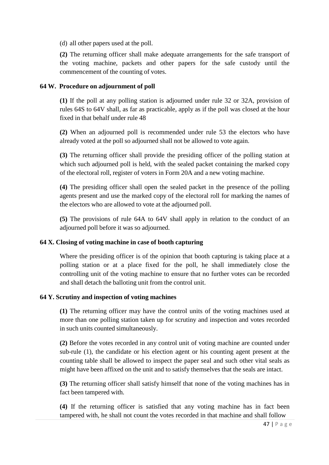(d) all other papers used at the poll.

**(2)** The returning officer shall make adequate arrangements for the safe transport of the voting machine, packets and other papers for the safe custody until the commencement of the counting of votes.

## **64 W. Procedure on adjournment of poll**

**(1)** If the poll at any polling station is adjourned under rule 32 or 32A, provision of rules 64S to 64V shall, as far as practicable, apply as if the poll was closed at the hour fixed in that behalf under rule 48

**(2)** When an adjourned poll is recommended under rule 53 the electors who have already voted at the poll so adjourned shall not be allowed to vote again.

**(3)** The returning officer shall provide the presiding officer of the polling station at which such adjourned poll is held, with the sealed packet containing the marked copy of the electoral roll, register of voters in Form 20A and a new voting machine.

**(4)** The presiding officer shall open the sealed packet in the presence of the polling agents present and use the marked copy of the electoral roll for marking the names of the electors who are allowed to vote at the adjourned poll.

**(5)** The provisions of rule 64A to 64V shall apply in relation to the conduct of an adjourned poll before it was so adjourned.

## **64 X. Closing of voting machine in case of booth capturing**

Where the presiding officer is of the opinion that booth capturing is taking place at a polling station or at a place fixed for the poll, he shall immediately close the controlling unit of the voting machine to ensure that no further votes can be recorded and shall detach the balloting unit from the control unit.

## **64 Y. Scrutiny and inspection of voting machines**

**(1)** The returning officer may have the control units of the voting machines used at more than one polling station taken up for scrutiny and inspection and votes recorded in such units counted simultaneously.

**(2)** Before the votes recorded in any control unit of voting machine are counted under sub-rule (1), the candidate or his election agent or his counting agent present at the counting table shall be allowed to inspect the paper seal and such other vital seals as might have been affixed on the unit and to satisfy themselves that the seals are intact.

**(3)** The returning officer shall satisfy himself that none of the voting machines has in fact been tampered with.

**(4)** If the returning officer is satisfied that any voting machine has in fact been tampered with, he shall not count the votes recorded in that machine and shall follow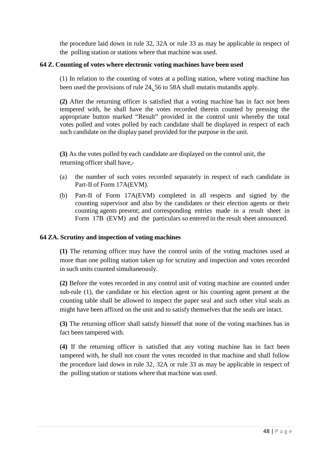the procedure laid down in rule 32, 32A or rule 33 as may be applicable in respect of the polling station or stations where that machine was used.

#### **64 Z. Counting of votes where electronic voting machines have been used**

(1) In relation to the counting of votes at a polling station, where voting machine has been used the provisions of rule 24, 56 to 58A shall mutatis mutandis apply.

**(2)** After the returning officer is satisfied that a voting machine has in fact not been tempered with, he shall have the votes recorded therein counted by pressing the appropriate button marked "Result" provided in the control unit whereby the total votes polled and votes polled by each candidate shall be displayed in respect of each such candidate on the display panel provided for the purpose in the unit.

**(3)** As the votes polled by each candidate are displayed on the control unit, the returning officer shall have,-

- (a) the number of such votes recorded separately in respect of each candidate in Part-II of Form 17A(EVM).
- (b) Part-II of Form 17A(EVM) completed in all respects and signed by the counting supervisor and also by the candidates or their election agents or their counting agents present; and corresponding entries made in a result sheet in Form 17B (EVM) and the particulars so entered in the result sheet announced.

#### **64 ZA. Scrutiny and inspection of voting machines**

**(1)** The returning officer may have the control units of the voting machines used at more than one polling station taken up for scrutiny and inspection and votes recorded in such units counted simultaneously.

**(2)** Before the votes recorded in any control unit of voting machine are counted under sub-rule (1), the candidate or his election agent or his counting agent present at the counting table shall be allowed to inspect the paper seal and such other vital seals as might have been affixed on the unit and to satisfy themselves that the seals are intact.

**(3)** The returning officer shall satisfy himself that none of the voting machines has in fact been tampered with.

**(4)** If the returning officer is satisfied that any voting machine has in fact been tampered with, he shall not count the votes recorded in that machine and shall follow the procedure laid down in rule 32, 32A or rule 33 as may be applicable in respect of the polling station or stations where that machine was used.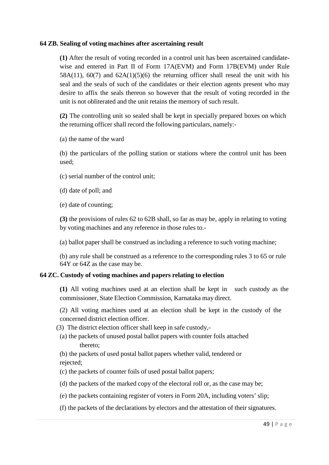#### **64 ZB. Sealing of voting machines after ascertaining result**

**(1)** After the result of voting recorded in a control unit has been ascertained candidatewise and entered in Part II of Form 17A(EVM) and Form 17B(EVM) under Rule  $58A(11)$ ,  $60(7)$  and  $62A(1)(5)(6)$  the returning officer shall reseal the unit with his seal and the seals of such of the candidates or their election agents present who may desire to affix the seals thereon so however that the result of voting recorded in the unit is not obliterated and the unit retains the memory of such result.

**(2)** The controlling unit so sealed shall be kept in specially prepared boxes on which the returning officer shall record the following particulars, namely:-

(a) the name of the ward

(b) the particulars of the polling station or stations where the control unit has been used;

(c) serial number of the control unit;

(d) date of poll; and

(e) date of counting;

**(3)** the provisions of rules 62 to 62B shall, so far as may be, apply in relating to voting by voting machines and any reference in those rules to.-

(a) ballot paper shall be construed as including a reference to such voting machine;

(b) any rule shall be construed as a reference to the corresponding rules 3 to 65 or rule 64Y or 64Z as the case may be.

## **64 ZC. Custody of voting machines and papers relating to election**

**(1)** All voting machines used at an election shall be kept in such custody as the commissioner, State Election Commission, Karnataka may direct.

(2) All voting machines used at an election shall be kept in the custody of the concerned district election officer.

- (3) The district election officer shall keep in safe custody,-
- (a) the packets of unused postal ballot papers with counter foils attached thereto;

(b) the packets of used postal ballot papers whether valid, tendered or rejected;

(c) the packets of counter foils of used postal ballot papers;

- (d) the packets of the marked copy of the electoral roll or, as the case may be;
- (e) the packets containing register of voters in Form 20A, including voters' slip;
- (f) the packets of the declarations by electors and the attestation of their signatures.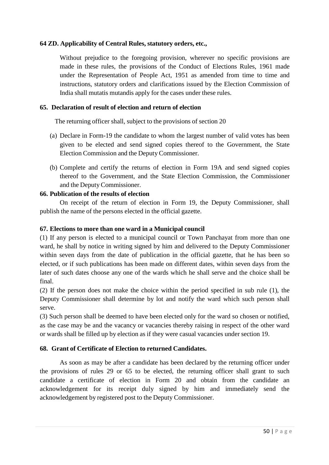## **64 ZD. Applicability of Central Rules, statutory orders, etc.,**

Without prejudice to the foregoing provision, wherever no specific provisions are made in these rules, the provisions of the Conduct of Elections Rules, 1961 made under the Representation of People Act, 1951 as amended from time to time and instructions, statutory orders and clarifications issued by the Election Commission of India shall mutatis mutandis apply for the cases under these rules.

## **65. Declaration of result of election and return of election**

The returning officer shall, subject to the provisions of section 20

- (a) Declare in Form-19 the candidate to whom the largest number of valid votes has been given to be elected and send signed copies thereof to the Government, the State Election Commission and the Deputy Commissioner.
- (b) Complete and certify the returns of election in Form 19A and send signed copies thereof to the Government, and the State Election Commission, the Commissioner and the Deputy Commissioner.

## **66. Publication of the results of election**

On receipt of the return of election in Form 19, the Deputy Commissioner, shall publish the name of the persons elected in the official gazette.

#### **67. Elections to more than one ward in a Municipal council**

(1) If any person is elected to a municipal council or Town Panchayat from more than one ward, he shall by notice in writing signed by him and delivered to the Deputy Commissioner within seven days from the date of publication in the official gazette, that he has been so elected, or if such publications has been made on different dates, within seven days from the later of such dates choose any one of the wards which he shall serve and the choice shall be final.

(2) If the person does not make the choice within the period specified in sub rule (1), the Deputy Commissioner shall determine by lot and notify the ward which such person shall serve.

(3) Such person shall be deemed to have been elected only for the ward so chosen or notified, as the case may be and the vacancy or vacancies thereby raising in respect of the other ward or wards shall be filled up by election as if they were casual vacancies under section 19.

## **68. Grant of Certificate of Election to returned Candidates.**

As soon as may be after a candidate has been declared by the returning officer under the provisions of rules 29 or 65 to be elected, the returning officer shall grant to such candidate a certificate of election in Form 20 and obtain from the candidate an acknowledgement for its receipt duly signed by him and immediately send the acknowledgement by registered post to the Deputy Commissioner.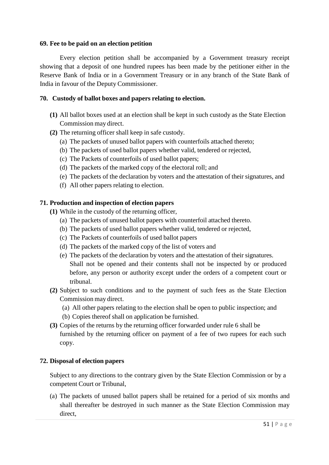#### **69. Fee to be paid on an election petition**

Every election petition shall be accompanied by a Government treasury receipt showing that a deposit of one hundred rupees has been made by the petitioner either in the Reserve Bank of India or in a Government Treasury or in any branch of the State Bank of India in favour of the Deputy Commissioner.

#### **70. Custody of ballot boxes and papers relating to election.**

- **(1)** All ballot boxes used at an election shall be kept in such custody as the State Election Commission may direct.
- **(2)** The returning officer shall keep in safe custody.
	- (a) The packets of unused ballot papers with counterfoils attached thereto;
	- (b) The packets of used ballot papers whether valid, tendered or rejected,
	- (c) The Packets of counterfoils of used ballot papers;
	- (d) The packets of the marked copy of the electoral roll; and
	- (e) The packets of the declaration by voters and the attestation of their signatures, and
	- (f) All other papers relating to election.

#### **71. Production and inspection of election papers**

- **(1)** While in the custody of the returning officer,
	- (a) The packets of unused ballot papers with counterfoil attached thereto.
	- (b) The packets of used ballot papers whether valid, tendered or rejected,
	- (c) The Packets of counterfoils of used ballot papers
	- (d) The packets of the marked copy of the list of voters and
	- (e) The packets of the declaration by voters and the attestation of their signatures. Shall not be opened and their contents shall not be inspected by or produced before, any person or authority except under the orders of a competent court or tribunal.
- **(2)** Subject to such conditions and to the payment of such fees as the State Election Commission may direct.
	- (a) All other papers relating to the election shall be open to public inspection; and
	- (b) Copies thereof shall on application be furnished.
- **(3)** Copies of the returns by the returning officer forwarded under rule 6 shall be furnished by the returning officer on payment of a fee of two rupees for each such copy.

#### **72. Disposal of election papers**

Subject to any directions to the contrary given by the State Election Commission or by a competent Court or Tribunal,

(a) The packets of unused ballot papers shall be retained for a period of six months and shall thereafter be destroyed in such manner as the State Election Commission may direct,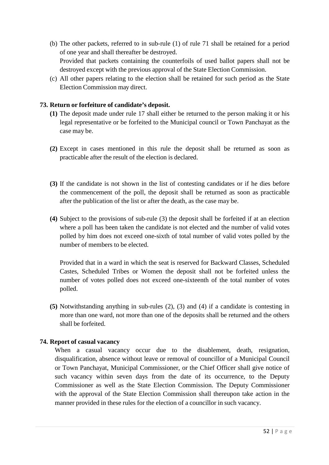- (b) The other packets, referred to in sub-rule (1) of rule 71 shall be retained for a period of one year and shall thereafter be destroyed. Provided that packets containing the counterfoils of used ballot papers shall not be destroyed except with the previous approval of the State Election Commission.
- (c) All other papers relating to the election shall be retained for such period as the State Election Commission may direct.

## **73. Return or forfeiture of candidate's deposit.**

- **(1)** The deposit made under rule 17 shall either be returned to the person making it or his legal representative or be forfeited to the Municipal council or Town Panchayat as the case may be.
- **(2)** Except in cases mentioned in this rule the deposit shall be returned as soon as practicable after the result of the election is declared.
- **(3)** If the candidate is not shown in the list of contesting candidates or if he dies before the commencement of the poll, the deposit shall be returned as soon as practicable after the publication of the list or after the death, as the case may be.
- **(4)** Subject to the provisions of sub-rule (3) the deposit shall be forfeited if at an election where a poll has been taken the candidate is not elected and the number of valid votes polled by him does not exceed one-sixth of total number of valid votes polled by the number of members to be elected.

Provided that in a ward in which the seat is reserved for Backward Classes, Scheduled Castes, Scheduled Tribes or Women the deposit shall not be forfeited unless the number of votes polled does not exceed one-sixteenth of the total number of votes polled.

**(5)** Notwithstanding anything in sub-rules (2), (3) and (4) if a candidate is contesting in more than one ward, not more than one of the deposits shall be returned and the others shall be forfeited.

## **74. Report of casual vacancy**

When a casual vacancy occur due to the disablement, death, resignation, disqualification, absence without leave or removal of councillor of a Municipal Council or Town Panchayat, Municipal Commissioner, or the Chief Officer shall give notice of such vacancy within seven days from the date of its occurrence, to the Deputy Commissioner as well as the State Election Commission. The Deputy Commissioner with the approval of the State Election Commission shall thereupon take action in the manner provided in these rules for the election of a councillor in such vacancy.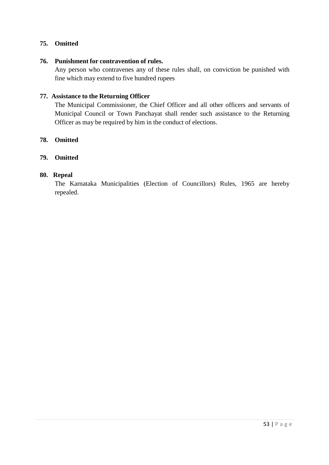## **75. Omitted**

#### **76. Punishment for contravention of rules.**

Any person who contravenes any of these rules shall, on conviction be punished with fine which may extend to five hundred rupees

#### **77. Assistance to the Returning Officer**

The Municipal Commissioner, the Chief Officer and all other officers and servants of Municipal Council or Town Panchayat shall render such assistance to the Returning Officer as may be required by him in the conduct of elections.

#### **78. Omitted**

#### **79. Omitted**

#### **80. Repeal**

The Karnataka Municipalities (Election of Councillors) Rules, 1965 are hereby repealed.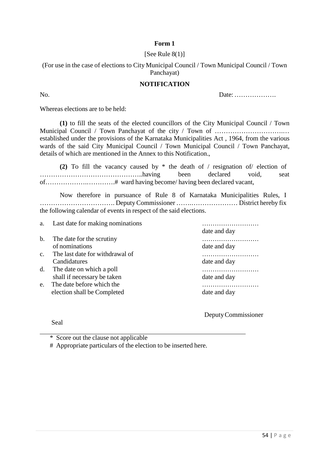## **Form 1**

#### [See Rule  $8(1)$ ]

(For use in the case of elections to City Municipal Council / Town Municipal Council / Town Panchayat)

#### **NOTIFICATION**

No. Date: ……………….

Whereas elections are to be held:

**(1)** to fill the seats of the elected councillors of the City Municipal Council / Town Municipal Council / Town Panchayat of the city / Town of ……………………………………………………………… established under the provisions of the Karnataka Municipalities Act , 1964, from the various wards of the said City Municipal Council / Town Municipal Council / Town Panchayat, details of which are mentioned in the Annex to this Notification.,

**(2)** To fill the vacancy caused by \* the death of / resignation of/ election of ………………………………………..having been declared void, seat of……………….………….# ward having become/ having been declared vacant,

Now therefore in pursuance of Rule 8 of Karnataka Municipalities Rules, I ……………………………. Deputy Commissioner …….………………… District hereby fix the following calendar of events in respect of the said elections.

| a.             | Last date for making nominations |              |
|----------------|----------------------------------|--------------|
|                |                                  | date and day |
| b.             | The date for the scrutiny        |              |
|                | of nominations                   | date and day |
| $\mathbf{c}$ . | The last date for withdrawal of  |              |
|                | Candidatures                     | date and day |
| d.             | The date on which a poll         | .            |
|                | shall if necessary be taken      | date and day |
| e.             | The date before which the        |              |
|                | election shall be Completed      | date and day |
|                |                                  |              |

Deputy Commissioner

Seal

\* Score out the clause not applicable

# Appropriate particulars of the election to be inserted here.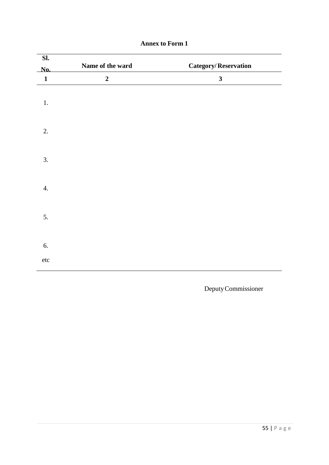| $\overline{\mathbf{SL}}$ |                  |                             |
|--------------------------|------------------|-----------------------------|
| No.                      | Name of the ward | <b>Category/Reservation</b> |
| $\mathbf{1}$             | $\boldsymbol{2}$ | $\mathbf{3}$                |
| $1.$                     |                  |                             |
| 2.                       |                  |                             |
| 3.                       |                  |                             |
| 4.                       |                  |                             |
| 5.                       |                  |                             |
| 6.                       |                  |                             |
| $\rm etc$                |                  |                             |

# **Annex to Form 1**

Deputy Commissioner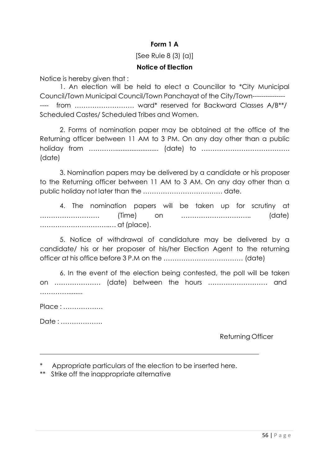# **Form 1 A**

# [See Rule 8 (3) (a)]

# **Notice of Election**

Notice is hereby given that :

1. An election will be held to elect a Councillor to \*City Municipal Council/Town Municipal Council/Town Panchayat of the City/Town--------------- ---- from ……………………… ward\* reserved for Backward Classes A/B\*\*/ Scheduled Castes/ Scheduled Tribes and Women.

2. Forms of nomination paper may be obtained at the office of the Returning officer between 11 AM to 3 PM. On any day other than a public holiday from …………........................ (date) to …………………………………. (date)

3. Nomination papers may be delivered by a candidate or his proposer to the Returning officer between 11 AM to 3 AM. On any day other than a public holiday not later than the ……………………………… date.

4. The nomination papers will be taken up for scrutiny at ……………………… (Time) on ………………………….. (date) …………………………..… at (place).

5. Notice of withdrawal of candidature may be delivered by a candidate/ his or her proposer of his/her Election Agent to the returning officer at his office before 3 P.M on the ……………………………… (date)

6. In the event of the election being contested, the poll will be taken on ………………… (date) between the hours ……………………… and ………….........

Place : ………………

Date : ……………….

Returning Officer

Appropriate particulars of the election to be inserted here.

\*\* Strike off the inappropriate alternative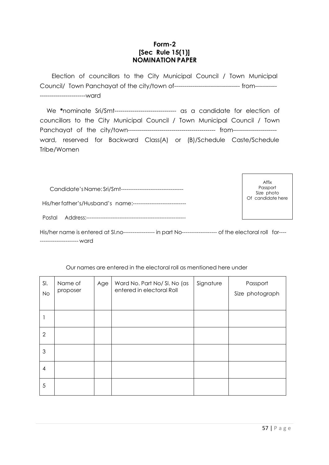## **Form-2 [Sec Rule 15(1)] NOMINATION PAPER**

Election of councillors to the City Municipal Council / Town Municipal Council/ Town Panchayat of the city/town of--------------------------------- from----------- -----------------------ward

We **\***nominate Sri/Smt------------------------------- as a candidate for election of councillors to the City Municipal Council / Town Municipal Council / Town Panchayat of the city/town-------------------------------------------- from--------------------- ward, reserved for Backward Class(A) or (B)/Schedule Caste/Schedule Tribe/Women

| Candidate's Name: Sri/Smt------------------------- |  |  |  |  |  |  |
|----------------------------------------------------|--|--|--|--|--|--|
| His/her father's/Husband's name:-----------------  |  |  |  |  |  |  |
| Postal Address:-------------                       |  |  |  |  |  |  |

Affix Passport Size photo Of candidate here

His/her name is entered at Sl.no----------------- in part No------------------- of the electoral roll for---- --------------------- ward

| SI.<br><b>No</b> | Name of<br>proposer | Age | Ward No. Part No/ SI. No (as<br>entered in electoral Roll | Signature | Passport<br>Size photograph |
|------------------|---------------------|-----|-----------------------------------------------------------|-----------|-----------------------------|
|                  |                     |     |                                                           |           |                             |
| $\overline{2}$   |                     |     |                                                           |           |                             |
| 3                |                     |     |                                                           |           |                             |
| $\overline{4}$   |                     |     |                                                           |           |                             |
| 5                |                     |     |                                                           |           |                             |

Our names are entered in the electoral roll as mentioned here under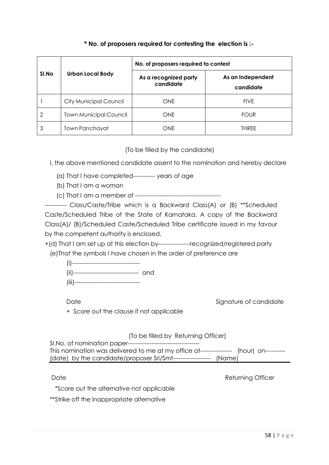## **\* No. of proposers required for contesting the election is :-**

|       |                               | No. of proposers required to contest |                                |  |  |  |  |
|-------|-------------------------------|--------------------------------------|--------------------------------|--|--|--|--|
| SI.No | <b>Urban Local Body</b>       | As a recognized party<br>candidate   | As an Independent<br>candidate |  |  |  |  |
|       | <b>City Municipal Council</b> | <b>ONE</b>                           | <b>FIVE</b>                    |  |  |  |  |
| 2     | <b>Town Municipal Council</b> | <b>ONE</b>                           | <b>FOUR</b>                    |  |  |  |  |
| 3     | Town Panchayat                | <b>ONE</b>                           | <b>THRFF</b>                   |  |  |  |  |

(To be filled by the candidate)

I, the above mentioned candidate assent to the nomination and hereby declare

(a) That I have completed----------- years of age

(b) That I am a woman

(c) That I am a member of -------------------------------------------

----------- Class/Caste/Tribe which is a Backward Class(A) or (B) \*\*Scheduled Caste/Scheduled Tribe of the State of Karnataka. A copy of the Backward Class(A)/ (B)/Scheduled Caste/Scheduled Tribe certificate issued in my favour by the competent authority is enclosed.

+(d) That I am set up at this election by----------------recognized/registered party (e)That the symbols I have chosen in the order of preference are

| (i)----------------------------------      |  |
|--------------------------------------------|--|
| (ii)---------------------------------- and |  |
| (iii)-----------------------------         |  |

Date Signature of candidate

+ Score out the clause if not applicable

(To be filled by Returning Officer)

Sl.No. of nomination paper------------------------------------ This nomination was delivered to me at my office at---------------- (hour) on----------(date) by the candidate/proposer Sri/Smt------------------- (Name)

Date **Date** Returning Officer

\*Score out the alternative not applicable

\*\*Strike off the inappropriate alternative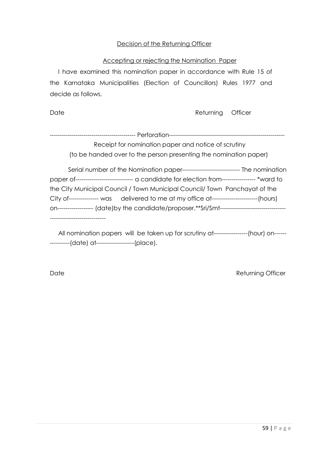## Decision of the Returning Officer

#### Accepting or rejecting the Nomination Paper

I have examined this nomination paper in accordance with Rule 15 of the Karnataka Municipalities (Election of Councillors) Rules 1977 and decide as follows.

Date **Date Returning Officer** 

------------------------------------------- Perforation---------------------------------------------------------- Receipt for nomination paper and notice of scrutiny (to be handed over to the person presenting the nomination paper)

Serial number of the Nomination paper----------------------------- The nomination paper of----------------------------- a candidate for election from----------------- \*ward to the City Municipal Council / Town Municipal Council/ Town Panchayat of the City of--------------- was delivered to me at my office at-----------------------(hours) on------------------ (date)by the candidate/proposer.\*\*Sri/Smt--------------------------------- ----------------------------

All nomination papers will be taken up for scrutiny at-----------------(hour) on----------------(date) at-------------------(place).

Date **Returning Officer**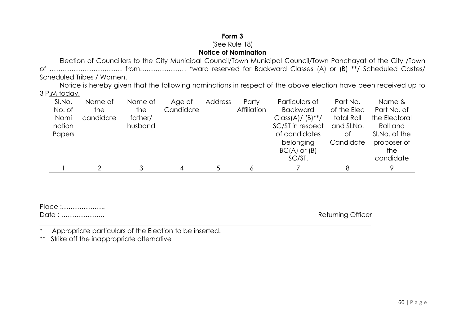# **Form 3** (See Rule 18) **Notice of Nomination**

 Election of Councillors to the City Municipal Council/Town Municipal Council/Town Panchayat of the City /Town of …………………………… from………………… \*ward reserved for Backward Classes (A) or (B) \*\*/ Scheduled Castes/ Scheduled Tribes / Women.

 Notice is hereby given that the following nominations in respect of the above election have been received up to 3 P.M today.

| SI.No. | Name of   | Name of | Age of    | Address | Party       | Particulars of                  | Part No.    | Name &        |
|--------|-----------|---------|-----------|---------|-------------|---------------------------------|-------------|---------------|
| No. of | the       | the     | Candidate |         | Affiliation | <b>Backward</b>                 | of the Elec | Part No. of   |
| Nomi   | candidate | father/ |           |         |             | $Class(A)/ (B)$ <sup>**</sup> / | total Roll  | the Electoral |
| nation |           | husband |           |         |             | SC/ST in respect                | and SI.No.  | Roll and      |
| Papers |           |         |           |         |             | of candidates                   | Οt          | SI.No. of the |
|        |           |         |           |         |             | belonging                       | Candidate   | proposer of   |
|        |           |         |           |         |             | $BC(A)$ or $(B)$                |             | the           |
|        |           |         |           |         |             | SC/ST.                          |             | candidate     |
|        |           | 3       |           |         |             |                                 |             |               |

| Place : |  |
|---------|--|
| Date:   |  |

Returning Officer

\* Appropriate particulars of the Election to be inserted.

\*\* Strike off the inappropriate alternative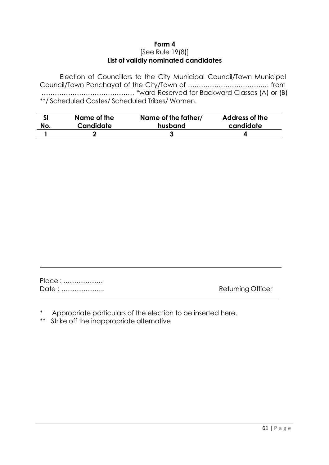#### **Form 4** [See Rule 19(8)] **List of validly nominated candidates**

Election of Councillors to the City Municipal Council/Town Municipal Council/Town Panchayat of the City/Town of …………………………….… from …………………………………… \*ward Reserved for Backward Classes (A) or (B) \*\*/ Scheduled Castes/ Scheduled Tribes/ Women.

| SI  | Name of the | Name of the father/ | Address of the |
|-----|-------------|---------------------|----------------|
| No. | Candidate   | husband             | candidate      |
|     |             |                     |                |

| Place: |  |
|--------|--|
| Date:  |  |

Returning Officer

- Appropriate particulars of the election to be inserted here.
- \*\* Strike off the inappropriate alternative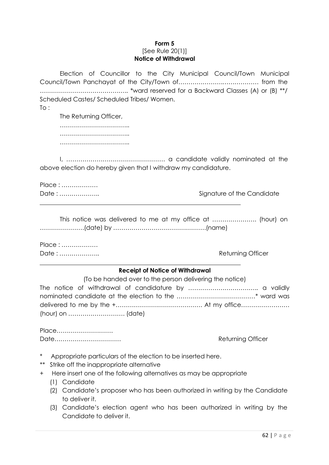#### **Form 5** [See Rule 20(1)] **Notice of Withdrawal**

Election of Councillor to the City Municipal Council/Town Municipal Council/Town Panchayat of the City/Town of………………….……………… from the …………………………………….. \*ward reserved for a Backward Classes (A) or (B) \*\*/ Scheduled Castes/ Scheduled Tribes/ Women.

To :

The Returning Officer, …………………………….. …………………………………… ………………………………………

I, …………………………………………. a candidate validly nominated at the above election do hereby given that I withdraw my candidature.

| Place: |  |
|--------|--|
| Date : |  |

Signature of the Candidate

This notice was delivered to me at my office at …………………. (hour) on ………………….(date) by ……………………………………….(name)

Place : ……………… Date : ……………….. Returning Officer

# **Receipt of Notice of Withdrawal**

|  | (To be handed over to the person delivering the notice) |  |  |  |  |  |  |  |  |
|--|---------------------------------------------------------|--|--|--|--|--|--|--|--|
|  |                                                         |  |  |  |  |  |  |  |  |
|  |                                                         |  |  |  |  |  |  |  |  |
|  |                                                         |  |  |  |  |  |  |  |  |
|  |                                                         |  |  |  |  |  |  |  |  |

Place………………………. Date…………………………… Returning Officer

- Appropriate particulars of the election to be inserted here.
- \*\* Strike off the inappropriate alternative
- + Here insert one of the following alternatives as may be appropriate
	- (1) Candidate
	- (2) Candidate's proposer who has been authorized in writing by the Candidate to deliver it.
	- (3) Candidate's election agent who has been authorized in writing by the Candidate to deliver it.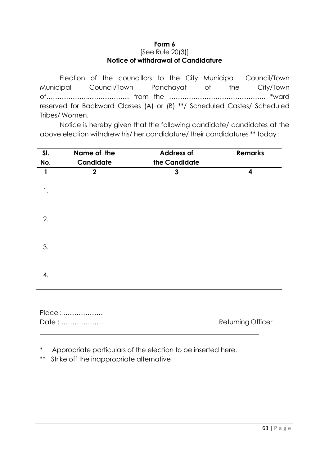#### **Form 6** [See Rule 20(3)] **Notice of withdrawal of Candidature**

Election of the councillors to the City Municipal Council/Town Municipal Council/Town Panchayat of the City/Town of………………..……………… from the …………………………………….. \*ward reserved for Backward Classes (A) or (B) \*\*/ Scheduled Castes/ Scheduled Tribes/ Women.

Notice is hereby given that the following candidate/ candidates at the above election withdrew his/ her candidature/ their candidatures \*\* today :

| SI.          | Name of the  | <b>Address of</b> | <b>Remarks</b>          |
|--------------|--------------|-------------------|-------------------------|
| No.          | Candidate    | the Candidate     |                         |
| $\mathbf{1}$ | $\mathbf{2}$ | $\mathbf{3}$      | $\overline{\mathbf{4}}$ |
| 1.           |              |                   |                         |
| 2.           |              |                   |                         |
| 3.           |              |                   |                         |
| 4.           |              |                   |                         |
|              | Place:       |                   |                         |

| Date : | Returning Officer |
|--------|-------------------|
|        |                   |

Appropriate particulars of the election to be inserted here.

\*\* Strike off the inappropriate alternative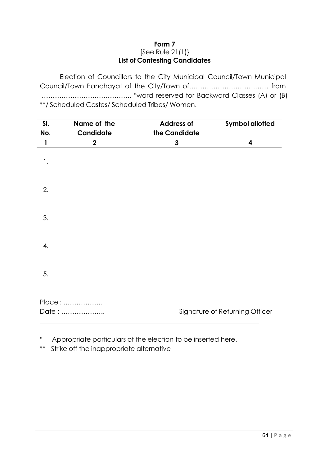## **Form 7** [See Rule 21(1)} **List of Contesting Candidates**

Election of Councillors to the City Municipal Council/Town Municipal Council/Town Panchayat of the City/Town of……………………………… from ………………………………….. \*ward reserved for Backward Classes (A) or (B) \*\*/ Scheduled Castes/ Scheduled Tribes/ Women.

| SI.<br>No.   | Name of the<br>Candidate | <b>Address of</b><br>the Candidate | <b>Symbol allotted</b>         |
|--------------|--------------------------|------------------------------------|--------------------------------|
| $\mathbf{1}$ | $\mathbf 2$              | 3                                  | 4                              |
| 1.           |                          |                                    |                                |
| 2.           |                          |                                    |                                |
| 3.           |                          |                                    |                                |
| 4.           |                          |                                    |                                |
| 5.           |                          |                                    |                                |
|              | Place:<br>Date:          |                                    | Signature of Returning Officer |

\* Appropriate particulars of the election to be inserted here.

\*\* Strike off the inappropriate alternative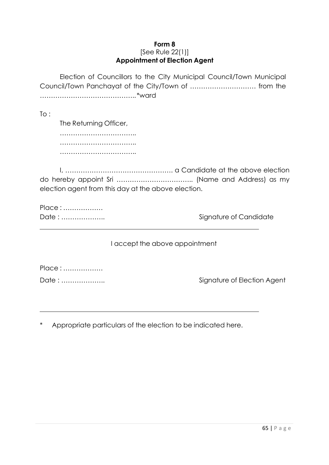#### **Form 8** [See Rule 22(1)] **Appointment of Election Agent**

Election of Councillors to the City Municipal Council/Town Municipal Council/Town Panchayat of the City/Town of ………………………… from the …………………………………….. \*ward

To :

The Returning Officer, …………………………….. …………………………………………… ……………………………..

I, …………………………………………. a Candidate at the above election do hereby appoint Sri …………………………….. (Name and Address) as my election agent from this day at the above election.

Place : ………………

Date : ……………….. Signature of Candidate

I accept the above appointment

Place : ………………

Date : ……………….. Signature of Election Agent

Appropriate particulars of the election to be indicated here.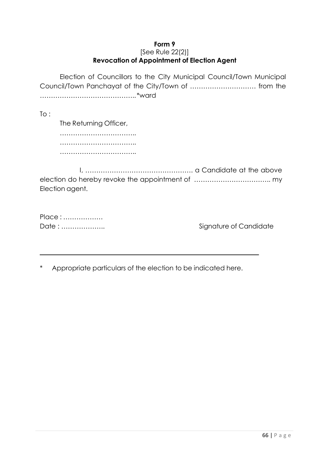#### **Form 9** [See Rule 22(2)] **Revocation of Appointment of Election Agent**

Election of Councillors to the City Municipal Council/Town Municipal Council/Town Panchayat of the City/Town of ………………………… from the …………………………………….. \*ward

 $To:$ 

The Returning Officer, …………………………….. ……………………………………… ……………………………..

I, …………………………………………. a Candidate at the above election do hereby revoke the appointment of …………………………….. my Election agent.

| Place: |
|--------|
| Date:  |

Signature of Candidate

\* Appropriate particulars of the election to be indicated here.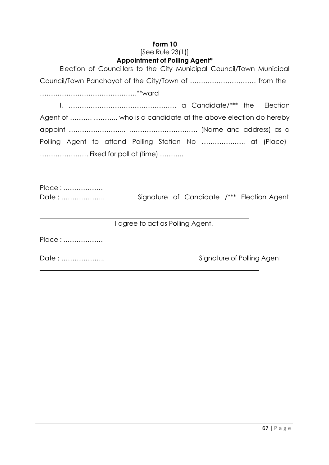# **Form 10**

#### [See Rule 23(1)] **Appointment of Polling Agent\***

| Election of Councillors to the City Municipal Council/Town Municipal |                                            |  |  |  |  |  |  |  |  |  |
|----------------------------------------------------------------------|--------------------------------------------|--|--|--|--|--|--|--|--|--|
| Council/Town Panchayat of the City/Town of  from the                 |                                            |  |  |  |  |  |  |  |  |  |
|                                                                      |                                            |  |  |  |  |  |  |  |  |  |
|                                                                      |                                            |  |  |  |  |  |  |  |  |  |
| Agent of   who is a candidate at the above election do hereby        |                                            |  |  |  |  |  |  |  |  |  |
|                                                                      |                                            |  |  |  |  |  |  |  |  |  |
| Polling Agent to attend Polling Station No  at (Place)               |                                            |  |  |  |  |  |  |  |  |  |
| Fixed for poll at (time)                                             |                                            |  |  |  |  |  |  |  |  |  |
|                                                                      |                                            |  |  |  |  |  |  |  |  |  |
| Place:                                                               |                                            |  |  |  |  |  |  |  |  |  |
| Date :                                                               | Signature of Candidate /*** Election Agent |  |  |  |  |  |  |  |  |  |
|                                                                      |                                            |  |  |  |  |  |  |  |  |  |
| I agree to act as Polling Agent.                                     |                                            |  |  |  |  |  |  |  |  |  |
| Place:                                                               |                                            |  |  |  |  |  |  |  |  |  |
| Date :                                                               | Signature of Polling Agent                 |  |  |  |  |  |  |  |  |  |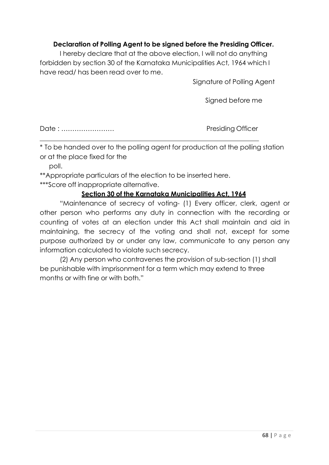# **Declaration of Polling Agent to be signed before the Presiding Officer.**

I hereby declare that at the above election, I will not do anything forbidden by section 30 of the Karnataka Municipalities Act, 1964 which I have read/ has been read over to me.

Signature of Polling Agent

Signed before me

Date : …………………… Presiding Officer

\* To be handed over to the polling agent for production at the polling station or at the place fixed for the

poll.

\*\*Appropriate particulars of the election to be inserted here.

\*\*\*Score off inappropriate alternative.

## **Section 30 of the Karnataka Municipalities Act, 1964**

"Maintenance of secrecy of voting- (1) Every officer, clerk, agent or other person who performs any duty in connection with the recording or counting of votes at an election under this Act shall maintain and aid in maintaining, the secrecy of the voting and shall not, except for some purpose authorized by or under any law, communicate to any person any information calculated to violate such secrecy.

(2) Any person who contravenes the provision of sub-section (1) shall be punishable with imprisonment for a term which may extend to three months or with fine or with both."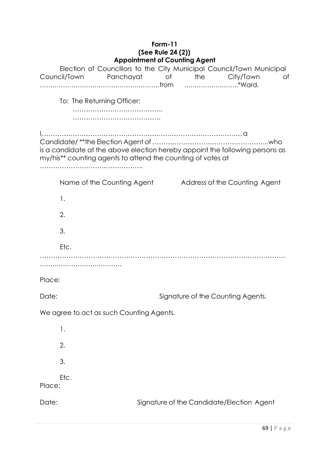### **Form-11 (See Rule 24 (2)) Appointment of Counting Agent**

|        | Council/Town | Election of Councillors to the City Municipal Council/Town Municipal<br>Panchayat of the                                                    |  | City/Town                                 | Οf |
|--------|--------------|---------------------------------------------------------------------------------------------------------------------------------------------|--|-------------------------------------------|----|
|        |              | To: The Returning Officer:                                                                                                                  |  |                                           |    |
|        |              | is a candidate at the above election hereby appoint the following persons as<br>my/his** counting agents to attend the counting of votes at |  |                                           |    |
|        |              | Name of the Counting Agent                                                                                                                  |  | Address of the Counting Agent             |    |
|        | 1.           |                                                                                                                                             |  |                                           |    |
|        | 2.           |                                                                                                                                             |  |                                           |    |
|        | 3.           |                                                                                                                                             |  |                                           |    |
|        | Etc.         |                                                                                                                                             |  |                                           |    |
|        |              |                                                                                                                                             |  |                                           |    |
| Place: |              |                                                                                                                                             |  |                                           |    |
| Date:  |              |                                                                                                                                             |  | Signature of the Counting Agents.         |    |
|        |              | We agree to act as such Counting Agents.                                                                                                    |  |                                           |    |
|        | 1.           |                                                                                                                                             |  |                                           |    |
|        | 2.           |                                                                                                                                             |  |                                           |    |
|        | 3.           |                                                                                                                                             |  |                                           |    |
| Place: | Etc.         |                                                                                                                                             |  |                                           |    |
| Date:  |              |                                                                                                                                             |  | Signature of the Candidate/Election Agent |    |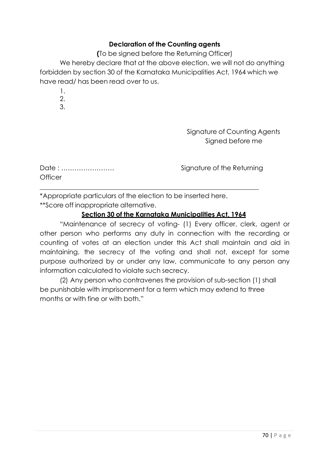## **Declaration of the Counting agents**

**(**To be signed before the Returning Officer)

We hereby declare that at the above election, we will not do anything forbidden by section 30 of the Karnataka Municipalities Act, 1964 which we have read/ has been read over to us.

- 1.
- 2. 3.
- 

Signature of Counting Agents Signed before me

| Date:          |  |  |  |  |  |  |  |  |  |
|----------------|--|--|--|--|--|--|--|--|--|
| <b>Officer</b> |  |  |  |  |  |  |  |  |  |

Signature of the Returning

\*Appropriate particulars of the election to be inserted here.

\*\*Score off inappropriate alternative.

# **Section 30 of the Karnataka Municipalities Act, 1964**

"Maintenance of secrecy of voting- (1) Every officer, clerk, agent or other person who performs any duty in connection with the recording or counting of votes at an election under this Act shall maintain and aid in maintaining, the secrecy of the voting and shall not, except for some purpose authorized by or under any law, communicate to any person any information calculated to violate such secrecy.

(2) Any person who contravenes the provision of sub-section (1) shall be punishable with imprisonment for a term which may extend to three months or with fine or with both."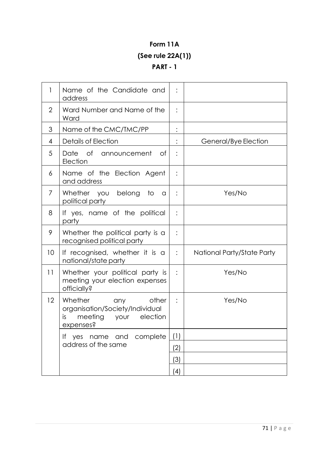# **Form 11A (See rule 22A(1)) PART - 1**

| 1              | Name of the Candidate and<br>address                                                                    | :              |                            |
|----------------|---------------------------------------------------------------------------------------------------------|----------------|----------------------------|
| $\overline{2}$ | Ward Number and Name of the<br>Ward                                                                     |                |                            |
| 3              | Name of the CMC/TMC/PP                                                                                  | :              |                            |
| 4              | Details of Election                                                                                     |                | General/Bye Election       |
| 5              | of announcement<br>Date<br>of.<br>Election                                                              |                |                            |
| 6              | Name of the Election Agent<br>and address                                                               |                |                            |
| 7              | Whether you belong<br>to<br>a<br>political party                                                        |                | Yes/No                     |
| 8              | If yes, name of the political<br>party                                                                  |                |                            |
| 9              | Whether the political party is a<br>recognised political party                                          |                |                            |
| 10             | If recognised, whether it is a<br>national/state party                                                  | $\ddot{\cdot}$ | National Party/State Party |
| 11             | Whether your political party is<br>meeting your election expenses<br>officially?                        | $\vdots$       | Yes/No                     |
| 12             | Whether<br>other<br>any<br>organisation/Society/Individual<br>meeting your election<br>is.<br>expenses? | :              | Yes/No                     |
|                | yes name and complete<br>If.                                                                            | (1)            |                            |
|                | address of the same                                                                                     | (2)            |                            |
|                |                                                                                                         | (3)            |                            |
|                |                                                                                                         | (4)            |                            |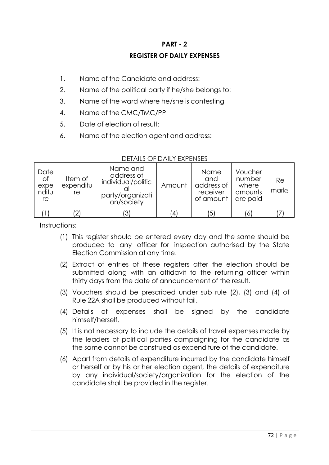# **PART - 2 REGISTER OF DAILY EXPENSES**

- 1. Name of the Candidate and address:
- 2. Name of the political party if he/she belongs to:
- 3. Name of the ward where he/she is contesting
- 4. Name of the CMC/TMC/PP
- 5. Date of election of result:
- 6. Name of the election agent and address:

| Date<br><b>of</b><br>expe<br>nditu<br>re | Item of<br>expenditu<br>re | Name and<br>address of<br>individual/politic<br>party/organizati<br>on/society | Amount         | <b>Name</b><br>and<br>address of<br>receiver<br>of amount | Voucher<br>number<br>where<br>amounts<br>are paid | Re<br>marks |
|------------------------------------------|----------------------------|--------------------------------------------------------------------------------|----------------|-----------------------------------------------------------|---------------------------------------------------|-------------|
|                                          | $\left 2\right\rangle$     | ΄3                                                                             | $\overline{4}$ | .5                                                        | 6                                                 |             |

## DETAILS OF DAILY EXPENSES

Instructions:

- (1) This register should be entered every day and the same should be produced to any officer for inspection authorised by the State Election Commission at any time.
- (2) Extract of entries of these registers after the election should be submitted along with an affidavit to the returning officer within thirty days from the date of announcement of the result.
- (3) Vouchers should be prescribed under sub rule (2), (3) and (4) of Rule 22A shall be produced without fail.
- (4) Details of expenses shall be signed by the candidate himself/herself.
- (5) It is not necessary to include the details of travel expenses made by the leaders of political parties campaigning for the candidate as the same cannot be construed as expenditure of the candidate.
- (6) Apart from details of expenditure incurred by the candidate himself or herself or by his or her election agent, the details of expenditure by any individual/society/organization for the election of the candidate shall be provided in the register.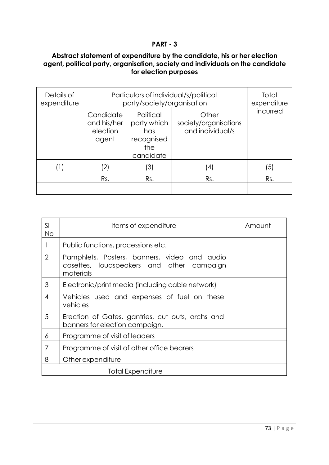## **Abstract statement of expenditure by the candidate, his or her election agent, political party, organisation, society and individuals on the candidate for election purposes**

| Details of<br>expenditure | Particulars of individual/s/political<br>party/society/organisation | Total<br>expenditure                                              |                                                    |            |  |  |  |
|---------------------------|---------------------------------------------------------------------|-------------------------------------------------------------------|----------------------------------------------------|------------|--|--|--|
|                           | Candidate<br>and his/her<br>election<br>agent                       | Political<br>party which<br>has<br>recognised<br>the<br>candidate | Other<br>society/organisations<br>and individual/s |            |  |  |  |
|                           | '2)                                                                 | '3)                                                               | $\overline{4}$                                     | $\sqrt{5}$ |  |  |  |
|                           | Rs.                                                                 | Rs.                                                               | Rs.                                                | Rs.        |  |  |  |
|                           |                                                                     |                                                                   |                                                    |            |  |  |  |

| SI<br><b>No</b> | Items of expenditure                                                                                   | Amount |
|-----------------|--------------------------------------------------------------------------------------------------------|--------|
|                 | Public functions, processions etc.                                                                     |        |
| $\overline{2}$  | Pamphlets, Posters, banners, video and audio<br>casettes, loudspeakers and other campaign<br>materials |        |
| 3               | Electronic/print media (including cable network)                                                       |        |
| 4               | Vehicles used and expenses of fuel on these<br>vehicles                                                |        |
| 5               | Erection of Gates, gantries, cut outs, archs and<br>banners for election campaign.                     |        |
| 6               | Programme of visit of leaders                                                                          |        |
| 7               | Programme of visit of other office bearers                                                             |        |
| 8               | Other expenditure                                                                                      |        |
|                 | Total Expenditure                                                                                      |        |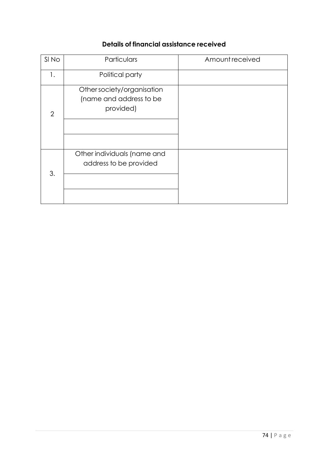# **Details of financial assistance received**

| SI No          | Particulars                                                        | Amount received |
|----------------|--------------------------------------------------------------------|-----------------|
| 1.             | Political party                                                    |                 |
| $\mathfrak{D}$ | Other society/organisation<br>(name and address to be<br>provided) |                 |
| 3.             | Other individuals (name and<br>address to be provided              |                 |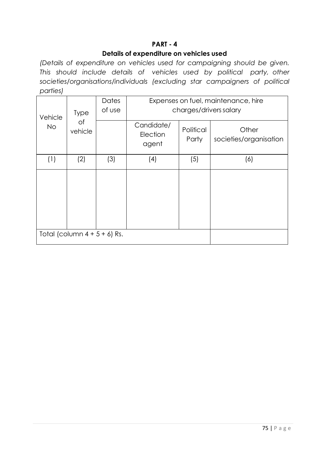## **Details of expenditure on vehicles used**

*(Details of expenditure on vehicles used for campaigning should be given. This should include details of vehicles used by political party, other societies/organisations/individuals (excluding star campaigners of political parties)*

| Vehicle   | <b>Type</b>                     | Dates<br>of use | Expenses on fuel, maintenance, hire<br>charges/drivers salary |                    |                                 |  |  |  |  |  |
|-----------|---------------------------------|-----------------|---------------------------------------------------------------|--------------------|---------------------------------|--|--|--|--|--|
| <b>No</b> | of<br>vehicle                   |                 | Candidate/<br>Election<br>agent                               | Political<br>Party | Other<br>societies/organisation |  |  |  |  |  |
| (1)       | (2)                             | (3)             | (4)                                                           | (5)                | (6)                             |  |  |  |  |  |
|           |                                 |                 |                                                               |                    |                                 |  |  |  |  |  |
|           | Total (column $4 + 5 + 6$ ) Rs. |                 |                                                               |                    |                                 |  |  |  |  |  |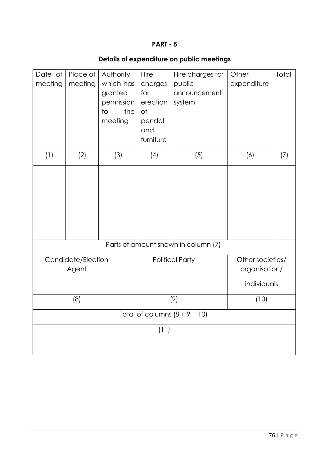# **Details of expenditure on public meetings**

| Date of<br>meeting | Place of<br>meeting | Authority<br>which has<br>granted<br>permission<br>the<br>$\overline{1}$<br>meeting | Hire<br>charges<br>for<br>erection<br>of<br>pendal<br>and<br>furniture | Hire charges for<br>public<br>announcement<br>system | Other<br>expenditure | Total |
|--------------------|---------------------|-------------------------------------------------------------------------------------|------------------------------------------------------------------------|------------------------------------------------------|----------------------|-------|
| (1)                | (2)                 | (3)                                                                                 | (4)                                                                    | (5)                                                  | (6)                  | (7)   |
|                    |                     |                                                                                     |                                                                        | Parts of amount shown in column (7)                  |                      |       |
|                    | Candidate/Election  |                                                                                     |                                                                        | <b>Political Party</b>                               | Other societies/     |       |
|                    | Agent               |                                                                                     |                                                                        |                                                      | organisation/        |       |
|                    |                     |                                                                                     |                                                                        |                                                      | individuals          |       |
| (8)                |                     |                                                                                     |                                                                        | (9)                                                  | (10)                 |       |
|                    |                     |                                                                                     |                                                                        | Total of columns $(8 + 9 + 10)$                      |                      |       |
|                    |                     |                                                                                     | (11)                                                                   |                                                      |                      |       |
|                    |                     |                                                                                     |                                                                        |                                                      |                      |       |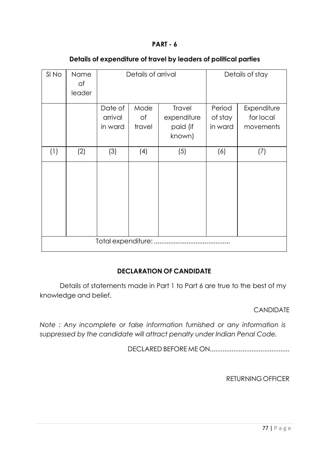| SI No | Name<br>of |                    | Details of arrival |             |         | Details of stay |  |  |  |  |
|-------|------------|--------------------|--------------------|-------------|---------|-----------------|--|--|--|--|
|       | leader     |                    |                    |             |         |                 |  |  |  |  |
|       |            | Date of            | Mode               | Travel      | Period  | Expenditure     |  |  |  |  |
|       |            | arrival            | of                 | expenditure | of stay | for local       |  |  |  |  |
|       |            | in ward            | travel             | paid (if    | in ward | movements       |  |  |  |  |
|       |            |                    |                    | known)      |         |                 |  |  |  |  |
| (1)   | (2)        | (3)                | (4)                | (5)         | (6)     | (7)             |  |  |  |  |
|       |            |                    |                    |             |         |                 |  |  |  |  |
|       |            |                    |                    |             |         |                 |  |  |  |  |
|       |            |                    |                    |             |         |                 |  |  |  |  |
|       |            |                    |                    |             |         |                 |  |  |  |  |
|       |            |                    |                    |             |         |                 |  |  |  |  |
|       |            |                    |                    |             |         |                 |  |  |  |  |
|       |            | Total expenditure: |                    |             |         |                 |  |  |  |  |
|       |            |                    |                    |             |         |                 |  |  |  |  |

#### **Details of expenditure of travel by leaders of political parties**

# **DECLARATION OF CANDIDATE**

Details of statements made in Part 1 to Part 6 are true to the best of my knowledge and belief.

CANDIDATE

*Note : Any incomplete or false information furnished or any information is suppressed by the candidate will attract penalty under Indian Penal Code.*

DECLARED BEFORE ME ON............................................

RETURNING OFFICER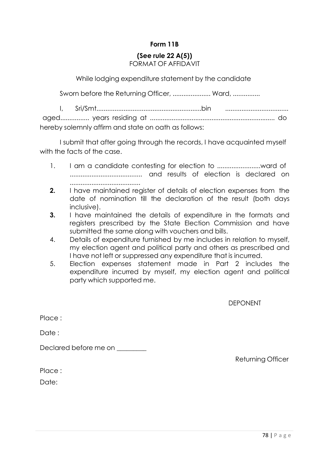# **Form 11B**

# **(See rule 22 A(5))**

# FORMAT OF AFFIDAVIT

While lodging expenditure statement by the candidate

Sworn before the Returning Officer, ...................... Ward, ...............

I, Sri/Smt..........................................................bin ................................... aged................ years residing at ..................................................................... do hereby solemnly affirm and state on oath as follows:

I submit that after going through the records, I have acquainted myself with the facts of the case.

- 1. I am a candidate contesting for election to ...............................ward of ........................................ and results of election is declared on .......................................
- **2.** I have maintained register of details of election expenses from the date of nomination till the declaration of the result (both days inclusive).
- **3.** I have maintained the details of expenditure in the formats and registers prescribed by the State Election Commission and have submitted the same along with vouchers and bills.
- 4. Details of expenditure furnished by me includes in relation to myself, my election agent and political party and others as prescribed and I have not left or suppressed any expenditure that is incurred.
- 5. Election expenses statement made in Part 2 includes the expenditure incurred by myself, my election agent and political party which supported me.

DEPONENT

Place ·

Date:

Declared before me on

Returning Officer

Place :

Date: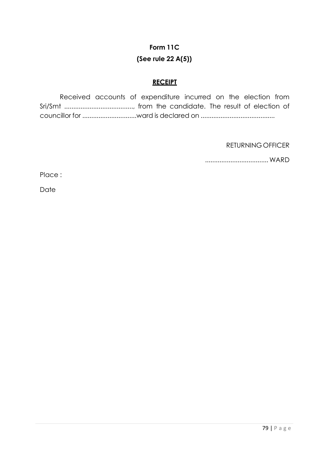# **Form 11C (See rule 22 A(5))**

## **RECEIPT**

Received accounts of expenditure incurred on the election from Sri/Smt ......................................, from the candidate. The result of election of councillor for ..............................ward is declared on .........................................

RETURNING OFFICER

................................... WARD

Place :

Date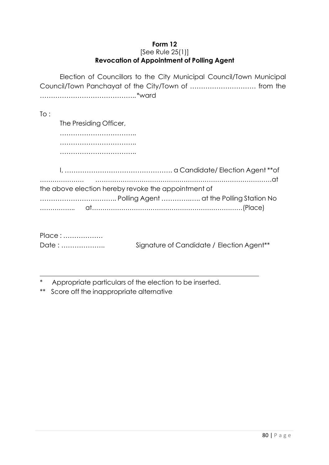#### **Form 12** [See Rule 25(1)] **Revocation of Appointment of Polling Agent**

Election of Councillors to the City Municipal Council/Town Municipal Council/Town Panchayat of the City/Town of ………………………… from the …………………………………….. \*ward

| To :                                                |
|-----------------------------------------------------|
| The Presiding Officer,                              |
|                                                     |
|                                                     |
|                                                     |
|                                                     |
|                                                     |
| the above election hereby revoke the appointment of |
|                                                     |
|                                                     |
|                                                     |

| Place: |                                                       |  |
|--------|-------------------------------------------------------|--|
| Date:  | Signature of Candidate / Election Agent <sup>**</sup> |  |

\* Appropriate particulars of the election to be inserted.

\*\* Score off the inappropriate alternative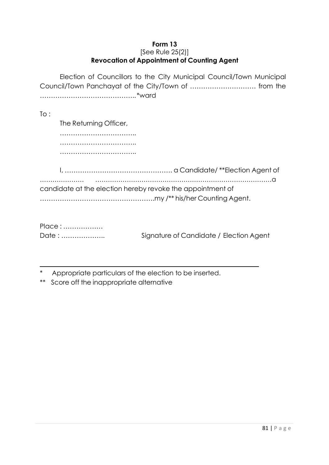#### **Form 13** [See Rule 25(2)] **Revocation of Appointment of Counting Agent**

Election of Councillors to the City Municipal Council/Town Municipal Council/Town Panchayat of the City/Town of ………………………… from the …………………………………….. \*ward

| To : |                                                            |
|------|------------------------------------------------------------|
|      | The Returning Officer,                                     |
|      |                                                            |
|      |                                                            |
|      |                                                            |
|      |                                                            |
|      | candidate at the election hereby revoke the appointment of |

| Place: |                                         |
|--------|-----------------------------------------|
| Date:  | Signature of Candidate / Election Agent |

\* Appropriate particulars of the election to be inserted.

\*\* Score off the inappropriate alternative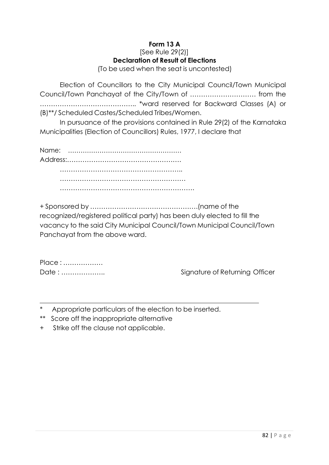# **Form 13 A**

#### [See Rule 29(2)] **Declaration of Result of Elections**

(To be used when the seat is uncontested)

Election of Councillors to the City Municipal Council/Town Municipal Council/Town Panchayat of the City/Town of ………………………… from the …………………………………….. \*ward reserved for Backward Classes (A) or (B)\*\*/ Scheduled Castes/Scheduled Tribes/Women.

In pursuance of the provisions contained in Rule 29(2) of the Karnataka Municipalities (Election of Councillors) Rules, 1977, I declare that

Name: ……………………………………………… Address:……………………………………………. ……………………………………………….. ………………………………………………… …………………………………………………….

+ Sponsored by ………………………………………….(name of the recognized/registered political party) has been duly elected to fill the vacancy to the said City Municipal Council/Town Municipal Council/Town Panchayat from the above ward.

| Place: |  |
|--------|--|
| Date:  |  |

Signature of Returning Officer

Appropriate particulars of the election to be inserted.

- \*\* Score off the inappropriate alternative
- + Strike off the clause not applicable.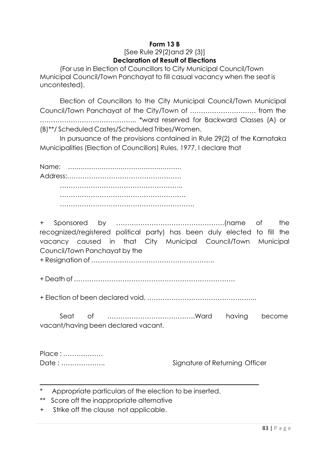### **Form 13 B** [See Rule 29(2)and 29 (3)] **Declaration of Result of Elections**

(For use in Election of Councillors to City Municipal Council/Town Municipal Council/Town Panchayat to fill casual vacancy when the seat is uncontested).

Election of Councillors to the City Municipal Council/Town Municipal Council/Town Panchayat of the City/Town of ………………………… from the …………………………………….. \*ward reserved for Backward Classes (A) or (B)\*\*/ Scheduled Castes/Scheduled Tribes/Women.

In pursuance of the provisions contained in Rule 29(2) of the Karnataka Municipalities (Election of Councillors) Rules, 1977, I declare that

Name: ……………………………………………… Address:……………………………………………. ……………………………………………….. ………………………………………………… …………………………………………………….

+ Sponsored by ………………………………………….(name of the recognized/registered political party) has been duly elected to fill the vacancy caused in that City Municipal Council/Town Municipal Council/Town Panchayat by the

+ Resignation of ………………………………………………..

+ Death of ……………………………………………………………….

+ Election of been declared void, …………………………………………..

Seat of ………………………………….Ward having become vacant/having been declared vacant.

| Place: |
|--------|
| Date:  |

Signature of Returning Officer

- Appropriate particulars of the election to be inserted.
- \*\* Score off the inappropriate alternative
- + Strike off the clause not applicable.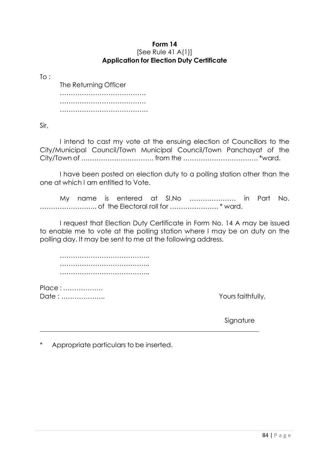#### **Form 14** [See Rule 41 A(1)] **Application for Election Duty Certificate**

 $To:$ 

The Returning Officer ………………………………… ………………………………… ……………………………………………

Sir,

I intend to cast my vote at the ensuing election of Councillors to the City/Municipal Council/Town Municipal Council/Town Panchayat of the City/Town of …………………………… from the ……………………………. \*ward.

I have been posted on election duty to a polling station other than the one at which I am entitled to Vote.

My name is entered at Sl.No ………………… in Part No. …………………….. of the Electoral roll for …………………. \* ward.

I request that Election Duty Certificate in Form No. 14 A may be issued to enable me to vote at the polling station where I may be on duty on the polling day. It may be sent to me at the following address.

………………………………….. …………………………………………… …………………………………..

Place : ……………… Date : ……………….. Yours faithfully,

Signature

Appropriate particulars to be inserted.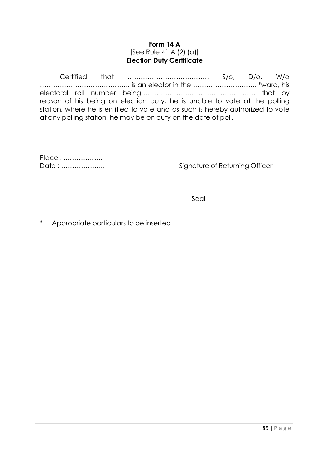#### **Form 14 A** [See Rule 41 A (2) (a)] **Election Duty Certificate**

Certified that ………………………………. S/o, D/o, W/o ………………………………….. is an elector in the ……………………….. \*ward, his electoral roll number being……………………………………………. that by reason of his being on election duty, he is unable to vote at the polling station, where he is entitled to vote and as such is hereby authorized to vote at any polling station, he may be on duty on the date of poll.

| Place: |  |
|--------|--|
| Date:  |  |

Signature of Returning Officer

Seal

Appropriate particulars to be inserted.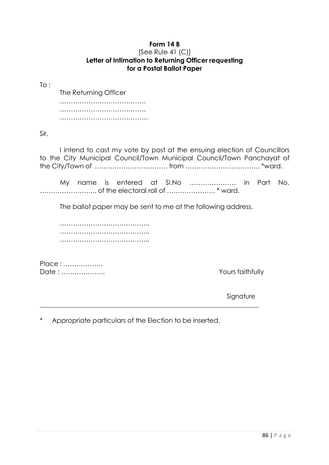# **Form 14 B**

#### [See Rule 41 (C)] **Letter of Intimation to Returning Officer requesting for a Postal Ballot Paper**

To :

The Returning Officer ………………………………… ………………………………… ……………………………………………

Sir,

I intend to cast my vote by post at the ensuing election of Councillors to the City Municipal Council/Town Municipal Council/Town Panchayat of the City/Town of …………………………… from ……………………………. \*ward.

My name is entered at Sl.No ………………… in Part No. …………………….. of the electoral roll of …………………. \* ward.

The ballot paper may be sent to me at the following address.

………………………………….. ………………………………….. …………………………………..

Place : ……………… Date : ……………….. Yours faithfully

Signature

Appropriate particulars of the Election to be inserted.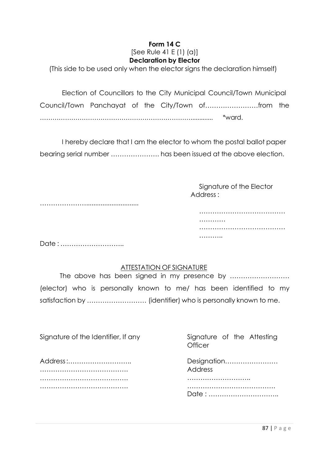# **Form 14 C**

#### [See Rule 41 E (1) (a)] **Declaration by Elector**

(This side to be used only when the elector signs the declaration himself)

Election of Councillors to the City Municipal Council/Town Municipal Council/Town Panchayat of the City/Town of……………………from the ………………………………………………………………............. \*ward.

I hereby declare that I am the elector to whom the postal ballot paper bearing serial number …………………. has been issued at the above election.

> Signature of the Elector Address :

> > …………

………..

……………………………………………

……………………………………………

………………….............................

Date : ………………………..

## ATTESTATION OF SIGNATURE

The above has been signed in my presence by ……………………… (elector) who is personally known to me/ has been identified to my satisfaction by ……………………… (identifier) who is personally known to me.

| Signature of the Identifier, If any | Signature of the Attesting<br>Officer |
|-------------------------------------|---------------------------------------|
| Address:                            | Designation<br>Address                |
|                                     |                                       |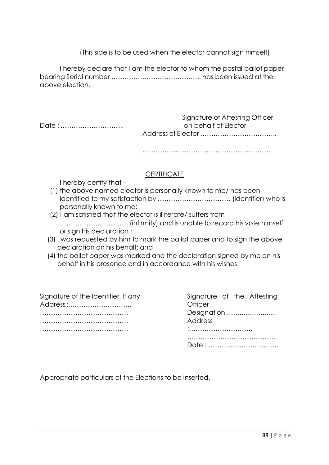(This side is to be used when the elector cannot sign himself)

I hereby declare that I am the elector to whom the postal ballot paper bearing Serial number ………………………………….. has been issued at the above election.

|       | Signature of Attesting Officer |  |  |  |
|-------|--------------------------------|--|--|--|
| Date: | on behalf of Elector           |  |  |  |
|       |                                |  |  |  |

………………………………………………….

## **CERTIFICATE**

I hereby certify that –

- (1) the above named elector is personally known to me/ has been identified to my satisfaction by …………………………… (identifier) who is personally known to me;
- (2) I am satisfied that the elector is illiterate/ suffers from …………………………. (infirmity) and is unable to record his vote himself or sign his declaration ;
- (3) I was requested by him to mark the ballot paper and to sign the above declaration on his behalf; and
- (4) the ballot paper was marked and the declaration signed by me on his behalf in his presence and in accordance with his wishes.

| Signature of the Identifier, If any<br>Address: | Signature of the Attesting<br>Officer<br>Designation<br>Address |  |  |  |
|-------------------------------------------------|-----------------------------------------------------------------|--|--|--|
|                                                 | $\bullet$<br>                                                   |  |  |  |
|                                                 |                                                                 |  |  |  |

Appropriate particulars of the Elections to be inserted.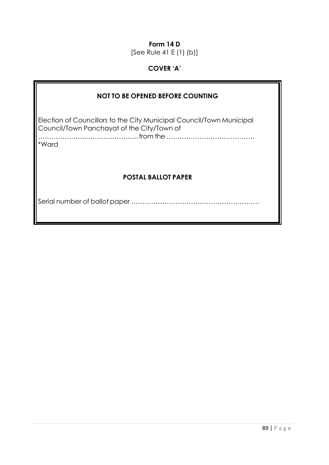# **Form 14 D**

[See Rule 41 E (1) (b)]

# **COVER 'A'**

| <b>NOT TO BE OPENED BEFORE COUNTING</b>                                                                                     |  |  |  |  |  |  |  |  |
|-----------------------------------------------------------------------------------------------------------------------------|--|--|--|--|--|--|--|--|
| Election of Councillors to the City Municipal Council/Town Municipal<br>Council/Town Panchayat of the City/Town of<br>*Ward |  |  |  |  |  |  |  |  |
| <b>POSTAL BALLOT PAPER</b>                                                                                                  |  |  |  |  |  |  |  |  |
|                                                                                                                             |  |  |  |  |  |  |  |  |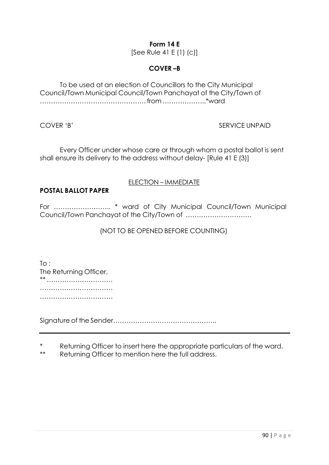# **Form 14 E**

[See Rule 41 E (1) (c)]

## **COVER –B**

To be used at an election of Councillors to the City Municipal Council/Town Municipal Council/Town Panchayat of the City/Town of ………………………………………… from ………………..\*ward

COVER 'B' SERVICE UNPAID

Every Officer under whose care or through whom a postal ballot is sent shall ensure its delivery to the address without delay- [Rule 41 E (3)]

## ELECTION – IMMEDIATE

# **POSTAL BALLOT PAPER**

For …………………….. \* ward of City Municipal Council/Town Municipal Council/Town Panchayat of the City/Town of …………………………

## (NOT TO BE OPENED BEFORE COUNTING)

 $To:$ The Returning Officer, \*\* ………………………… …………………………… ………………………………………

Signature of the Sender………………………………………..

\* Returning Officer to insert here the appropriate particulars of the ward.

\*\* Returning Officer to mention here the full address.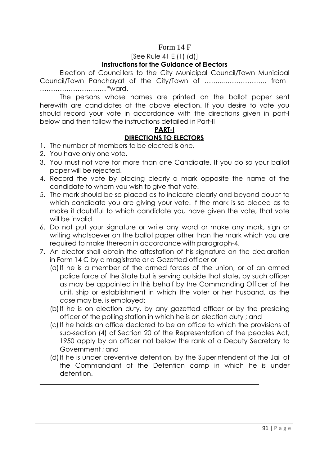## Form 14 F

#### [See Rule 41 E (1) (d)] **Instructions for the Guidance of Electors**

Election of Councillors to the City Municipal Council/Town Municipal Council/Town Panchayat of the City/Town of ……...……………….. from ………………………… \*ward.

The persons whose names are printed on the ballot paper sent herewith are candidates at the above election. If you desire to vote you should record your vote in accordance with the directions given in part-I below and then follow the instructions detailed in Part-II

## **PART-I DIRECTIONS TO ELECTORS**

- 1. The number of members to be elected is one.
- 2. You have only one vote.
- 3. You must not vote for more than one Candidate. If you do so your ballot paper will be rejected.
- 4. Record the vote by placing clearly a mark opposite the name of the candidate to whom you wish to give that vote.
- 5. The mark should be so placed as to indicate clearly and beyond doubt to which candidate you are giving your vote. If the mark is so placed as to make it doubtful to which candidate you have given the vote, that vote will be invalid.
- 6. Do not put your signature or write any word or make any mark, sign or writing whatsoever on the ballot paper other than the mark which you are required to make thereon in accordance with paragraph-4.
- 7. An elector shall obtain the attestation of his signature on the declaration in Form 14 C by a magistrate or a Gazetted officer or
	- (a)If he is a member of the armed forces of the union, or of an armed police force of the State but is serving outside that state, by such officer as may be appointed in this behalf by the Commanding Officer of the unit, ship or establishment in which the voter or her husband, as the case may be, is employed;
	- (b)If he is on election duty, by any gazetted officer or by the presiding officer of the polling station in which he is on election duty ; and
	- (c)If he holds an office declared to be an office to which the provisions of sub-section (4) of Section 20 of the Representation of the peoples Act, 1950 apply by an officer not below the rank of a Deputy Secretary to Government ; and
	- (d)If he is under preventive detention, by the Superintendent of the Jail of the Commandant of the Detention camp in which he is under detention.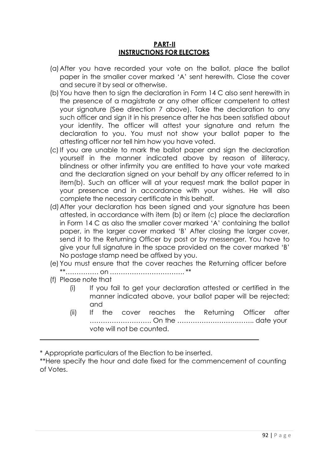#### **PART-II INSTRUCTIONS FOR ELECTORS**

- (a)After you have recorded your vote on the ballot, place the ballot paper in the smaller cover marked 'A' sent herewith. Close the cover and secure it by seal or otherwise.
- (b)You have then to sign the declaration in Form 14 C also sent herewith in the presence of a magistrate or any other officer competent to attest your signature (See direction 7 above). Take the declaration to any such officer and sign it in his presence after he has been satisfied about your identity. The officer will attest your signature and return the declaration to you. You must not show your ballot paper to the attesting officer nor tell him how you have voted.
- (c)If you are unable to mark the ballot paper and sign the declaration yourself in the manner indicated above by reason of illiteracy, blindness or other infirmity you are entitled to have your vote marked and the declaration signed on your behalf by any officer referred to in item(b). Such an officer will at your request mark the ballot paper in your presence and in accordance with your wishes. He will also complete the necessary certificate in this behalf.
- (d)After your declaration has been signed and your signature has been attested, in accordance with item (b) or item (c) place the declaration in Form 14 C as also the smaller cover marked 'A' containing the ballot paper, in the larger cover marked 'B' After closing the larger cover, send it to the Returning Officer by post or by messenger. You have to give your full signature in the space provided on the cover marked 'B' No postage stamp need be affixed by you.
- (e) You must ensure that the cover reaches the Returning officer before \*\*…………… on ……………………………. \*\*
- (f) Please note that
	- (i) If you fail to get your declaration attested or certified in the manner indicated above, your ballot paper will be rejected; and
	- (ii) If the cover reaches the Returning Officer after ………………………. On the …………………………….. date your vote will not be counted.

\* Appropriate particulars of the Election to be inserted.

\*\*Here specify the hour and date fixed for the commencement of counting of Votes.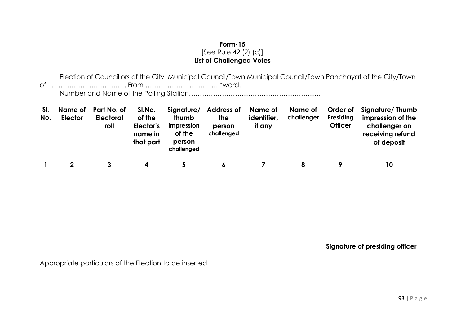### **Form-15** [See Rule 42 (2) (c)] **List of Challenged Votes**

Election of Councillors of the City Municipal Council/Town Municipal Council/Town Panchayat of the City/Town of ……………………………. From …………………………… \*ward. Number and Name of the Polling Station……………………………………………………

| SI.<br>No. | Name of<br><b>Elector</b> | Part No. of<br><b>Electoral</b><br>roll | SI.No.<br>of the<br>Elector's<br>name in<br>that part | Signature/<br>thumb<br>impression<br>of the<br>person<br>challenged | <b>Address of</b><br><b>the</b><br>person<br>challenged | Name of<br>identifier,<br>if any | Name of<br>challenger | Order of<br>Presiding<br><b>Officer</b> | Signature/ Thumb<br>impression of the<br>challenger on<br>receiving refund<br>of deposit |
|------------|---------------------------|-----------------------------------------|-------------------------------------------------------|---------------------------------------------------------------------|---------------------------------------------------------|----------------------------------|-----------------------|-----------------------------------------|------------------------------------------------------------------------------------------|
|            | 2                         |                                         |                                                       |                                                                     | Ô                                                       |                                  | 8                     |                                         | 10                                                                                       |

**Signature of presiding officer**

Appropriate particulars of the Election to be inserted.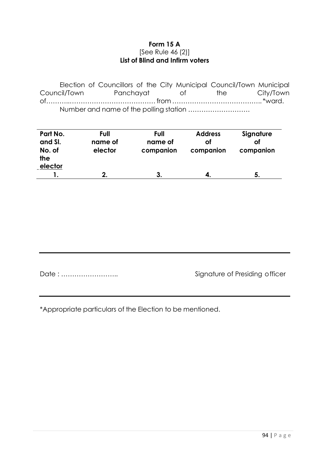#### **Form 15 A** [See Rule 46 (2)] **List of Blind and Infirm voters**

Election of Councillors of the City Municipal Council/Town Municipal Council/Town Panchayat of the City/Town of………..………………………………… from ………………………………….. \*ward. Number and name of the polling station ……………………….

| Part No.<br>and SI.<br>No. of<br>the<br>elector | Full<br>name of<br>elector | Full<br>name of<br>companion | <b>Address</b><br>оf<br>companion | Signature<br>οf<br>companion |
|-------------------------------------------------|----------------------------|------------------------------|-----------------------------------|------------------------------|
|                                                 | כי                         |                              | 4.                                | 5                            |

Date : …………………….. Signature of Presiding officer

\*Appropriate particulars of the Election to be mentioned.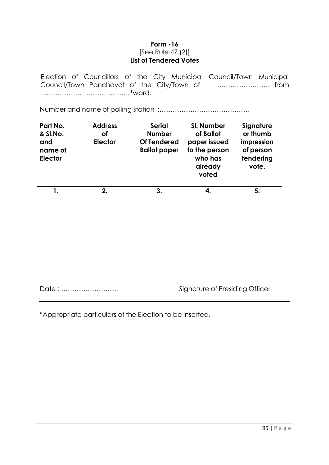#### **Form -16** [See Rule 47 (2)] **List of Tendered Votes**

Election of Councillors of the City Municipal Council/Town Municipal Council/Town Panchayat of the City/Town of …………………… from ………………………………….. \*ward.

Number and name of polling station :…………………………………..

| Part No.<br>& SI.No.<br>and<br>name of<br><b>Elector</b> | <b>Address</b><br>οf<br>Elector | <b>Serial</b><br><b>Number</b><br><b>Of Tendered</b><br><b>Ballot paper</b> | SI. Number<br>of Ballot<br>paper issued<br>to the person<br>who has<br>already<br>voted | Signature<br>or thumb<br>impression<br>of person<br>tendering<br>vote. |
|----------------------------------------------------------|---------------------------------|-----------------------------------------------------------------------------|-----------------------------------------------------------------------------------------|------------------------------------------------------------------------|
|                                                          | 2.                              | 3.                                                                          | 4.                                                                                      | 5.                                                                     |

Date : …………………….. Signature of Presiding Officer

\*Appropriate particulars of the Election to be inserted.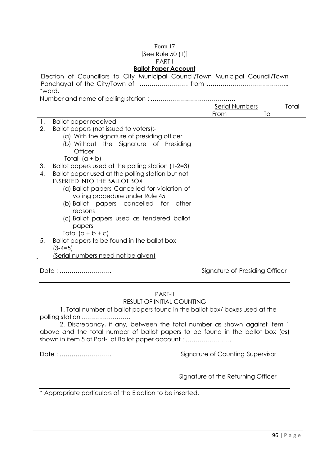### Form 17

[See Rule 50 (1)]

#### PART-I

#### **Ballot Paper Account**

Election of Councillors to City Municipal Council/Town Municipal Council/Town Panchayat of the City/Town of …………………… from ………………………………….. \*ward.

Number and name of polling station : ……………………………………

|                |                                                   | <b>Serial Numbers</b>          | Total |
|----------------|---------------------------------------------------|--------------------------------|-------|
|                |                                                   | From                           | To    |
| $\mathbf{1}$ . | <b>Ballot paper received</b>                      |                                |       |
| 2.             | Ballot papers (not issued to voters):-            |                                |       |
|                | (a) With the signature of presiding officer       |                                |       |
|                | (b) Without the Signature of Presiding            |                                |       |
|                | <b>Officer</b>                                    |                                |       |
|                | Total $(a + b)$                                   |                                |       |
| 3.             | Ballot papers used at the polling station (1-2=3) |                                |       |
| 4.             | Ballot paper used at the polling station but not  |                                |       |
|                | <b>INSERTED INTO THE BALLOT BOX</b>               |                                |       |
|                | (a) Ballot papers Cancelled for violation of      |                                |       |
|                | voting procedure under Rule 45                    |                                |       |
|                | (b) Ballot papers cancelled for other             |                                |       |
|                | reasons                                           |                                |       |
|                | (c) Ballot papers used as tendered ballot         |                                |       |
|                | papers                                            |                                |       |
|                | Total $(a + b + c)$                               |                                |       |
| 5.             | Ballot papers to be found in the ballot box       |                                |       |
|                | $(3 - 4 = 5)$                                     |                                |       |
|                | <u>(Serial numbers need not be given)</u>         |                                |       |
|                |                                                   |                                |       |
|                | Date:                                             | Signature of Presiding Officer |       |

#### PART-II RESULT OF INITIAL COUNTING

1. Total number of ballot papers found in the ballot box/ boxes used at the polling station ……………………

2. Discrepancy, if any, between the total number as shown against item 1 above and the total number of ballot papers to be found in the ballot box (es) shown in item 5 of Part-I of Ballot paper account : ............................

Date : …………………….. Signature of Counting Supervisor

Signature of the Returning Officer

\* Appropriate particulars of the Election to be inserted.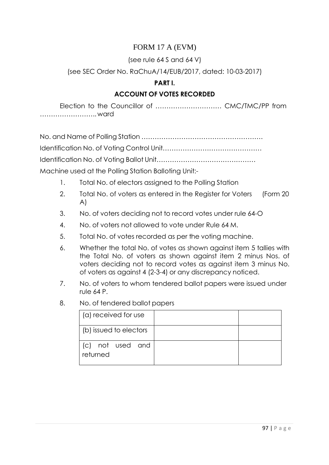# FORM 17 A (EVM)

(see rule 64 S and 64 V)

# (see SEC Order No. RaChuA/14/EUB/2017, dated: 10-03-2017)

## **PART I.**

# **ACCOUNT OF VOTES RECORDED**

Election to the Councillor of ………………………… CMC/TMC/PP from …………………….. ward

No. and Name of Polling Station ………………………………………………. Identification No. of Voting Control Unit……………………………………… Identification No. of Voting Ballot Unit……………………………………… Machine used at the Polling Station Balloting Unit:-

- 1. Total No. of electors assigned to the Polling Station
- 2. Total No. of voters as entered in the Register for Voters (Form 20 A)
- 3. No. of voters deciding not to record votes under rule 64-O
- 4. No. of voters not allowed to vote under Rule 64 M.
- 5. Total No. of votes recorded as per the voting machine.
- 6. Whether the total No. of votes as shown against item 5 tallies with the Total No. of voters as shown against item 2 minus Nos. of voters deciding not to record votes as against item 3 minus No. of voters as against 4 (2-3-4) or any discrepancy noticed.
- 7. No. of voters to whom tendered ballot papers were issued under rule 64 P.
- 8. No. of tendered ballot papers

| (a) received for use         |  |
|------------------------------|--|
| (b) issued to electors       |  |
| (c) not used and<br>returned |  |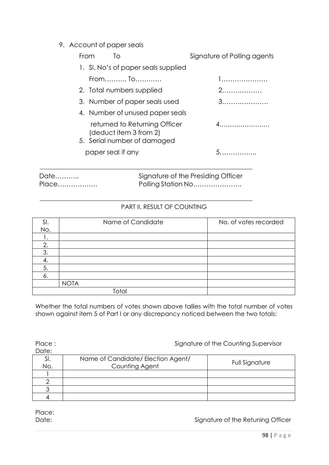## 9. Account of paper seals

|      | From | ΙO                                                                                     | Signature of Polling agents        |
|------|------|----------------------------------------------------------------------------------------|------------------------------------|
|      |      | 1. SI. No's of paper seals supplied                                                    |                                    |
|      |      | From To                                                                                | 1                                  |
|      |      | 2. Total numbers supplied                                                              | 2.                                 |
|      |      | 3. Number of paper seals used                                                          |                                    |
|      |      | 4. Number of unused paper seals                                                        |                                    |
|      |      | returned to Returning Officer<br>(deduct item 3 from 2)<br>5. Serial number of damaged |                                    |
|      |      | paper seal if any                                                                      | 5.                                 |
| Date |      |                                                                                        | Signature of the Presiding Officer |

Place……………… Polling Station No………………….

### PART II. RESULT OF COUNTING

| SI. | Name of Candidate | No. of votes recorded |
|-----|-------------------|-----------------------|
| No. |                   |                       |
|     |                   |                       |
| 2.  |                   |                       |
| 3   |                   |                       |
|     |                   |                       |
| 5.  |                   |                       |
| о.  |                   |                       |
|     | <b>NOTA</b>       |                       |
|     | Total             |                       |

Whether the total numbers of votes shown above tallies with the total number of votes shown against item 5 of Part I or any discrepancy noticed between the two totals:

Place : Signature of the Counting Supervisor Date: Sl. No. Name of Candidate/ Election Agent/ Counting Agent Agent Full Signature<br>
Counting Agent 1 2 3 4

Place:

Date: Date:  $\Box$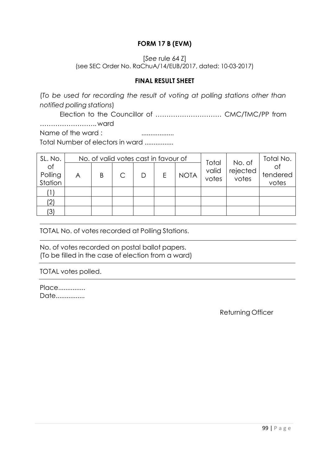## **FORM 17 B (EVM)**

### [*See* rule 64 Z] (see SEC Order No. RaChuA/14/EUB/2017, dated: 10-03-2017)

### **FINAL RESULT SHEET**

(*To be used for recording the result of voting at polling stations other than notified polling stations*)

Election to the Councillor of ………………………… CMC/TMC/PP from …………………….. ward Name of the ward : ..................

Total Number of electors in ward ................

| SL. No.                  | No. of valid votes cast in favour of |   |  |   |   |             | No. of                  | Total No.         |                   |
|--------------------------|--------------------------------------|---|--|---|---|-------------|-------------------------|-------------------|-------------------|
| of<br>Polling<br>Station | A                                    | Β |  | D | Е | <b>NOTA</b> | Total<br>valid<br>votes | rejected<br>votes | tendered<br>votes |
|                          |                                      |   |  |   |   |             |                         |                   |                   |
| (2)                      |                                      |   |  |   |   |             |                         |                   |                   |
| (3)                      |                                      |   |  |   |   |             |                         |                   |                   |

TOTAL No. of votes recorded at Polling Stations.

No. of votes recorded on postal ballot papers. (To be filled in the case of election from a ward)

### TOTAL votes polled.

Place............... Date................

Returning Officer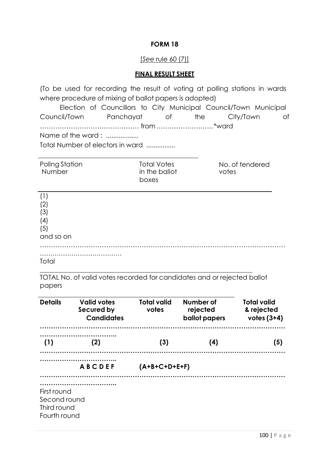### **FORM 18**

#### [*See* rule 60 (7)]

#### **FINAL RESULT SHEET**

(To be used for recording the result of voting at polling stations in wards where procedure of mixing of ballot papers is adopted)

Election of Councillors to City Municipal Council/Town Municipal Council/Town Panchayat of the City/Town of ……………………………………… from …………………….. \*ward

Name of the ward : ..................

Total Number of electors in ward ................

| Pollng Station<br>Number | <b>Total Votes</b><br>in the ballot<br>boxes | No. of tendered<br>votes |
|--------------------------|----------------------------------------------|--------------------------|
|                          |                                              |                          |

| (1)       |  |  |
|-----------|--|--|
| (2)       |  |  |
| (3)       |  |  |
| (4)       |  |  |
| (5)       |  |  |
| and so on |  |  |
|           |  |  |
|           |  |  |

**Total** 

TOTAL No. of valid votes recorded for candidates and or rejected ballot papers

| <b>Details</b>                                             | <b>Valid votes</b><br>Secured by<br><b>Candidates</b> | <b>Total valid</b><br>votes | Number of<br>rejected<br><b>ballot</b> papers | <b>Total valid</b><br>& rejected<br>votes $(3+4)$ |
|------------------------------------------------------------|-------------------------------------------------------|-----------------------------|-----------------------------------------------|---------------------------------------------------|
| (1)                                                        | (2)                                                   | (3)                         | (4)                                           | (5)                                               |
|                                                            | <b>ABCDEF</b>                                         | $(A+B+C+D+E+F)$             |                                               |                                                   |
| First round<br>Second round<br>Third round<br>Fourth round |                                                       |                             |                                               |                                                   |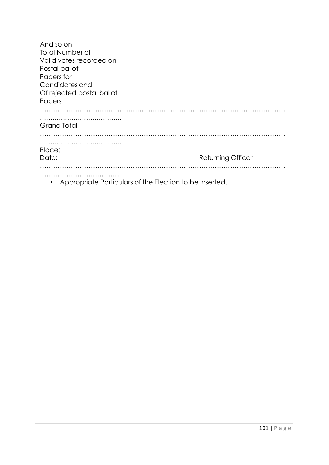| And so on<br><b>Total Number of</b><br>Valid votes recorded on<br>Postal ballot<br>Papers for<br>Candidates and<br>Of rejected postal ballot<br>Papers |                          |
|--------------------------------------------------------------------------------------------------------------------------------------------------------|--------------------------|
| <b>Grand Total</b>                                                                                                                                     |                          |
| Place:<br>Date:                                                                                                                                        | <b>Returning Officer</b> |
|                                                                                                                                                        |                          |

• Appropriate Particulars of the Election to be inserted.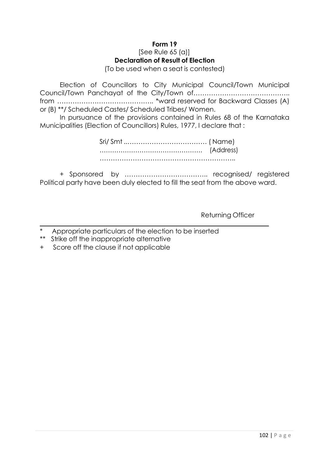### **Form 19**

#### $[See Rule 65 (a)]$ **Declaration of Result of Election**

(To be used when a seat is contested)

Election of Councillors to City Municipal Council/Town Municipal Council/Town Panchayat of the City/Town of…………………………………….. from …………………………………….. \*ward reserved for Backward Classes (A) or (B) \*\*/ Scheduled Castes/ Scheduled Tribes/ Women.

In pursuance of the provisions contained in Rules 68 of the Karnataka Municipalities (Election of Councillors) Rules, 1977, I declare that :

+ Sponsored by ……………………………….. recognised/ registered Political party have been duly elected to fill the seat from the above ward.

Returning Officer

Appropriate particulars of the election to be inserted

\*\* Strike off the inappropriate alternative

+ Score off the clause if not applicable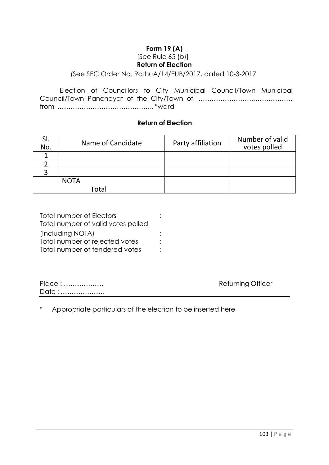## **Form 19 (A)** [See Rule 65 (b)] **Return of Election**

#### (See SEC Order No. RathuA/14/EUB/2017, dated 10-3-2017

Election of Councillors to City Municipal Council/Town Municipal Council/Town Panchayat of the City/Town of …………………….……………… from …………………………………….. \*ward

#### **Return of Election**

| SI.<br>No. | Name of Candidate | Party affiliation | Number of valid<br>votes polled |
|------------|-------------------|-------------------|---------------------------------|
|            |                   |                   |                                 |
|            |                   |                   |                                 |
|            |                   |                   |                                 |
|            | <b>NOTA</b>       |                   |                                 |
|            | Total             |                   |                                 |

| Total number of Electors           |  |
|------------------------------------|--|
| Total number of valid votes polled |  |
| (Including NOTA)                   |  |
| Total number of rejected votes     |  |
| Total number of tendered votes     |  |

| Place: | Returning Officer |
|--------|-------------------|
| Date:  |                   |

Appropriate particulars of the election to be inserted here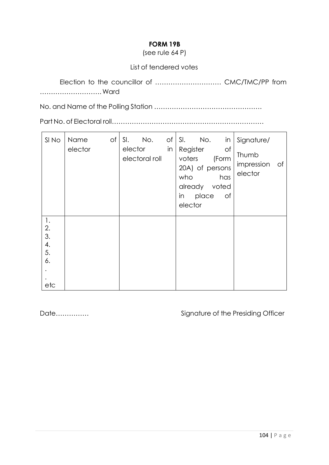## **FORM 19B**

(see rule 64 P)

### List of tendered votes

Election to the councillor of ………………………… CMC/TMC/PP from ………………………. Ward

No. and Name of the Polling Station ………………………………………….

Part No. of Electoral roll……………………………………………………………

| SI No                                                             | Name    | of | No.<br>SI.                |    | $of  S . No.$<br>in                                                                                              | Signature/                           |
|-------------------------------------------------------------------|---------|----|---------------------------|----|------------------------------------------------------------------------------------------------------------------|--------------------------------------|
|                                                                   | elector |    | elector<br>electoral roll | in | Register<br>Оf<br>voters<br>(Form<br>20A) of persons<br>has<br>who<br>already voted<br>in place<br>of<br>elector | Thumb<br>impression<br>of<br>elector |
| $\mathbf{1}$ .<br>$\frac{2}{3}$ .<br>$\frac{4}{5}$ .<br>6.<br>etc |         |    |                           |    |                                                                                                                  |                                      |

Date…………… **Signature of the Presiding Officer**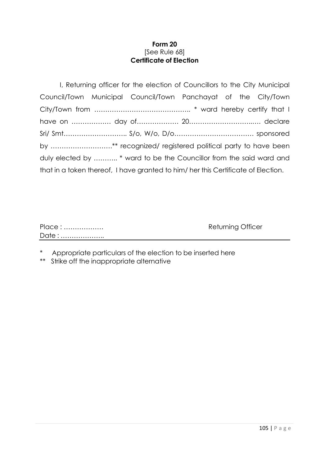### **Form 20** [See Rule 68] **Certificate of Election**

| I, Returning officer for the election of Councillors to the City Municipal        |
|-----------------------------------------------------------------------------------|
| Council/Town Municipal Council/Town Panchayat of the City/Town                    |
|                                                                                   |
|                                                                                   |
|                                                                                   |
| by ** recognized/ registered political party to have been                         |
| duly elected by * ward to be the Councillor from the said ward and                |
| that in a token thereof, I have granted to him/ her this Certificate of Election. |

| Place: | <b>Returning Officer</b> |
|--------|--------------------------|
| Date:  |                          |

\* Appropriate particulars of the election to be inserted here

\*\* Strike off the inappropriate alternative